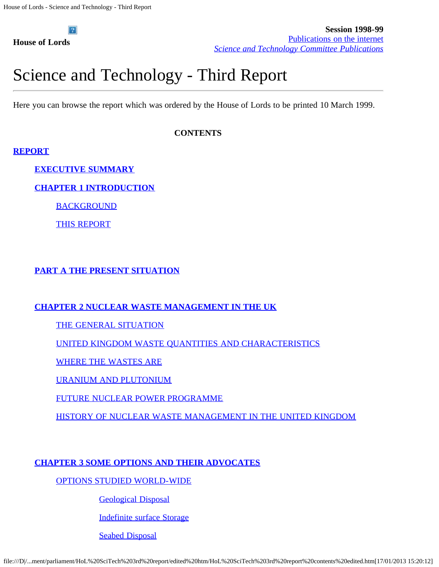**House of Lords**

# Science and Technology - Third Report

Here you can browse the report which was ordered by the House of Lords to be printed 10 March 1999.

### **CONTENTS**

### **[REPORT](file:///D|/Home/dks/text/papers%20and%20research/earth%20science/nuclear%20waste%20disposal/government/parliament/HoL%20SciTech%203rd%20report/edited%20htm/4102.htm)**

**[EXECUTIVE SUMMARY](file:///D|/Home/dks/text/papers%20and%20research/earth%20science/nuclear%20waste%20disposal/government/parliament/HoL%20SciTech%203rd%20report/edited%20htm/4102.htm)**

**[CHAPTER 1 INTRODUCTION](file:///D|/Home/dks/text/papers%20and%20research/earth%20science/nuclear%20waste%20disposal/government/parliament/HoL%20SciTech%203rd%20report/edited%20htm/4102.htm#a1)**

**[BACKGROUND](file:///D|/Home/dks/text/papers%20and%20research/earth%20science/nuclear%20waste%20disposal/government/parliament/HoL%20SciTech%203rd%20report/edited%20htm/4102.htm#a2)** 

[THIS REPORT](file:///D|/Home/dks/text/papers%20and%20research/earth%20science/nuclear%20waste%20disposal/government/parliament/HoL%20SciTech%203rd%20report/edited%20htm/4102.htm#a3)

### **[PART A THE PRESENT SITUATION](file:///D|/Home/dks/text/papers%20and%20research/earth%20science/nuclear%20waste%20disposal/government/parliament/HoL%20SciTech%203rd%20report/edited%20htm/4103.htm)**

### **[CHAPTER 2 NUCLEAR WASTE MANAGEMENT IN THE UK](file:///D|/Home/dks/text/papers%20and%20research/earth%20science/nuclear%20waste%20disposal/government/parliament/HoL%20SciTech%203rd%20report/edited%20htm/4103.htm)**

[THE GENERAL SITUATION](file:///D|/Home/dks/text/papers%20and%20research/earth%20science/nuclear%20waste%20disposal/government/parliament/HoL%20SciTech%203rd%20report/edited%20htm/4103.htm#a4)

[UNITED KINGDOM WASTE QUANTITIES AND CHARACTERISTICS](file:///D|/Home/dks/text/papers%20and%20research/earth%20science/nuclear%20waste%20disposal/government/parliament/HoL%20SciTech%203rd%20report/edited%20htm/4103.htm#a5)

[WHERE THE WASTES ARE](file:///D|/Home/dks/text/papers%20and%20research/earth%20science/nuclear%20waste%20disposal/government/parliament/HoL%20SciTech%203rd%20report/edited%20htm/4103.htm#a6)

[URANIUM AND PLUTONIUM](file:///D|/Home/dks/text/papers%20and%20research/earth%20science/nuclear%20waste%20disposal/government/parliament/HoL%20SciTech%203rd%20report/edited%20htm/4103.htm#a7)

[FUTURE NUCLEAR POWER PROGRAMME](file:///D|/Home/dks/text/papers%20and%20research/earth%20science/nuclear%20waste%20disposal/government/parliament/HoL%20SciTech%203rd%20report/edited%20htm/4103.htm#a8)

[HISTORY OF NUCLEAR WASTE MANAGEMENT IN THE UNITED KINGDOM](file:///D|/Home/dks/text/papers%20and%20research/earth%20science/nuclear%20waste%20disposal/government/parliament/HoL%20SciTech%203rd%20report/edited%20htm/4103.htm#a9)

### **[CHAPTER 3 SOME OPTIONS AND THEIR ADVOCATES](file:///D|/Home/dks/text/papers%20and%20research/earth%20science/nuclear%20waste%20disposal/government/parliament/HoL%20SciTech%203rd%20report/edited%20htm/4104.htm)**

[OPTIONS STUDIED WORLD-WIDE](file:///D|/Home/dks/text/papers%20and%20research/earth%20science/nuclear%20waste%20disposal/government/parliament/HoL%20SciTech%203rd%20report/edited%20htm/4104.htm)

[Geological Disposal](file:///D|/Home/dks/text/papers%20and%20research/earth%20science/nuclear%20waste%20disposal/government/parliament/HoL%20SciTech%203rd%20report/edited%20htm/4104.htm#a10)

[Indefinite surface Storage](file:///D|/Home/dks/text/papers%20and%20research/earth%20science/nuclear%20waste%20disposal/government/parliament/HoL%20SciTech%203rd%20report/edited%20htm/4104.htm#a11)

[Seabed Disposal](file:///D|/Home/dks/text/papers%20and%20research/earth%20science/nuclear%20waste%20disposal/government/parliament/HoL%20SciTech%203rd%20report/edited%20htm/4104.htm#a12)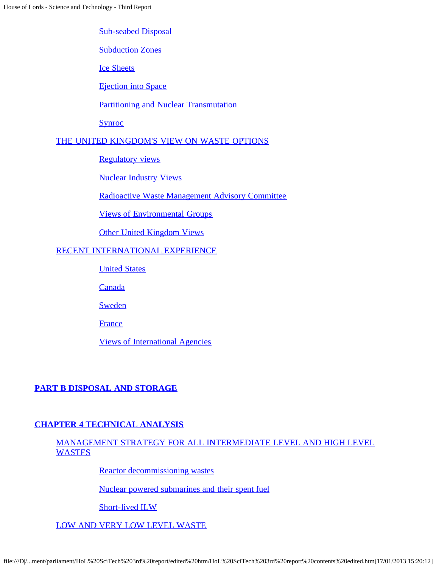[Sub-seabed Disposal](file:///D|/Home/dks/text/papers%20and%20research/earth%20science/nuclear%20waste%20disposal/government/parliament/HoL%20SciTech%203rd%20report/edited%20htm/4104.htm#a13)

**[Subduction Zones](file:///D|/Home/dks/text/papers%20and%20research/earth%20science/nuclear%20waste%20disposal/government/parliament/HoL%20SciTech%203rd%20report/edited%20htm/4104.htm#a14)** 

[Ice Sheets](file:///D|/Home/dks/text/papers%20and%20research/earth%20science/nuclear%20waste%20disposal/government/parliament/HoL%20SciTech%203rd%20report/edited%20htm/4104.htm#a15)

[Ejection into Space](file:///D|/Home/dks/text/papers%20and%20research/earth%20science/nuclear%20waste%20disposal/government/parliament/HoL%20SciTech%203rd%20report/edited%20htm/4104.htm#a16)

[Partitioning and Nuclear Transmutation](file:///D|/Home/dks/text/papers%20and%20research/earth%20science/nuclear%20waste%20disposal/government/parliament/HoL%20SciTech%203rd%20report/edited%20htm/4104.htm#a17)

**[Synroc](file:///D|/Home/dks/text/papers%20and%20research/earth%20science/nuclear%20waste%20disposal/government/parliament/HoL%20SciTech%203rd%20report/edited%20htm/4104.htm#a18)** 

### [THE UNITED KINGDOM'S VIEW ON WASTE OPTIONS](file:///D|/Home/dks/text/papers%20and%20research/earth%20science/nuclear%20waste%20disposal/government/parliament/HoL%20SciTech%203rd%20report/edited%20htm/4105.htm)

[Regulatory views](file:///D|/Home/dks/text/papers%20and%20research/earth%20science/nuclear%20waste%20disposal/government/parliament/HoL%20SciTech%203rd%20report/edited%20htm/4105.htm#a19)

[Nuclear Industry Views](file:///D|/Home/dks/text/papers%20and%20research/earth%20science/nuclear%20waste%20disposal/government/parliament/HoL%20SciTech%203rd%20report/edited%20htm/4105.htm#a20)

[Radioactive Waste Management Advisory Committee](file:///D|/Home/dks/text/papers%20and%20research/earth%20science/nuclear%20waste%20disposal/government/parliament/HoL%20SciTech%203rd%20report/edited%20htm/4105.htm#a21)

[Views of Environmental Groups](file:///D|/Home/dks/text/papers%20and%20research/earth%20science/nuclear%20waste%20disposal/government/parliament/HoL%20SciTech%203rd%20report/edited%20htm/4105.htm#a22)

[Other United Kingdom Views](file:///D|/Home/dks/text/papers%20and%20research/earth%20science/nuclear%20waste%20disposal/government/parliament/HoL%20SciTech%203rd%20report/edited%20htm/4105.htm#a23)

#### [RECENT INTERNATIONAL EXPERIENCE](file:///D|/Home/dks/text/papers%20and%20research/earth%20science/nuclear%20waste%20disposal/government/parliament/HoL%20SciTech%203rd%20report/edited%20htm/4106.htm)

[United States](file:///D|/Home/dks/text/papers%20and%20research/earth%20science/nuclear%20waste%20disposal/government/parliament/HoL%20SciTech%203rd%20report/edited%20htm/4106.htm#a24)

**[Canada](file:///D|/Home/dks/text/papers%20and%20research/earth%20science/nuclear%20waste%20disposal/government/parliament/HoL%20SciTech%203rd%20report/edited%20htm/4106.htm#a25)** 

**[Sweden](file:///D|/Home/dks/text/papers%20and%20research/earth%20science/nuclear%20waste%20disposal/government/parliament/HoL%20SciTech%203rd%20report/edited%20htm/4106.htm#a26)** 

[France](file:///D|/Home/dks/text/papers%20and%20research/earth%20science/nuclear%20waste%20disposal/government/parliament/HoL%20SciTech%203rd%20report/edited%20htm/4106.htm#a27)

[Views of International Agencies](file:///D|/Home/dks/text/papers%20and%20research/earth%20science/nuclear%20waste%20disposal/government/parliament/HoL%20SciTech%203rd%20report/edited%20htm/4106.htm#a28)

### **[PART B DISPOSAL AND STORAGE](file:///D|/Home/dks/text/papers%20and%20research/earth%20science/nuclear%20waste%20disposal/government/parliament/HoL%20SciTech%203rd%20report/edited%20htm/4107.htm)**

### **[CHAPTER 4 TECHNICAL ANALYSIS](file:///D|/Home/dks/text/papers%20and%20research/earth%20science/nuclear%20waste%20disposal/government/parliament/HoL%20SciTech%203rd%20report/edited%20htm/4107.htm)**

### [MANAGEMENT STRATEGY FOR ALL INTERMEDIATE LEVEL AND HIGH LEVEL](file:///D|/Home/dks/text/papers%20and%20research/earth%20science/nuclear%20waste%20disposal/government/parliament/HoL%20SciTech%203rd%20report/edited%20htm/4107.htm#a29) **[WASTES](file:///D|/Home/dks/text/papers%20and%20research/earth%20science/nuclear%20waste%20disposal/government/parliament/HoL%20SciTech%203rd%20report/edited%20htm/4107.htm#a29)**

[Reactor decommissioning wastes](file:///D|/Home/dks/text/papers%20and%20research/earth%20science/nuclear%20waste%20disposal/government/parliament/HoL%20SciTech%203rd%20report/edited%20htm/4107.htm#a30)

[Nuclear powered submarines and their spent fuel](file:///D|/Home/dks/text/papers%20and%20research/earth%20science/nuclear%20waste%20disposal/government/parliament/HoL%20SciTech%203rd%20report/edited%20htm/4107.htm#a31)

[Short-lived ILW](file:///D|/Home/dks/text/papers%20and%20research/earth%20science/nuclear%20waste%20disposal/government/parliament/HoL%20SciTech%203rd%20report/edited%20htm/4107.htm#a32)

[LOW AND VERY LOW LEVEL WASTE](file:///D|/Home/dks/text/papers%20and%20research/earth%20science/nuclear%20waste%20disposal/government/parliament/HoL%20SciTech%203rd%20report/edited%20htm/4107.htm#a33)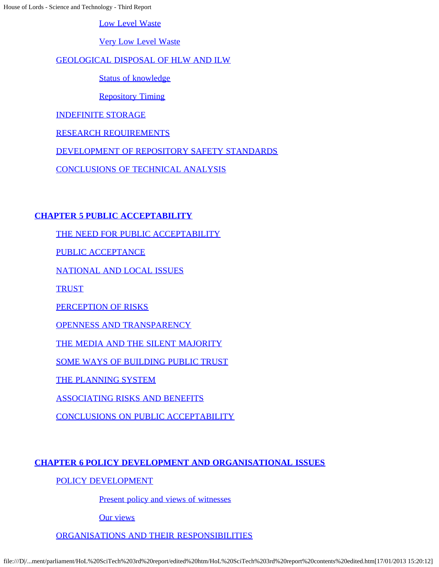[Low Level Waste](file:///D|/Home/dks/text/papers%20and%20research/earth%20science/nuclear%20waste%20disposal/government/parliament/HoL%20SciTech%203rd%20report/edited%20htm/4107.htm#a34)

[Very Low Level Waste](file:///D|/Home/dks/text/papers%20and%20research/earth%20science/nuclear%20waste%20disposal/government/parliament/HoL%20SciTech%203rd%20report/edited%20htm/4107.htm#a35)

### [GEOLOGICAL DISPOSAL OF HLW AND ILW](file:///D|/Home/dks/text/papers%20and%20research/earth%20science/nuclear%20waste%20disposal/government/parliament/HoL%20SciTech%203rd%20report/edited%20htm/4108.htm)

[Status of knowledge](file:///D|/Home/dks/text/papers%20and%20research/earth%20science/nuclear%20waste%20disposal/government/parliament/HoL%20SciTech%203rd%20report/edited%20htm/4108.htm#a36)

[Repository Timing](file:///D|/Home/dks/text/papers%20and%20research/earth%20science/nuclear%20waste%20disposal/government/parliament/HoL%20SciTech%203rd%20report/edited%20htm/4108.htm#a37)

[INDEFINITE STORAGE](file:///D|/Home/dks/text/papers%20and%20research/earth%20science/nuclear%20waste%20disposal/government/parliament/HoL%20SciTech%203rd%20report/edited%20htm/4108.htm#a38)

[RESEARCH REQUIREMENTS](file:///D|/Home/dks/text/papers%20and%20research/earth%20science/nuclear%20waste%20disposal/government/parliament/HoL%20SciTech%203rd%20report/edited%20htm/4108.htm#a39)

[DEVELOPMENT OF REPOSITORY SAFETY STANDARDS](file:///D|/Home/dks/text/papers%20and%20research/earth%20science/nuclear%20waste%20disposal/government/parliament/HoL%20SciTech%203rd%20report/edited%20htm/4108.htm#a40)

[CONCLUSIONS OF TECHNICAL ANALYSIS](file:///D|/Home/dks/text/papers%20and%20research/earth%20science/nuclear%20waste%20disposal/government/parliament/HoL%20SciTech%203rd%20report/edited%20htm/4108.htm#a41)

### **[CHAPTER 5 PUBLIC ACCEPTABILITY](file:///D|/Home/dks/text/papers%20and%20research/earth%20science/nuclear%20waste%20disposal/government/parliament/HoL%20SciTech%203rd%20report/edited%20htm/4109.htm)**

[THE NEED FOR PUBLIC ACCEPTABILITY](file:///D|/Home/dks/text/papers%20and%20research/earth%20science/nuclear%20waste%20disposal/government/parliament/HoL%20SciTech%203rd%20report/edited%20htm/4109.htm)

[PUBLIC ACCEPTANCE](file:///D|/Home/dks/text/papers%20and%20research/earth%20science/nuclear%20waste%20disposal/government/parliament/HoL%20SciTech%203rd%20report/edited%20htm/4109.htm#a42)

[NATIONAL AND LOCAL ISSUES](file:///D|/Home/dks/text/papers%20and%20research/earth%20science/nuclear%20waste%20disposal/government/parliament/HoL%20SciTech%203rd%20report/edited%20htm/4109.htm#a43)

**[TRUST](file:///D|/Home/dks/text/papers%20and%20research/earth%20science/nuclear%20waste%20disposal/government/parliament/HoL%20SciTech%203rd%20report/edited%20htm/4109.htm#a44)** 

[PERCEPTION OF RISKS](file:///D|/Home/dks/text/papers%20and%20research/earth%20science/nuclear%20waste%20disposal/government/parliament/HoL%20SciTech%203rd%20report/edited%20htm/4109.htm#a45)

[OPENNESS AND TRANSPARENCY](file:///D|/Home/dks/text/papers%20and%20research/earth%20science/nuclear%20waste%20disposal/government/parliament/HoL%20SciTech%203rd%20report/edited%20htm/4109.htm#a46)

[THE MEDIA AND THE SILENT MAJORITY](file:///D|/Home/dks/text/papers%20and%20research/earth%20science/nuclear%20waste%20disposal/government/parliament/HoL%20SciTech%203rd%20report/edited%20htm/4109.htm#a47)

[SOME WAYS OF BUILDING PUBLIC TRUST](file:///D|/Home/dks/text/papers%20and%20research/earth%20science/nuclear%20waste%20disposal/government/parliament/HoL%20SciTech%203rd%20report/edited%20htm/4109.htm#a48)

[THE PLANNING SYSTEM](file:///D|/Home/dks/text/papers%20and%20research/earth%20science/nuclear%20waste%20disposal/government/parliament/HoL%20SciTech%203rd%20report/edited%20htm/4109.htm#a49)

[ASSOCIATING RISKS AND BENEFITS](file:///D|/Home/dks/text/papers%20and%20research/earth%20science/nuclear%20waste%20disposal/government/parliament/HoL%20SciTech%203rd%20report/edited%20htm/4109.htm#a50)

[CONCLUSIONS ON PUBLIC ACCEPTABILITY](file:///D|/Home/dks/text/papers%20and%20research/earth%20science/nuclear%20waste%20disposal/government/parliament/HoL%20SciTech%203rd%20report/edited%20htm/4109.htm#a51)

### **[CHAPTER 6 POLICY DEVELOPMENT AND ORGANISATIONAL ISSUES](file:///D|/Home/dks/text/papers%20and%20research/earth%20science/nuclear%20waste%20disposal/government/parliament/HoL%20SciTech%203rd%20report/edited%20htm/4110.htm)**

[POLICY DEVELOPMENT](file:///D|/Home/dks/text/papers%20and%20research/earth%20science/nuclear%20waste%20disposal/government/parliament/HoL%20SciTech%203rd%20report/edited%20htm/4110.htm)

[Present policy and views of witnesses](file:///D|/Home/dks/text/papers%20and%20research/earth%20science/nuclear%20waste%20disposal/government/parliament/HoL%20SciTech%203rd%20report/edited%20htm/4110.htm#a52)

[Our views](file:///D|/Home/dks/text/papers%20and%20research/earth%20science/nuclear%20waste%20disposal/government/parliament/HoL%20SciTech%203rd%20report/edited%20htm/4110.htm#a53)

[ORGANISATIONS AND THEIR RESPONSIBILITIES](file:///D|/Home/dks/text/papers%20and%20research/earth%20science/nuclear%20waste%20disposal/government/parliament/HoL%20SciTech%203rd%20report/edited%20htm/4110.htm#a54)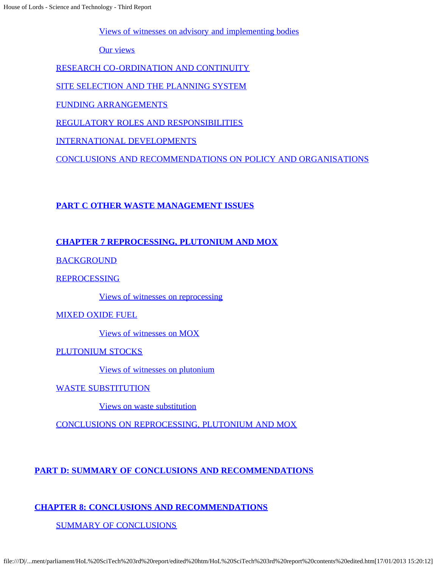[Views of witnesses on advisory and implementing bodies](file:///D|/Home/dks/text/papers%20and%20research/earth%20science/nuclear%20waste%20disposal/government/parliament/HoL%20SciTech%203rd%20report/edited%20htm/4110.htm#a55)

[Our views](file:///D|/Home/dks/text/papers%20and%20research/earth%20science/nuclear%20waste%20disposal/government/parliament/HoL%20SciTech%203rd%20report/edited%20htm/4110.htm#a56)

[RESEARCH CO-ORDINATION AND CONTINUITY](file:///D|/Home/dks/text/papers%20and%20research/earth%20science/nuclear%20waste%20disposal/government/parliament/HoL%20SciTech%203rd%20report/edited%20htm/4110.htm#a57)

[SITE SELECTION AND THE PLANNING SYSTEM](file:///D|/Home/dks/text/papers%20and%20research/earth%20science/nuclear%20waste%20disposal/government/parliament/HoL%20SciTech%203rd%20report/edited%20htm/4110.htm#a58)

[FUNDING ARRANGEMENTS](file:///D|/Home/dks/text/papers%20and%20research/earth%20science/nuclear%20waste%20disposal/government/parliament/HoL%20SciTech%203rd%20report/edited%20htm/4110.htm#a59)

[REGULATORY ROLES AND RESPONSIBILITIES](file:///D|/Home/dks/text/papers%20and%20research/earth%20science/nuclear%20waste%20disposal/government/parliament/HoL%20SciTech%203rd%20report/edited%20htm/4110.htm#a60)

[INTERNATIONAL DEVELOPMENTS](file:///D|/Home/dks/text/papers%20and%20research/earth%20science/nuclear%20waste%20disposal/government/parliament/HoL%20SciTech%203rd%20report/edited%20htm/4110.htm#a61)

[CONCLUSIONS AND RECOMMENDATIONS ON POLICY AND ORGANISATIONS](file:///D|/Home/dks/text/papers%20and%20research/earth%20science/nuclear%20waste%20disposal/government/parliament/HoL%20SciTech%203rd%20report/edited%20htm/4110.htm#a62)

### **[PART C OTHER WASTE MANAGEMENT ISSUES](file:///D|/Home/dks/text/papers%20and%20research/earth%20science/nuclear%20waste%20disposal/government/parliament/HoL%20SciTech%203rd%20report/edited%20htm/4111.htm)**

### **[CHAPTER 7 REPROCESSING, PLUTONIUM AND MOX](file:///D|/Home/dks/text/papers%20and%20research/earth%20science/nuclear%20waste%20disposal/government/parliament/HoL%20SciTech%203rd%20report/edited%20htm/4111.htm)**

[BACKGROUND](file:///D|/Home/dks/text/papers%20and%20research/earth%20science/nuclear%20waste%20disposal/government/parliament/HoL%20SciTech%203rd%20report/edited%20htm/4111.htm#a63)

[REPROCESSING](file:///D|/Home/dks/text/papers%20and%20research/earth%20science/nuclear%20waste%20disposal/government/parliament/HoL%20SciTech%203rd%20report/edited%20htm/4111.htm#a64)

[Views of witnesses on reprocessing](file:///D|/Home/dks/text/papers%20and%20research/earth%20science/nuclear%20waste%20disposal/government/parliament/HoL%20SciTech%203rd%20report/edited%20htm/4111.htm#a65)

[MIXED OXIDE FUEL](file:///D|/Home/dks/text/papers%20and%20research/earth%20science/nuclear%20waste%20disposal/government/parliament/HoL%20SciTech%203rd%20report/edited%20htm/4111.htm#a66)

[Views of witnesses on MOX](file:///D|/Home/dks/text/papers%20and%20research/earth%20science/nuclear%20waste%20disposal/government/parliament/HoL%20SciTech%203rd%20report/edited%20htm/4111.htm#a67)

[PLUTONIUM STOCKS](file:///D|/Home/dks/text/papers%20and%20research/earth%20science/nuclear%20waste%20disposal/government/parliament/HoL%20SciTech%203rd%20report/edited%20htm/4111.htm#a68)

[Views of witnesses on plutonium](file:///D|/Home/dks/text/papers%20and%20research/earth%20science/nuclear%20waste%20disposal/government/parliament/HoL%20SciTech%203rd%20report/edited%20htm/4111.htm#a69)

[WASTE SUBSTITUTION](file:///D|/Home/dks/text/papers%20and%20research/earth%20science/nuclear%20waste%20disposal/government/parliament/HoL%20SciTech%203rd%20report/edited%20htm/4112.htm)

[Views on waste substitution](file:///D|/Home/dks/text/papers%20and%20research/earth%20science/nuclear%20waste%20disposal/government/parliament/HoL%20SciTech%203rd%20report/edited%20htm/4112.htm#a70)

[CONCLUSIONS ON REPROCESSING, PLUTONIUM AND MOX](file:///D|/Home/dks/text/papers%20and%20research/earth%20science/nuclear%20waste%20disposal/government/parliament/HoL%20SciTech%203rd%20report/edited%20htm/4112.htm#a71)

**[PART D: SUMMARY OF CONCLUSIONS AND RECOMMENDATIONS](file:///D|/Home/dks/text/papers%20and%20research/earth%20science/nuclear%20waste%20disposal/government/parliament/HoL%20SciTech%203rd%20report/edited%20htm/4113.htm)**

### **[CHAPTER 8: CONCLUSIONS AND RECOMMENDATIONS](file:///D|/Home/dks/text/papers%20and%20research/earth%20science/nuclear%20waste%20disposal/government/parliament/HoL%20SciTech%203rd%20report/edited%20htm/4113.htm)**

[SUMMARY OF CONCLUSIONS](file:///D|/Home/dks/text/papers%20and%20research/earth%20science/nuclear%20waste%20disposal/government/parliament/HoL%20SciTech%203rd%20report/edited%20htm/4113.htm#a72)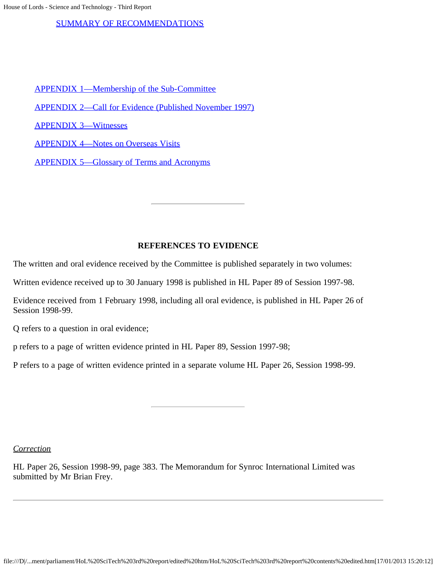#### [SUMMARY OF RECOMMENDATIONS](file:///D|/Home/dks/text/papers%20and%20research/earth%20science/nuclear%20waste%20disposal/government/parliament/HoL%20SciTech%203rd%20report/edited%20htm/4113.htm#a73)

- [APPENDIX 1—Membership of the Sub-Committee](file:///D|/Home/dks/text/papers%20and%20research/earth%20science/nuclear%20waste%20disposal/government/parliament/HoL%20SciTech%203rd%20report/edited%20htm/4114.htm)
- [APPENDIX 2—Call for Evidence \(Published November 1997\)](file:///D|/Home/dks/text/papers%20and%20research/earth%20science/nuclear%20waste%20disposal/government/parliament/HoL%20SciTech%203rd%20report/edited%20htm/4115.htm)
- [APPENDIX 3—Witnesses](file:///D|/Home/dks/text/papers%20and%20research/earth%20science/nuclear%20waste%20disposal/government/parliament/HoL%20SciTech%203rd%20report/edited%20htm/4116.htm)
- [APPENDIX 4—Notes on Overseas Visits](file:///D|/Home/dks/text/papers%20and%20research/earth%20science/nuclear%20waste%20disposal/government/parliament/HoL%20SciTech%203rd%20report/edited%20htm/4117.htm)
- [APPENDIX 5—Glossary of Terms and Acronyms](file:///D|/Home/dks/text/papers%20and%20research/earth%20science/nuclear%20waste%20disposal/government/parliament/HoL%20SciTech%203rd%20report/edited%20htm/4118.htm)

### **REFERENCES TO EVIDENCE**

The written and oral evidence received by the Committee is published separately in two volumes:

Written evidence received up to 30 January 1998 is published in HL Paper 89 of Session 1997-98.

Evidence received from 1 February 1998, including all oral evidence, is published in HL Paper 26 of Session 1998-99.

Q refers to a question in oral evidence;

p refers to a page of written evidence printed in HL Paper 89, Session 1997-98;

P refers to a page of written evidence printed in a separate volume HL Paper 26, Session 1998-99.

*Correction*

HL Paper 26, Session 1998-99, page 383. The Memorandum for Synroc International Limited was submitted by Mr Brian Frey.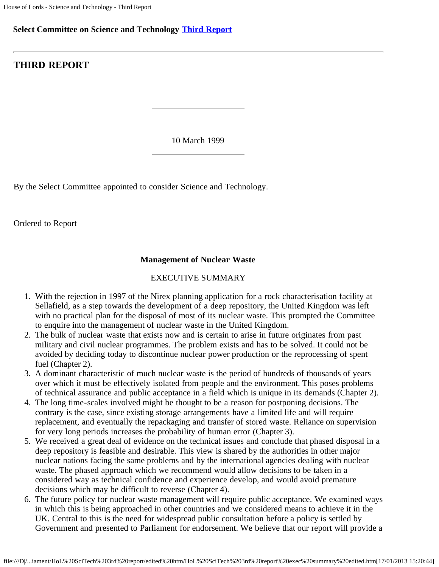### **Select Committee on Science and Technology [Third Report](file:///D|/Home/dks/text/papers%20and%20research/earth%20science/nuclear%20waste%20disposal/government/parliament/HoL%20SciTech%203rd%20report/edited%20htm/4101.htm)**

### **THIRD REPORT**

10 March 1999

By the Select Committee appointed to consider Science and Technology.

Ordered to Report

### **Management of Nuclear Waste**

#### EXECUTIVE SUMMARY

- 1. With the rejection in 1997 of the Nirex planning application for a rock characterisation facility at Sellafield, as a step towards the development of a deep repository, the United Kingdom was left with no practical plan for the disposal of most of its nuclear waste. This prompted the Committee to enquire into the management of nuclear waste in the United Kingdom.
- 2. The bulk of nuclear waste that exists now and is certain to arise in future originates from past military and civil nuclear programmes. The problem exists and has to be solved. It could not be avoided by deciding today to discontinue nuclear power production or the reprocessing of spent fuel (Chapter 2).
- 3. A dominant characteristic of much nuclear waste is the period of hundreds of thousands of years over which it must be effectively isolated from people and the environment. This poses problems of technical assurance and public acceptance in a field which is unique in its demands (Chapter 2).
- 4. The long time-scales involved might be thought to be a reason for postponing decisions. The contrary is the case, since existing storage arrangements have a limited life and will require replacement, and eventually the repackaging and transfer of stored waste. Reliance on supervision for very long periods increases the probability of human error (Chapter 3).
- 5. We received a great deal of evidence on the technical issues and conclude that phased disposal in a deep repository is feasible and desirable. This view is shared by the authorities in other major nuclear nations facing the same problems and by the international agencies dealing with nuclear waste. The phased approach which we recommend would allow decisions to be taken in a considered way as technical confidence and experience develop, and would avoid premature decisions which may be difficult to reverse (Chapter 4).
- 6. The future policy for nuclear waste management will require public acceptance. We examined ways in which this is being approached in other countries and we considered means to achieve it in the UK. Central to this is the need for widespread public consultation before a policy is settled by Government and presented to Parliament for endorsement. We believe that our report will provide a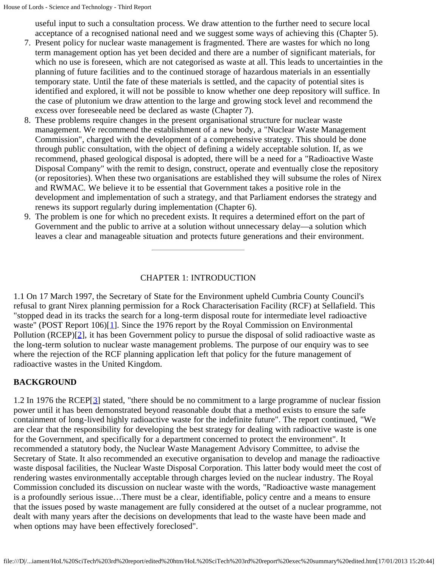useful input to such a consultation process. We draw attention to the further need to secure local acceptance of a recognised national need and we suggest some ways of achieving this (Chapter 5).

- 7. Present policy for nuclear waste management is fragmented. There are wastes for which no long term management option has yet been decided and there are a number of significant materials, for which no use is foreseen, which are not categorised as waste at all. This leads to uncertainties in the planning of future facilities and to the continued storage of hazardous materials in an essentially temporary state. Until the fate of these materials is settled, and the capacity of potential sites is identified and explored, it will not be possible to know whether one deep repository will suffice. In the case of plutonium we draw attention to the large and growing stock level and recommend the excess over foreseeable need be declared as waste (Chapter 7).
- 8. These problems require changes in the present organisational structure for nuclear waste management. We recommend the establishment of a new body, a "Nuclear Waste Management Commission", charged with the development of a comprehensive strategy. This should be done through public consultation, with the object of defining a widely acceptable solution. If, as we recommend, phased geological disposal is adopted, there will be a need for a "Radioactive Waste Disposal Company" with the remit to design, construct, operate and eventually close the repository (or repositories). When these two organisations are established they will subsume the roles of Nirex and RWMAC. We believe it to be essential that Government takes a positive role in the development and implementation of such a strategy, and that Parliament endorses the strategy and renews its support regularly during implementation (Chapter 6).
- 9. The problem is one for which no precedent exists. It requires a determined effort on the part of Government and the public to arrive at a solution without unnecessary delay—a solution which leaves a clear and manageable situation and protects future generations and their environment.

### CHAPTER 1: INTRODUCTION

<span id="page-6-1"></span><span id="page-6-0"></span>1.1 On 17 March 1997, the Secretary of State for the Environment upheld Cumbria County Council's refusal to grant Nirex planning permission for a Rock Characterisation Facility (RCF) at Sellafield. This "stopped dead in its tracks the search for a long-term disposal route for intermediate level radioactive waste" (POST Report [1](#page-10-0)06)[1]. Since the 1976 report by the Royal Commission on Environmental Pollution (RCEP)[\[2](#page-10-1)], it has been Government policy to pursue the disposal of solid radioactive waste as the long-term solution to nuclear waste management problems. The purpose of our enquiry was to see where the rejection of the RCF planning application left that policy for the future management of radioactive wastes in the United Kingdom.

### **BACKGROUND**

<span id="page-6-2"></span>1.2 In 1976 the RCEP[[3](#page-11-0)] stated, "there should be no commitment to a large programme of nuclear fission power until it has been demonstrated beyond reasonable doubt that a method exists to ensure the safe containment of long-lived highly radioactive waste for the indefinite future". The report continued, "We are clear that the responsibility for developing the best strategy for dealing with radioactive waste is one for the Government, and specifically for a department concerned to protect the environment". It recommended a statutory body, the Nuclear Waste Management Advisory Committee, to advise the Secretary of State. It also recommended an executive organisation to develop and manage the radioactive waste disposal facilities, the Nuclear Waste Disposal Corporation. This latter body would meet the cost of rendering wastes environmentally acceptable through charges levied on the nuclear industry. The Royal Commission concluded its discussion on nuclear waste with the words, "Radioactive waste management is a profoundly serious issue…There must be a clear, identifiable, policy centre and a means to ensure that the issues posed by waste management are fully considered at the outset of a nuclear programme, not dealt with many years after the decisions on developments that lead to the waste have been made and when options may have been effectively foreclosed".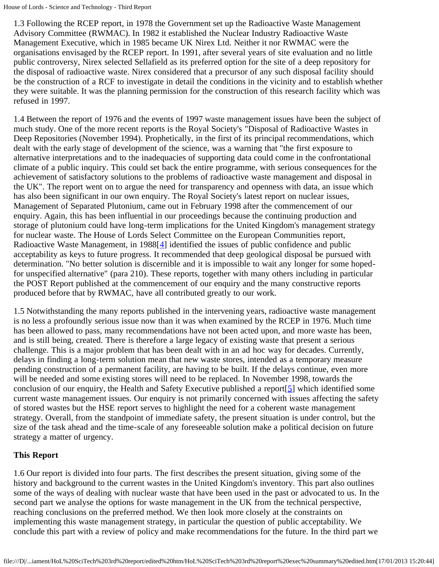1.3 Following the RCEP report, in 1978 the Government set up the Radioactive Waste Management Advisory Committee (RWMAC). In 1982 it established the Nuclear Industry Radioactive Waste Management Executive, which in 1985 became UK Nirex Ltd. Neither it nor RWMAC were the organisations envisaged by the RCEP report. In 1991, after several years of site evaluation and no little public controversy, Nirex selected Sellafield as its preferred option for the site of a deep repository for the disposal of radioactive waste. Nirex considered that a precursor of any such disposal facility should be the construction of a RCF to investigate in detail the conditions in the vicinity and to establish whether they were suitable. It was the planning permission for the construction of this research facility which was refused in 1997.

1.4 Between the report of 1976 and the events of 1997 waste management issues have been the subject of much study. One of the more recent reports is the Royal Society's "Disposal of Radioactive Wastes in Deep Repositories (November 1994). Prophetically, in the first of its principal recommendations, which dealt with the early stage of development of the science, was a warning that "the first exposure to alternative interpretations and to the inadequacies of supporting data could come in the confrontational climate of a public inquiry. This could set back the entire programme, with serious consequences for the achievement of satisfactory solutions to the problems of radioactive waste management and disposal in the UK". The report went on to argue the need for transparency and openness with data, an issue which has also been significant in our own enquiry. The Royal Society's latest report on nuclear issues, Management of Separated Plutonium, came out in February 1998 after the commencement of our enquiry. Again, this has been influential in our proceedings because the continuing production and storage of plutonium could have long-term implications for the United Kingdom's management strategy for nuclear waste. The House of Lords Select Committee on the European Communities report, Radioactive Waste Management, in 1988[[4](#page-11-1)] identified the issues of public confidence and public acceptability as keys to future progress. It recommended that deep geological disposal be pursued with determination. "No better solution is discernible and it is impossible to wait any longer for some hopedfor unspecified alternative" (para 210). These reports, together with many others including in particular the POST Report published at the commencement of our enquiry and the many constructive reports produced before that by RWMAC, have all contributed greatly to our work.

<span id="page-7-0"></span>1.5 Notwithstanding the many reports published in the intervening years, radioactive waste management is no less a profoundly serious issue now than it was when examined by the RCEP in 1976. Much time has been allowed to pass, many recommendations have not been acted upon, and more waste has been, and is still being, created. There is therefore a large legacy of existing waste that present a serious challenge. This is a major problem that has been dealt with in an ad hoc way for decades. Currently, delays in finding a long-term solution mean that new waste stores, intended as a temporary measure pending construction of a permanent facility, are having to be built. If the delays continue, even more will be needed and some existing stores will need to be replaced. In November 1998, towards the conclusion of our enquiry, the Health and Safety Executive published a report  $[5]$  $[5]$  which identified some current waste management issues. Our enquiry is not primarily concerned with issues affecting the safety of stored wastes but the HSE report serves to highlight the need for a coherent waste management strategy. Overall, from the standpoint of immediate safety, the present situation is under control, but the size of the task ahead and the time-scale of any foreseeable solution make a political decision on future strategy a matter of urgency.

### <span id="page-7-1"></span>**This Report**

1.6 Our report is divided into four parts. The first describes the present situation, giving some of the history and background to the current wastes in the United Kingdom's inventory. This part also outlines some of the ways of dealing with nuclear waste that have been used in the past or advocated to us. In the second part we analyse the options for waste management in the UK from the technical perspective, reaching conclusions on the preferred method. We then look more closely at the constraints on implementing this waste management strategy, in particular the question of public acceptability. We conclude this part with a review of policy and make recommendations for the future. In the third part we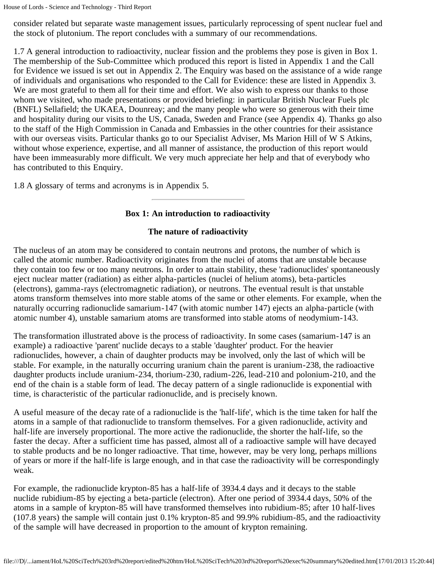consider related but separate waste management issues, particularly reprocessing of spent nuclear fuel and the stock of plutonium. The report concludes with a summary of our recommendations.

1.7 A general introduction to radioactivity, nuclear fission and the problems they pose is given in Box 1. The membership of the Sub-Committee which produced this report is listed in Appendix 1 and the Call for Evidence we issued is set out in Appendix 2. The Enquiry was based on the assistance of a wide range of individuals and organisations who responded to the Call for Evidence: these are listed in Appendix 3. We are most grateful to them all for their time and effort. We also wish to express our thanks to those whom we visited, who made presentations or provided briefing: in particular British Nuclear Fuels plc (BNFL) Sellafield; the UKAEA, Dounreay; and the many people who were so generous with their time and hospitality during our visits to the US, Canada, Sweden and France (see Appendix 4). Thanks go also to the staff of the High Commission in Canada and Embassies in the other countries for their assistance with our overseas visits. Particular thanks go to our Specialist Adviser, Ms Marion Hill of W S Atkins, without whose experience, expertise, and all manner of assistance, the production of this report would have been immeasurably more difficult. We very much appreciate her help and that of everybody who has contributed to this Enquiry.

1.8 A glossary of terms and acronyms is in Appendix 5.

### **Box 1: An introduction to radioactivity**

### **The nature of radioactivity**

The nucleus of an atom may be considered to contain neutrons and protons, the number of which is called the atomic number. Radioactivity originates from the nuclei of atoms that are unstable because they contain too few or too many neutrons. In order to attain stability, these 'radionuclides' spontaneously eject nuclear matter (radiation) as either alpha-particles (nuclei of helium atoms), beta-particles (electrons), gamma-rays (electromagnetic radiation), or neutrons. The eventual result is that unstable atoms transform themselves into more stable atoms of the same or other elements. For example, when the naturally occurring radionuclide samarium-147 (with atomic number 147) ejects an alpha-particle (with atomic number 4), unstable samarium atoms are transformed into stable atoms of neodymium-143.

The transformation illustrated above is the process of radioactivity. In some cases (samarium-147 is an example) a radioactive 'parent' nuclide decays to a stable 'daughter' product. For the heavier radionuclides, however, a chain of daughter products may be involved, only the last of which will be stable. For example, in the naturally occurring uranium chain the parent is uranium-238, the radioactive daughter products include uranium-234, thorium-230, radium-226, lead-210 and polonium-210, and the end of the chain is a stable form of lead. The decay pattern of a single radionuclide is exponential with time, is characteristic of the particular radionuclide, and is precisely known.

A useful measure of the decay rate of a radionuclide is the 'half-life', which is the time taken for half the atoms in a sample of that radionuclide to transform themselves. For a given radionuclide, activity and half-life are inversely proportional. The more active the radionuclide, the shorter the half-life, so the faster the decay. After a sufficient time has passed, almost all of a radioactive sample will have decayed to stable products and be no longer radioactive. That time, however, may be very long, perhaps millions of years or more if the half-life is large enough, and in that case the radioactivity will be correspondingly weak.

For example, the radionuclide krypton-85 has a half-life of 3934.4 days and it decays to the stable nuclide rubidium-85 by ejecting a beta-particle (electron). After one period of 3934.4 days, 50% of the atoms in a sample of krypton-85 will have transformed themselves into rubidium-85; after 10 half-lives (107.8 years) the sample will contain just 0.1% krypton-85 and 99.9% rubidium-85, and the radioactivity of the sample will have decreased in proportion to the amount of krypton remaining.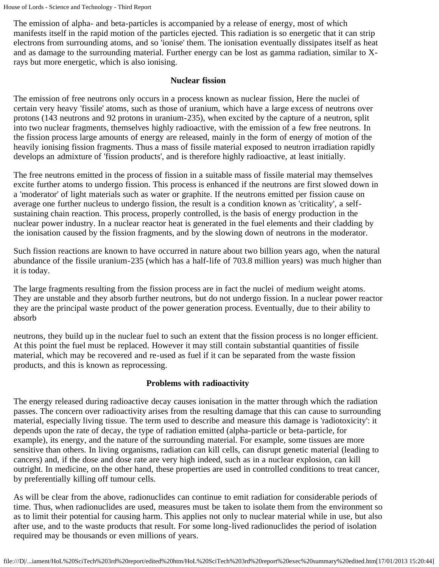```
House of Lords - Science and Technology - Third Report
```
The emission of alpha- and beta-particles is accompanied by a release of energy, most of which manifests itself in the rapid motion of the particles ejected. This radiation is so energetic that it can strip electrons from surrounding atoms, and so 'ionise' them. The ionisation eventually dissipates itself as heat and as damage to the surrounding material. Further energy can be lost as gamma radiation, similar to Xrays but more energetic, which is also ionising.

### **Nuclear fission**

The emission of free neutrons only occurs in a process known as nuclear fission, Here the nuclei of certain very heavy 'fissile' atoms, such as those of uranium, which have a large excess of neutrons over protons (143 neutrons and 92 protons in uranium-235), when excited by the capture of a neutron, split into two nuclear fragments, themselves highly radioactive, with the emission of a few free neutrons. In the fission process large amounts of energy are released, mainly in the form of energy of motion of the heavily ionising fission fragments. Thus a mass of fissile material exposed to neutron irradiation rapidly develops an admixture of 'fission products', and is therefore highly radioactive, at least initially.

The free neutrons emitted in the process of fission in a suitable mass of fissile material may themselves excite further atoms to undergo fission. This process is enhanced if the neutrons are first slowed down in a 'moderator' of light materials such as water or graphite. If the neutrons emitted per fission cause on average one further nucleus to undergo fission, the result is a condition known as 'criticality', a selfsustaining chain reaction. This process, properly controlled, is the basis of energy production in the nuclear power industry. In a nuclear reactor heat is generated in the fuel elements and their cladding by the ionisation caused by the fission fragments, and by the slowing down of neutrons in the moderator.

Such fission reactions are known to have occurred in nature about two billion years ago, when the natural abundance of the fissile uranium-235 (which has a half-life of 703.8 million years) was much higher than it is today.

The large fragments resulting from the fission process are in fact the nuclei of medium weight atoms. They are unstable and they absorb further neutrons, but do not undergo fission. In a nuclear power reactor they are the principal waste product of the power generation process. Eventually, due to their ability to absorb

neutrons, they build up in the nuclear fuel to such an extent that the fission process is no longer efficient. At this point the fuel must be replaced. However it may still contain substantial quantities of fissile material, which may be recovered and re-used as fuel if it can be separated from the waste fission products, and this is known as reprocessing.

### **Problems with radioactivity**

The energy released during radioactive decay causes ionisation in the matter through which the radiation passes. The concern over radioactivity arises from the resulting damage that this can cause to surrounding material, especially living tissue. The term used to describe and measure this damage is 'radiotoxicity': it depends upon the rate of decay, the type of radiation emitted (alpha-particle or beta-particle, for example), its energy, and the nature of the surrounding material. For example, some tissues are more sensitive than others. In living organisms, radiation can kill cells, can disrupt genetic material (leading to cancers) and, if the dose and dose rate are very high indeed, such as in a nuclear explosion, can kill outright. In medicine, on the other hand, these properties are used in controlled conditions to treat cancer, by preferentially killing off tumour cells.

As will be clear from the above, radionuclides can continue to emit radiation for considerable periods of time. Thus, when radionuclides are used, measures must be taken to isolate them from the environment so as to limit their potential for causing harm. This applies not only to nuclear material while in use, but also after use, and to the waste products that result. For some long-lived radionuclides the period of isolation required may be thousands or even millions of years.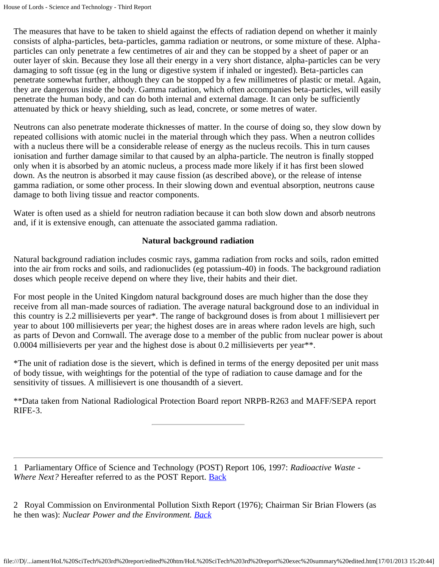The measures that have to be taken to shield against the effects of radiation depend on whether it mainly consists of alpha-particles, beta-particles, gamma radiation or neutrons, or some mixture of these. Alphaparticles can only penetrate a few centimetres of air and they can be stopped by a sheet of paper or an outer layer of skin. Because they lose all their energy in a very short distance, alpha-particles can be very damaging to soft tissue (eg in the lung or digestive system if inhaled or ingested). Beta-particles can penetrate somewhat further, although they can be stopped by a few millimetres of plastic or metal. Again, they are dangerous inside the body. Gamma radiation, which often accompanies beta-particles, will easily penetrate the human body, and can do both internal and external damage. It can only be sufficiently attenuated by thick or heavy shielding, such as lead, concrete, or some metres of water.

Neutrons can also penetrate moderate thicknesses of matter. In the course of doing so, they slow down by repeated collisions with atomic nuclei in the material through which they pass. When a neutron collides with a nucleus there will be a considerable release of energy as the nucleus recoils. This in turn causes ionisation and further damage similar to that caused by an alpha-particle. The neutron is finally stopped only when it is absorbed by an atomic nucleus, a process made more likely if it has first been slowed down. As the neutron is absorbed it may cause fission (as described above), or the release of intense gamma radiation, or some other process. In their slowing down and eventual absorption, neutrons cause damage to both living tissue and reactor components.

Water is often used as a shield for neutron radiation because it can both slow down and absorb neutrons and, if it is extensive enough, can attenuate the associated gamma radiation.

### **Natural background radiation**

Natural background radiation includes cosmic rays, gamma radiation from rocks and soils, radon emitted into the air from rocks and soils, and radionuclides (eg potassium-40) in foods. The background radiation doses which people receive depend on where they live, their habits and their diet.

For most people in the United Kingdom natural background doses are much higher than the dose they receive from all man-made sources of radiation. The average natural background dose to an individual in this country is 2.2 millisieverts per year\*. The range of background doses is from about 1 millisievert per year to about 100 millisieverts per year; the highest doses are in areas where radon levels are high, such as parts of Devon and Cornwall. The average dose to a member of the public from nuclear power is about 0.0004 millisieverts per year and the highest dose is about 0.2 millisieverts per year\*\*.

\*The unit of radiation dose is the sievert, which is defined in terms of the energy deposited per unit mass of body tissue, with weightings for the potential of the type of radiation to cause damage and for the sensitivity of tissues. A millisievert is one thousandth of a sievert.

\*\*Data taken from National Radiological Protection Board report NRPB-R263 and MAFF/SEPA report RIFE-3.

<span id="page-10-0"></span>1 Parliamentary Office of Science and Technology (POST) Report 106, 1997: *Radioactive Waste - Where Next?* Hereafter referred to as the POST Report. **Back** 

<span id="page-10-1"></span>2 Royal Commission on Environmental Pollution Sixth Report (1976); Chairman Sir Brian Flowers (as he then was): *Nuclear Power and the Environment. [Back](#page-6-1)*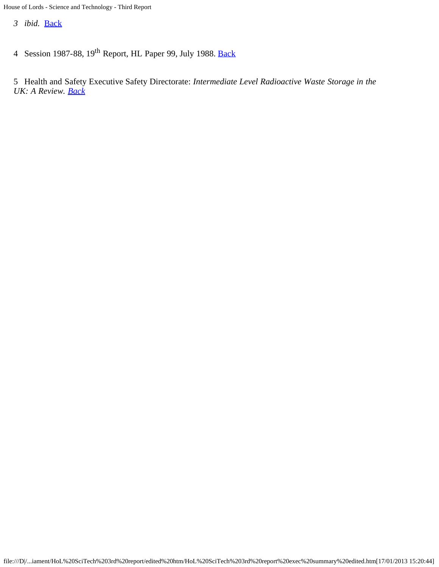<span id="page-11-0"></span>*3 ibid.* [Back](#page-6-2)

<span id="page-11-1"></span>4 Session 1987-88, 19<sup>th</sup> Report, HL Paper 99, July 1988. [Back](#page-7-0)

<span id="page-11-2"></span>5 Health and Safety Executive Safety Directorate: *Intermediate Level Radioactive Waste Storage in the UK: A Review. [Back](#page-7-1)*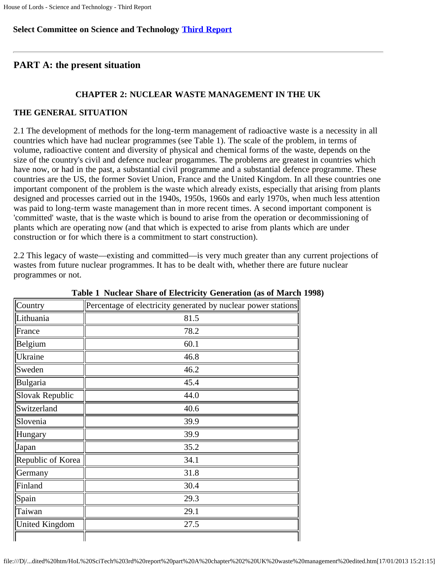### **Select Committee on Science and Technology [Third Report](file:///D|/Home/dks/text/papers%20and%20research/earth%20science/nuclear%20waste%20disposal/government/parliament/HoL%20SciTech%203rd%20report/edited%20htm/4101.htm)**

### **PART A: the present situation**

### **CHAPTER 2: NUCLEAR WASTE MANAGEMENT IN THE UK**

### **THE GENERAL SITUATION**

2.1 The development of methods for the long-term management of radioactive waste is a necessity in all countries which have had nuclear programmes (see Table 1). The scale of the problem, in terms of volume, radioactive content and diversity of physical and chemical forms of the waste, depends on the size of the country's civil and defence nuclear progammes. The problems are greatest in countries which have now, or had in the past, a substantial civil programme and a substantial defence programme. These countries are the US, the former Soviet Union, France and the United Kingdom. In all these countries one important component of the problem is the waste which already exists, especially that arising from plants designed and processes carried out in the 1940s, 1950s, 1960s and early 1970s, when much less attention was paid to long-term waste management than in more recent times. A second important component is 'committed' waste, that is the waste which is bound to arise from the operation or decommissioning of plants which are operating now (and that which is expected to arise from plants which are under construction or for which there is a commitment to start construction).

2.2 This legacy of waste—existing and committed—is very much greater than any current projections of wastes from future nuclear programmes. It has to be dealt with, whether there are future nuclear programmes or not.

| Country               | Percentage of electricity generated by nuclear power stations |
|-----------------------|---------------------------------------------------------------|
| Lithuania             | 81.5                                                          |
| France                | 78.2                                                          |
| Belgium               | 60.1                                                          |
| <b>Ukraine</b>        | 46.8                                                          |
| Sweden                | 46.2                                                          |
| Bulgaria              | 45.4                                                          |
| Slovak Republic       | 44.0                                                          |
| Switzerland           | 40.6                                                          |
| Slovenia              | 39.9                                                          |
| Hungary               | 39.9                                                          |
| Japan                 | 35.2                                                          |
| Republic of Korea     | 34.1                                                          |
| Germany               | 31.8                                                          |
| Finland               | 30.4                                                          |
| Spain                 | 29.3                                                          |
| Taiwan                | 29.1                                                          |
| <b>United Kingdom</b> | 27.5                                                          |
|                       |                                                               |

#### **Table 1 Nuclear Share of Electricity Generation (as of March 1998)**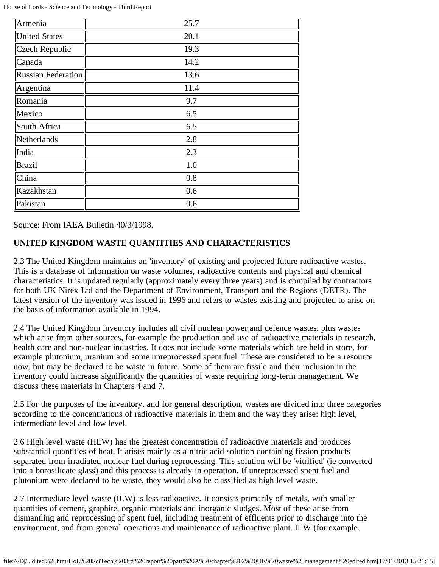| Armenia                   | 25.7 |
|---------------------------|------|
| <b>United States</b>      | 20.1 |
| Czech Republic            | 19.3 |
| Canada                    | 14.2 |
| <b>Russian Federation</b> | 13.6 |
| Argentina                 | 11.4 |
| Romania                   | 9.7  |
| Mexico                    | 6.5  |
| South Africa              | 6.5  |
| Netherlands               | 2.8  |
| India                     | 2.3  |
| <b>Brazil</b>             | 1.0  |
| China                     | 0.8  |
| Kazakhstan                | 0.6  |
| Pakistan                  | 0.6  |

Source: From IAEA Bulletin 40/3/1998.

### **UNITED KINGDOM WASTE QUANTITIES AND CHARACTERISTICS**

2.3 The United Kingdom maintains an 'inventory' of existing and projected future radioactive wastes. This is a database of information on waste volumes, radioactive contents and physical and chemical characteristics. It is updated regularly (approximately every three years) and is compiled by contractors for both UK Nirex Ltd and the Department of Environment, Transport and the Regions (DETR). The latest version of the inventory was issued in 1996 and refers to wastes existing and projected to arise on the basis of information available in 1994.

2.4 The United Kingdom inventory includes all civil nuclear power and defence wastes, plus wastes which arise from other sources, for example the production and use of radioactive materials in research, health care and non-nuclear industries. It does not include some materials which are held in store, for example plutonium, uranium and some unreprocessed spent fuel. These are considered to be a resource now, but may be declared to be waste in future. Some of them are fissile and their inclusion in the inventory could increase significantly the quantities of waste requiring long-term management. We discuss these materials in Chapters 4 and 7.

2.5 For the purposes of the inventory, and for general description, wastes are divided into three categories according to the concentrations of radioactive materials in them and the way they arise: high level, intermediate level and low level.

2.6 High level waste (HLW) has the greatest concentration of radioactive materials and produces substantial quantities of heat. It arises mainly as a nitric acid solution containing fission products separated from irradiated nuclear fuel during reprocessing. This solution will be 'vitrified' (ie converted into a borosilicate glass) and this process is already in operation. If unreprocessed spent fuel and plutonium were declared to be waste, they would also be classified as high level waste.

2.7 Intermediate level waste (ILW) is less radioactive. It consists primarily of metals, with smaller quantities of cement, graphite, organic materials and inorganic sludges. Most of these arise from dismantling and reprocessing of spent fuel, including treatment of effluents prior to discharge into the environment, and from general operations and maintenance of radioactive plant. ILW (for example,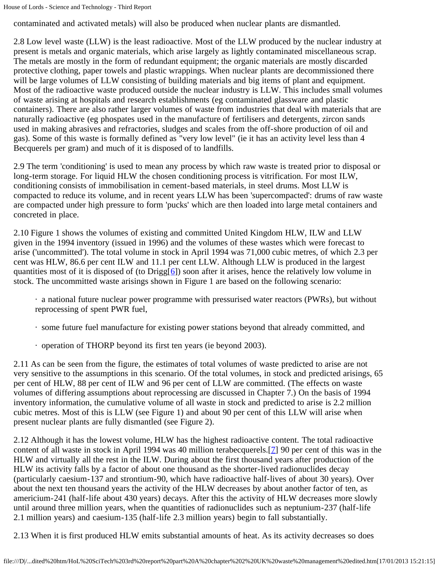contaminated and activated metals) will also be produced when nuclear plants are dismantled.

2.8 Low level waste (LLW) is the least radioactive. Most of the LLW produced by the nuclear industry at present is metals and organic materials, which arise largely as lightly contaminated miscellaneous scrap. The metals are mostly in the form of redundant equipment; the organic materials are mostly discarded protective clothing, paper towels and plastic wrappings. When nuclear plants are decommissioned there will be large volumes of LLW consisting of building materials and big items of plant and equipment. Most of the radioactive waste produced outside the nuclear industry is LLW. This includes small volumes of waste arising at hospitals and research establishments (eg contaminated glassware and plastic containers). There are also rather larger volumes of waste from industries that deal with materials that are naturally radioactive (eg phospates used in the manufacture of fertilisers and detergents, zircon sands used in making abrasives and refractories, sludges and scales from the off-shore production of oil and gas). Some of this waste is formally defined as "very low level" (ie it has an activity level less than 4 Becquerels per gram) and much of it is disposed of to landfills.

2.9 The term 'conditioning' is used to mean any process by which raw waste is treated prior to disposal or long-term storage. For liquid HLW the chosen conditioning process is vitrification. For most ILW, conditioning consists of immobilisation in cement-based materials, in steel drums. Most LLW is compacted to reduce its volume, and in recent years LLW has been 'supercompacted': drums of raw waste are compacted under high pressure to form 'pucks' which are then loaded into large metal containers and concreted in place.

2.10 Figure 1 shows the volumes of existing and committed United Kingdom HLW, ILW and LLW given in the 1994 inventory (issued in 1996) and the volumes of these wastes which were forecast to arise ('uncommitted'). The total volume in stock in April 1994 was 71,000 cubic metres, of which 2.3 per cent was HLW, 86.6 per cent ILW and 11.1 per cent LLW. Although LLW is produced in the largest quantities most of it is disposed of (to Drigg[ $\sigma$ ]) soon after it arises, hence the relatively low volume in stock. The uncommitted waste arisings shown in Figure 1 are based on the following scenario:

· a national future nuclear power programme with pressurised water reactors (PWRs), but without reprocessing of spent PWR fuel,

- · some future fuel manufacture for existing power stations beyond that already committed, and
- · operation of THORP beyond its first ten years (ie beyond 2003).

2.11 As can be seen from the figure, the estimates of total volumes of waste predicted to arise are not very sensitive to the assumptions in this scenario. Of the total volumes, in stock and predicted arisings, 65 per cent of HLW, 88 per cent of ILW and 96 per cent of LLW are committed. (The effects on waste volumes of differing assumptions about reprocessing are discussed in Chapter 7.) On the basis of 1994 inventory information, the cumulative volume of all waste in stock and predicted to arise is 2.2 million cubic metres. Most of this is LLW (see Figure 1) and about 90 per cent of this LLW will arise when present nuclear plants are fully dismantled (see Figure 2).

2.12 Although it has the lowest volume, HLW has the highest radioactive content. The total radioactive content of all waste in stock in April 1994 was 40 million terabecquerels.[7] 90 per cent of this was in the HLW and virtually all the rest in the ILW. During about the first thousand years after production of the HLW its activity falls by a factor of about one thousand as the shorter-lived radionuclides decay (particularly caesium-137 and strontium-90, which have radioactive half-lives of about 30 years). Over about the next ten thousand years the activity of the HLW decreases by about another factor of ten, as americium-241 (half-life about 430 years) decays. After this the activity of HLW decreases more slowly until around three million years, when the quantities of radionuclides such as neptunium-237 (half-life 2.1 million years) and caesium-135 (half-life 2.3 million years) begin to fall substantially.

2.13 When it is first produced HLW emits substantial amounts of heat. As its activity decreases so does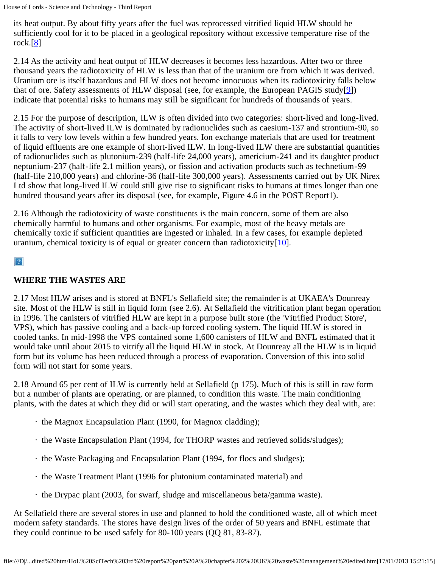its heat output. By about fifty years after the fuel was reprocessed vitrified liquid HLW should be sufficiently cool for it to be placed in a geological repository without excessive temperature rise of the rock. $[8]$ 

2.14 As the activity and heat output of HLW decreases it becomes less hazardous. After two or three thousand years the radiotoxicity of HLW is less than that of the uranium ore from which it was derived. Uranium ore is itself hazardous and HLW does not become innocuous when its radiotoxicity falls below that of ore. Safety assessments of HLW disposal (see, for example, the European PAGIS study[9]) indicate that potential risks to humans may still be significant for hundreds of thousands of years.

2.15 For the purpose of description, ILW is often divided into two categories: short-lived and long-lived. The activity of short-lived ILW is dominated by radionuclides such as caesium-137 and strontium-90, so it falls to very low levels within a few hundred years. Ion exchange materials that are used for treatment of liquid effluents are one example of short-lived ILW. In long-lived ILW there are substantial quantities of radionuclides such as plutonium-239 (half-life 24,000 years), americium-241 and its daughter product neptunium-237 (half-life 2.1 million years), or fission and activation products such as technetium-99 (half-life 210,000 years) and chlorine-36 (half-life 300,000 years). Assessments carried out by UK Nirex Ltd show that long-lived ILW could still give rise to significant risks to humans at times longer than one hundred thousand years after its disposal (see, for example, Figure 4.6 in the POST Report1).

2.16 Although the radiotoxicity of waste constituents is the main concern, some of them are also chemically harmful to humans and other organisms. For example, most of the heavy metals are chemically toxic if sufficient quantities are ingested or inhaled. In a few cases, for example depleted uranium, chemical toxicity is of equal or greater concern than radiotoxicity $[10]$ .

### $\mathbf{P}$

### **WHERE THE WASTES ARE**

2.17 Most HLW arises and is stored at BNFL's Sellafield site; the remainder is at UKAEA's Dounreay site. Most of the HLW is still in liquid form (see 2.6). At Sellafield the vitrification plant began operation in 1996. The canisters of vitrified HLW are kept in a purpose built store (the 'Vitrified Product Store', VPS), which has passive cooling and a back-up forced cooling system. The liquid HLW is stored in cooled tanks. In mid-1998 the VPS contained some 1,600 canisters of HLW and BNFL estimated that it would take until about 2015 to vitrify all the liquid HLW in stock. At Dounreay all the HLW is in liquid form but its volume has been reduced through a process of evaporation. Conversion of this into solid form will not start for some years.

2.18 Around 65 per cent of ILW is currently held at Sellafield (p 175). Much of this is still in raw form but a number of plants are operating, or are planned, to condition this waste. The main conditioning plants, with the dates at which they did or will start operating, and the wastes which they deal with, are:

- · the Magnox Encapsulation Plant (1990, for Magnox cladding);
- · the Waste Encapsulation Plant (1994, for THORP wastes and retrieved solids/sludges);
- · the Waste Packaging and Encapsulation Plant (1994, for flocs and sludges);
- · the Waste Treatment Plant (1996 for plutonium contaminated material) and
- · the Drypac plant (2003, for swarf, sludge and miscellaneous beta/gamma waste).

At Sellafield there are several stores in use and planned to hold the conditioned waste, all of which meet modern safety standards. The stores have design lives of the order of 50 years and BNFL estimate that they could continue to be used safely for 80-100 years (QQ 81, 83-87).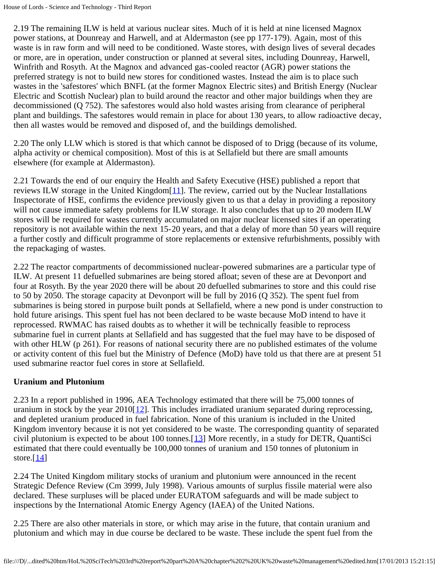2.19 The remaining ILW is held at various nuclear sites. Much of it is held at nine licensed Magnox power stations, at Dounreay and Harwell, and at Aldermaston (see pp 177-179). Again, most of this waste is in raw form and will need to be conditioned. Waste stores, with design lives of several decades or more, are in operation, under construction or planned at several sites, including Dounreay, Harwell, Winfrith and Rosyth. At the Magnox and advanced gas-cooled reactor (AGR) power stations the preferred strategy is not to build new stores for conditioned wastes. Instead the aim is to place such wastes in the 'safestores' which BNFL (at the former Magnox Electric sites) and British Energy (Nuclear Electric and Scottish Nuclear) plan to build around the reactor and other major buildings when they are decommissioned (Q 752). The safestores would also hold wastes arising from clearance of peripheral plant and buildings. The safestores would remain in place for about 130 years, to allow radioactive decay, then all wastes would be removed and disposed of, and the buildings demolished.

2.20 The only LLW which is stored is that which cannot be disposed of to Drigg (because of its volume, alpha activity or chemical composition). Most of this is at Sellafield but there are small amounts elsewhere (for example at Aldermaston).

2.21 Towards the end of our enquiry the Health and Safety Executive (HSE) published a report that reviews ILW storage in the United Kingdom[11]. The review, carried out by the Nuclear Installations Inspectorate of HSE, confirms the evidence previously given to us that a delay in providing a repository will not cause immediate safety problems for ILW storage. It also concludes that up to 20 modern ILW stores will be required for wastes currently accumulated on major nuclear licensed sites if an operating repository is not available within the next 15-20 years, and that a delay of more than 50 years will require a further costly and difficult programme of store replacements or extensive refurbishments, possibly with the repackaging of wastes.

2.22 The reactor compartments of decommissioned nuclear-powered submarines are a particular type of ILW. At present 11 defuelled submarines are being stored afloat; seven of these are at Devonport and four at Rosyth. By the year 2020 there will be about 20 defuelled submarines to store and this could rise to 50 by 2050. The storage capacity at Devonport will be full by 2016 (Q 352). The spent fuel from submarines is being stored in purpose built ponds at Sellafield, where a new pond is under construction to hold future arisings. This spent fuel has not been declared to be waste because MoD intend to have it reprocessed. RWMAC has raised doubts as to whether it will be technically feasible to reprocess submarine fuel in current plants at Sellafield and has suggested that the fuel may have to be disposed of with other HLW (p 261). For reasons of national security there are no published estimates of the volume or activity content of this fuel but the Ministry of Defence (MoD) have told us that there are at present 51 used submarine reactor fuel cores in store at Sellafield.

### **Uranium and Plutonium**

2.23 In a report published in 1996, AEA Technology estimated that there will be 75,000 tonnes of uranium in stock by the year  $2010[12]$ . This includes irradiated uranium separated during reprocessing, and depleted uranium produced in fuel fabrication. None of this uranium is included in the United Kingdom inventory because it is not yet considered to be waste. The corresponding quantity of separated civil plutonium is expected to be about 100 tonnes. $[13]$  More recently, in a study for DETR, QuantiSci estimated that there could eventually be 100,000 tonnes of uranium and 150 tonnes of plutonium in store. $[14]$ 

<span id="page-16-0"></span>2.24 The United Kingdom military stocks of uranium and plutonium were announced in the recent Strategic Defence Review (Cm 3999, July 1998). Various amounts of surplus fissile material were also declared. These surpluses will be placed under EURATOM safeguards and will be made subject to inspections by the International Atomic Energy Agency (IAEA) of the United Nations.

2.25 There are also other materials in store, or which may arise in the future, that contain uranium and plutonium and which may in due course be declared to be waste. These include the spent fuel from the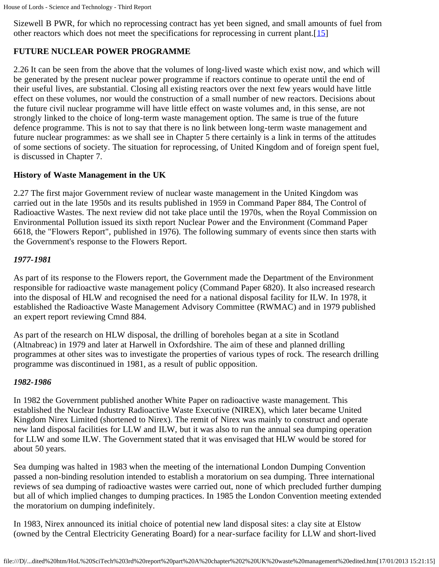Sizewell B PWR, for which no reprocessing contract has yet been signed, and small amounts of fuel from other reactors which does not meet the specifications for reprocessing in current plant. [15]

### **FUTURE NUCLEAR POWER PROGRAMME**

2.26 It can be seen from the above that the volumes of long-lived waste which exist now, and which will be generated by the present nuclear power programme if reactors continue to operate until the end of their useful lives, are substantial. Closing all existing reactors over the next few years would have little effect on these volumes, nor would the construction of a small number of new reactors. Decisions about the future civil nuclear programme will have little effect on waste volumes and, in this sense, are not strongly linked to the choice of long-term waste management option. The same is true of the future defence programme. This is not to say that there is no link between long-term waste management and future nuclear programmes: as we shall see in Chapter 5 there certainly is a link in terms of the attitudes of some sections of society. The situation for reprocessing, of United Kingdom and of foreign spent fuel, is discussed in Chapter 7.

### **History of Waste Management in the UK**

2.27 The first major Government review of nuclear waste management in the United Kingdom was carried out in the late 1950s and its results published in 1959 in Command Paper 884, The Control of Radioactive Wastes. The next review did not take place until the 1970s, when the Royal Commission on Environmental Pollution issued its sixth report Nuclear Power and the Environment (Command Paper 6618, the "Flowers Report", published in 1976). The following summary of events since then starts with the Government's response to the Flowers Report.

### *1977-1981*

As part of its response to the Flowers report, the Government made the Department of the Environment responsible for radioactive waste management policy (Command Paper 6820). It also increased research into the disposal of HLW and recognised the need for a national disposal facility for ILW. In 1978, it established the Radioactive Waste Management Advisory Committee (RWMAC) and in 1979 published an expert report reviewing Cmnd 884.

As part of the research on HLW disposal, the drilling of boreholes began at a site in Scotland (Altnabreac) in 1979 and later at Harwell in Oxfordshire. The aim of these and planned drilling programmes at other sites was to investigate the properties of various types of rock. The research drilling programme was discontinued in 1981, as a result of public opposition.

### *1982-1986*

In 1982 the Government published another White Paper on radioactive waste management. This established the Nuclear Industry Radioactive Waste Executive (NIREX), which later became United Kingdom Nirex Limited (shortened to Nirex). The remit of Nirex was mainly to construct and operate new land disposal facilities for LLW and ILW, but it was also to run the annual sea dumping operation for LLW and some ILW. The Government stated that it was envisaged that HLW would be stored for about 50 years.

Sea dumping was halted in 1983 when the meeting of the international London Dumping Convention passed a non-binding resolution intended to establish a moratorium on sea dumping. Three international reviews of sea dumping of radioactive wastes were carried out, none of which precluded further dumping but all of which implied changes to dumping practices. In 1985 the London Convention meeting extended the moratorium on dumping indefinitely.

In 1983, Nirex announced its initial choice of potential new land disposal sites: a clay site at Elstow (owned by the Central Electricity Generating Board) for a near-surface facility for LLW and short-lived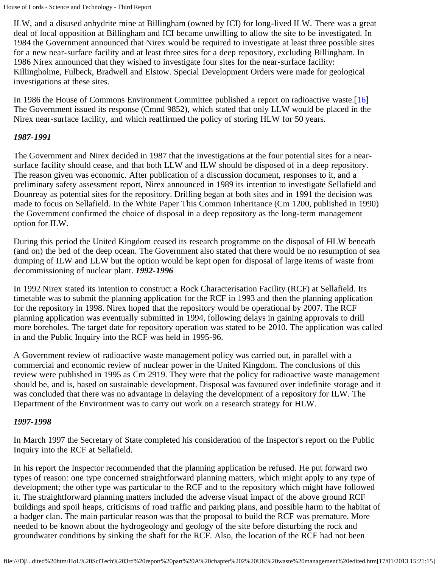ILW, and a disused anhydrite mine at Billingham (owned by ICI) for long-lived ILW. There was a great deal of local opposition at Billingham and ICI became unwilling to allow the site to be investigated. In 1984 the Government announced that Nirex would be required to investigate at least three possible sites for a new near-surface facility and at least three sites for a deep repository, excluding Billingham. In 1986 Nirex announced that they wished to investigate four sites for the near-surface facility: Killingholme, Fulbeck, Bradwell and Elstow. Special Development Orders were made for geological investigations at these sites.

In 1986 the House of Commons Environment Committee published a report on radioactive waste.[16] The Government issued its response (Cmnd 9852), which stated that only LLW would be placed in the Nirex near-surface facility, and which reaffirmed the policy of storing HLW for 50 years.

### *1987-1991*

The Government and Nirex decided in 1987 that the investigations at the four potential sites for a nearsurface facility should cease, and that both LLW and ILW should be disposed of in a deep repository. The reason given was economic. After publication of a discussion document, responses to it, and a preliminary safety assessment report, Nirex announced in 1989 its intention to investigate Sellafield and Dounreay as potential sites for the repository. Drilling began at both sites and in 1991 the decision was made to focus on Sellafield. In the White Paper This Common Inheritance (Cm 1200, published in 1990) the Government confirmed the choice of disposal in a deep repository as the long-term management option for ILW.

During this period the United Kingdom ceased its research programme on the disposal of HLW beneath (and on) the bed of the deep ocean. The Government also stated that there would be no resumption of sea dumping of ILW and LLW but the option would be kept open for disposal of large items of waste from decommissioning of nuclear plant. *1992-1996*

In 1992 Nirex stated its intention to construct a Rock Characterisation Facility (RCF) at Sellafield. Its timetable was to submit the planning application for the RCF in 1993 and then the planning application for the repository in 1998. Nirex hoped that the repository would be operational by 2007. The RCF planning application was eventually submitted in 1994, following delays in gaining approvals to drill more boreholes. The target date for repository operation was stated to be 2010. The application was called in and the Public Inquiry into the RCF was held in 1995-96.

A Government review of radioactive waste management policy was carried out, in parallel with a commercial and economic review of nuclear power in the United Kingdom. The conclusions of this review were published in 1995 as Cm 2919. They were that the policy for radioactive waste management should be, and is, based on sustainable development. Disposal was favoured over indefinite storage and it was concluded that there was no advantage in delaying the development of a repository for ILW. The Department of the Environment was to carry out work on a research strategy for HLW.

### *1997-1998*

In March 1997 the Secretary of State completed his consideration of the Inspector's report on the Public Inquiry into the RCF at Sellafield.

In his report the Inspector recommended that the planning application be refused. He put forward two types of reason: one type concerned straightforward planning matters, which might apply to any type of development; the other type was particular to the RCF and to the repository which might have followed it. The straightforward planning matters included the adverse visual impact of the above ground RCF buildings and spoil heaps, criticisms of road traffic and parking plans, and possible harm to the habitat of a badger clan. The main particular reason was that the proposal to build the RCF was premature. More needed to be known about the hydrogeology and geology of the site before disturbing the rock and groundwater conditions by sinking the shaft for the RCF. Also, the location of the RCF had not been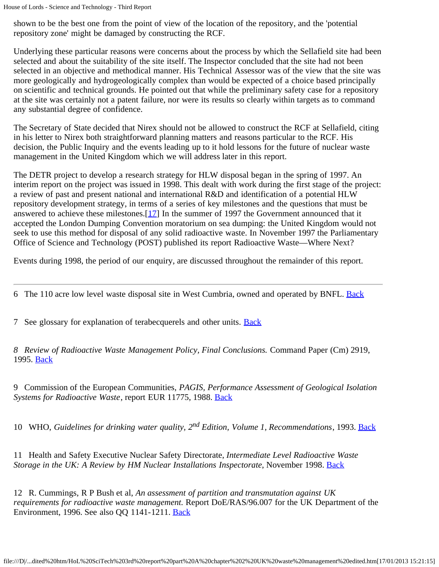shown to be the best one from the point of view of the location of the repository, and the 'potential repository zone' might be damaged by constructing the RCF.

Underlying these particular reasons were concerns about the process by which the Sellafield site had been selected and about the suitability of the site itself. The Inspector concluded that the site had not been selected in an objective and methodical manner. His Technical Assessor was of the view that the site was more geologically and hydrogeologically complex than would be expected of a choice based principally on scientific and technical grounds. He pointed out that while the preliminary safety case for a repository at the site was certainly not a patent failure, nor were its results so clearly within targets as to command any substantial degree of confidence.

The Secretary of State decided that Nirex should not be allowed to construct the RCF at Sellafield, citing in his letter to Nirex both straightforward planning matters and reasons particular to the RCF. His decision, the Public Inquiry and the events leading up to it hold lessons for the future of nuclear waste management in the United Kingdom which we will address later in this report.

The DETR project to develop a research strategy for HLW disposal began in the spring of 1997. An interim report on the project was issued in 1998. This dealt with work during the first stage of the project: a review of past and present national and international R&D and identification of a potential HLW repository development strategy, in terms of a series of key milestones and the questions that must be answered to achieve these milestones.[17] In the summer of 1997 the Government announced that it accepted the London Dumping Convention moratorium on sea dumping: the United Kingdom would not seek to use this method for disposal of any solid radioactive waste. In November 1997 the Parliamentary Office of Science and Technology (POST) published its report Radioactive Waste—Where Next?

Events during 1998, the period of our enquiry, are discussed throughout the remainder of this report.

6 The 110 acre low level waste disposal site in West Cumbria, owned and operated by BNFL. Back

7 See glossary for explanation of terabecquerels and other units. **Back** 

*8 Review of Radioactive Waste Management Policy, Final Conclusions.* Command Paper (Cm) 2919, 1995. Back

9 Commission of the European Communities, *PAGIS, Performance Assessment of Geological Isolation Systems for Radioactive Waste*, report EUR 11775, 1988. Back

10 WHO, *Guidelines for drinking water quality, 2nd Edition, Volume 1, Recommendations*, 1993. Back

11 Health and Safety Executive Nuclear Safety Directorate, *Intermediate Level Radioactive Waste Storage in the UK: A Review by HM Nuclear Installations Inspectorate, November 1998. Back* 

12 R. Cummings, R P Bush et al, *An assessment of partition and transmutation against UK requirements for radioactive waste management.* Report DoE/RAS/96.007 for the UK Department of the Environment, 1996. See also QQ 1141-1211. Back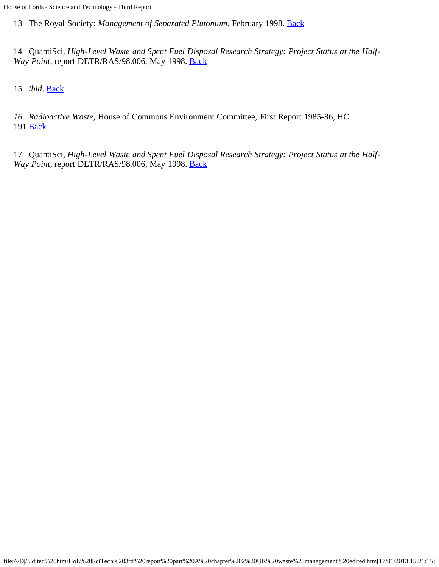13 The Royal Society: *Management of Separated Plutonium*, February 1998. [Back](#page-16-0)

14 QuantiSci, *High-Level Waste and Spent Fuel Disposal Research Strategy: Project Status at the Half-Way Point*, report DETR/RAS/98.006, May 1998. Back

15 *ibid*. Back

*16 Radioactive Waste,* House of Commons Environment Committee, First Report 1985-86, HC 191 **Back** 

17 QuantiSci, *High-Level Waste and Spent Fuel Disposal Research Strategy: Project Status at the Half-Way Point*, report DETR/RAS/98.006, May 1998. **Back**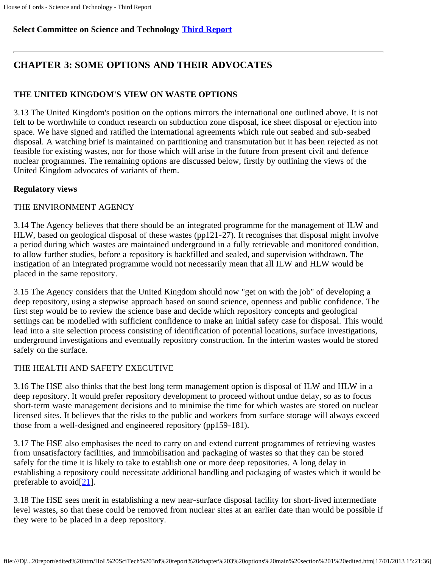### **Select Committee on Science and Technology [Third Report](file:///D|/Home/dks/text/papers%20and%20research/earth%20science/nuclear%20waste%20disposal/government/parliament/HoL%20SciTech%203rd%20report/edited%20htm/4101.htm)**

### **CHAPTER 3: SOME OPTIONS AND THEIR ADVOCATES**

### **THE UNITED KINGDOM'S VIEW ON WASTE OPTIONS**

3.13 The United Kingdom's position on the options mirrors the international one outlined above. It is not felt to be worthwhile to conduct research on subduction zone disposal, ice sheet disposal or ejection into space. We have signed and ratified the international agreements which rule out seabed and sub-seabed disposal. A watching brief is maintained on partitioning and transmutation but it has been rejected as not feasible for existing wastes, nor for those which will arise in the future from present civil and defence nuclear programmes. The remaining options are discussed below, firstly by outlining the views of the United Kingdom advocates of variants of them.

### **Regulatory views**

### THE ENVIRONMENT AGENCY

3.14 The Agency believes that there should be an integrated programme for the management of ILW and HLW, based on geological disposal of these wastes (pp121-27). It recognises that disposal might involve a period during which wastes are maintained underground in a fully retrievable and monitored condition, to allow further studies, before a repository is backfilled and sealed, and supervision withdrawn. The instigation of an integrated programme would not necessarily mean that all ILW and HLW would be placed in the same repository.

3.15 The Agency considers that the United Kingdom should now "get on with the job" of developing a deep repository, using a stepwise approach based on sound science, openness and public confidence. The first step would be to review the science base and decide which repository concepts and geological settings can be modelled with sufficient confidence to make an initial safety case for disposal. This would lead into a site selection process consisting of identification of potential locations, surface investigations, underground investigations and eventually repository construction. In the interim wastes would be stored safely on the surface.

### THE HEALTH AND SAFETY EXECUTIVE

3.16 The HSE also thinks that the best long term management option is disposal of ILW and HLW in a deep repository. It would prefer repository development to proceed without undue delay, so as to focus short-term waste management decisions and to minimise the time for which wastes are stored on nuclear licensed sites. It believes that the risks to the public and workers from surface storage will always exceed those from a well-designed and engineered repository (pp159-181).

3.17 The HSE also emphasises the need to carry on and extend current programmes of retrieving wastes from unsatisfactory facilities, and immobilisation and packaging of wastes so that they can be stored safely for the time it is likely to take to establish one or more deep repositories. A long delay in establishing a repository could necessitate additional handling and packaging of wastes which it would be preferable to avoid $[21]$  $[21]$ .

<span id="page-21-0"></span>3.18 The HSE sees merit in establishing a new near-surface disposal facility for short-lived intermediate level wastes, so that these could be removed from nuclear sites at an earlier date than would be possible if they were to be placed in a deep repository.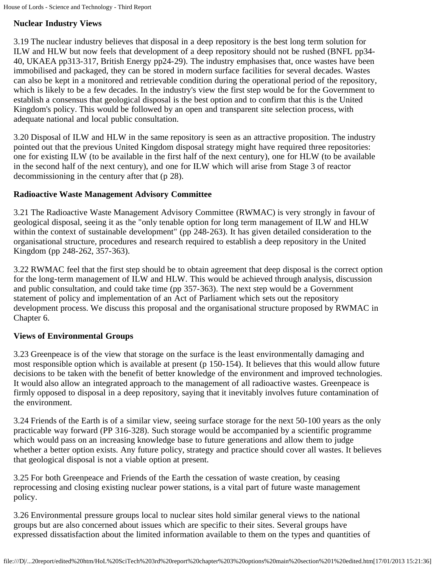### **Nuclear Industry Views**

3.19 The nuclear industry believes that disposal in a deep repository is the best long term solution for ILW and HLW but now feels that development of a deep repository should not be rushed (BNFL pp34- 40, UKAEA pp313-317, British Energy pp24-29). The industry emphasises that, once wastes have been immobilised and packaged, they can be stored in modern surface facilities for several decades. Wastes can also be kept in a monitored and retrievable condition during the operational period of the repository, which is likely to be a few decades. In the industry's view the first step would be for the Government to establish a consensus that geological disposal is the best option and to confirm that this is the United Kingdom's policy. This would be followed by an open and transparent site selection process, with adequate national and local public consultation.

3.20 Disposal of ILW and HLW in the same repository is seen as an attractive proposition. The industry pointed out that the previous United Kingdom disposal strategy might have required three repositories: one for existing ILW (to be available in the first half of the next century), one for HLW (to be available in the second half of the next century), and one for ILW which will arise from Stage 3 of reactor decommissioning in the century after that (p 28).

### **Radioactive Waste Management Advisory Committee**

3.21 The Radioactive Waste Management Advisory Committee (RWMAC) is very strongly in favour of geological disposal, seeing it as the "only tenable option for long term management of ILW and HLW within the context of sustainable development" (pp 248-263). It has given detailed consideration to the organisational structure, procedures and research required to establish a deep repository in the United Kingdom (pp 248-262, 357-363).

3.22 RWMAC feel that the first step should be to obtain agreement that deep disposal is the correct option for the long-term management of ILW and HLW. This would be achieved through analysis, discussion and public consultation, and could take time (pp 357-363). The next step would be a Government statement of policy and implementation of an Act of Parliament which sets out the repository development process. We discuss this proposal and the organisational structure proposed by RWMAC in Chapter 6.

### **Views of Environmental Groups**

3.23 Greenpeace is of the view that storage on the surface is the least environmentally damaging and most responsible option which is available at present (p 150-154). It believes that this would allow future decisions to be taken with the benefit of better knowledge of the environment and improved technologies. It would also allow an integrated approach to the management of all radioactive wastes. Greenpeace is firmly opposed to disposal in a deep repository, saying that it inevitably involves future contamination of the environment.

3.24 Friends of the Earth is of a similar view, seeing surface storage for the next 50-100 years as the only practicable way forward (PP 316-328). Such storage would be accompanied by a scientific programme which would pass on an increasing knowledge base to future generations and allow them to judge whether a better option exists. Any future policy, strategy and practice should cover all wastes. It believes that geological disposal is not a viable option at present.

3.25 For both Greenpeace and Friends of the Earth the cessation of waste creation, by ceasing reprocessing and closing existing nuclear power stations, is a vital part of future waste management policy.

3.26 Environmental pressure groups local to nuclear sites hold similar general views to the national groups but are also concerned about issues which are specific to their sites. Several groups have expressed dissatisfaction about the limited information available to them on the types and quantities of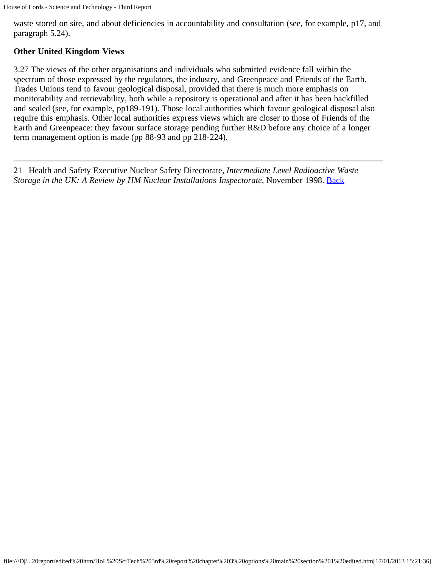waste stored on site, and about deficiencies in accountability and consultation (see, for example, p17, and paragraph 5.24).

### **Other United Kingdom Views**

3.27 The views of the other organisations and individuals who submitted evidence fall within the spectrum of those expressed by the regulators, the industry, and Greenpeace and Friends of the Earth. Trades Unions tend to favour geological disposal, provided that there is much more emphasis on monitorability and retrievability, both while a repository is operational and after it has been backfilled and sealed (see, for example, pp189-191). Those local authorities which favour geological disposal also require this emphasis. Other local authorities express views which are closer to those of Friends of the Earth and Greenpeace: they favour surface storage pending further R&D before any choice of a longer term management option is made (pp 88-93 and pp 218-224).

<span id="page-23-0"></span>21 Health and Safety Executive Nuclear Safety Directorate, *Intermediate Level Radioactive Waste Storage in the UK: A Review by HM Nuclear Installations Inspectorate*, November 1998. **[Back](#page-21-0)**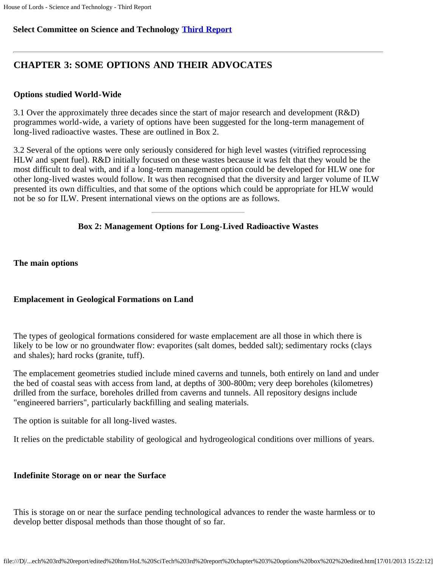### **Select Committee on Science and Technology [Third Report](file:///D|/Home/dks/text/papers%20and%20research/earth%20science/nuclear%20waste%20disposal/government/parliament/HoL%20SciTech%203rd%20report/edited%20htm/4101.htm)**

### **CHAPTER 3: SOME OPTIONS AND THEIR ADVOCATES**

#### **Options studied World-Wide**

3.1 Over the approximately three decades since the start of major research and development (R&D) programmes world-wide, a variety of options have been suggested for the long-term management of long-lived radioactive wastes. These are outlined in Box 2.

3.2 Several of the options were only seriously considered for high level wastes (vitrified reprocessing HLW and spent fuel). R&D initially focused on these wastes because it was felt that they would be the most difficult to deal with, and if a long-term management option could be developed for HLW one for other long-lived wastes would follow. It was then recognised that the diversity and larger volume of ILW presented its own difficulties, and that some of the options which could be appropriate for HLW would not be so for ILW. Present international views on the options are as follows.

### **Box 2: Management Options for Long-Lived Radioactive Wastes**

**The main options**

### **Emplacement in Geological Formations on Land**

The types of geological formations considered for waste emplacement are all those in which there is likely to be low or no groundwater flow: evaporites (salt domes, bedded salt); sedimentary rocks (clays and shales); hard rocks (granite, tuff).

The emplacement geometries studied include mined caverns and tunnels, both entirely on land and under the bed of coastal seas with access from land, at depths of 300-800m; very deep boreholes (kilometres) drilled from the surface, boreholes drilled from caverns and tunnels. All repository designs include "engineered barriers", particularly backfilling and sealing materials.

The option is suitable for all long-lived wastes.

It relies on the predictable stability of geological and hydrogeological conditions over millions of years.

#### **Indefinite Storage on or near the Surface**

This is storage on or near the surface pending technological advances to render the waste harmless or to develop better disposal methods than those thought of so far.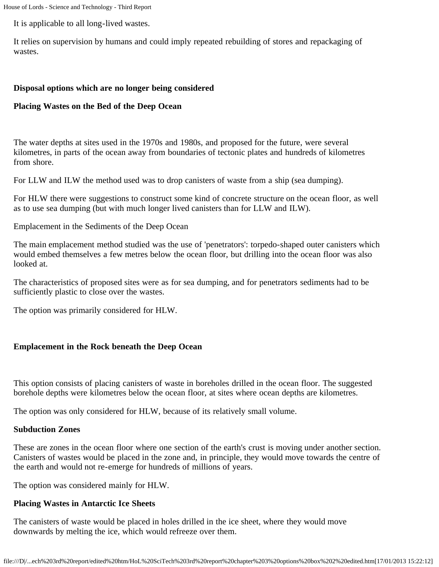It is applicable to all long-lived wastes.

It relies on supervision by humans and could imply repeated rebuilding of stores and repackaging of wastes.

### **Disposal options which are no longer being considered**

### **Placing Wastes on the Bed of the Deep Ocean**

The water depths at sites used in the 1970s and 1980s, and proposed for the future, were several kilometres, in parts of the ocean away from boundaries of tectonic plates and hundreds of kilometres from shore.

For LLW and ILW the method used was to drop canisters of waste from a ship (sea dumping).

For HLW there were suggestions to construct some kind of concrete structure on the ocean floor, as well as to use sea dumping (but with much longer lived canisters than for LLW and ILW).

Emplacement in the Sediments of the Deep Ocean

The main emplacement method studied was the use of 'penetrators': torpedo-shaped outer canisters which would embed themselves a few metres below the ocean floor, but drilling into the ocean floor was also looked at.

The characteristics of proposed sites were as for sea dumping, and for penetrators sediments had to be sufficiently plastic to close over the wastes.

The option was primarily considered for HLW.

### **Emplacement in the Rock beneath the Deep Ocean**

This option consists of placing canisters of waste in boreholes drilled in the ocean floor. The suggested borehole depths were kilometres below the ocean floor, at sites where ocean depths are kilometres.

The option was only considered for HLW, because of its relatively small volume.

#### **Subduction Zones**

These are zones in the ocean floor where one section of the earth's crust is moving under another section. Canisters of wastes would be placed in the zone and, in principle, they would move towards the centre of the earth and would not re-emerge for hundreds of millions of years.

The option was considered mainly for HLW.

### **Placing Wastes in Antarctic Ice Sheets**

The canisters of waste would be placed in holes drilled in the ice sheet, where they would move downwards by melting the ice, which would refreeze over them.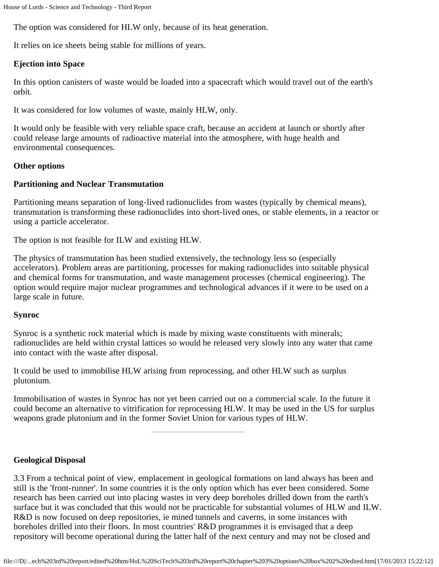The option was considered for HLW only, because of its heat generation.

It relies on ice sheets being stable for millions of years.

### **Ejection into Space**

In this option canisters of waste would be loaded into a spacecraft which would travel out of the earth's orbit.

It was considered for low volumes of waste, mainly HLW, only.

It would only be feasible with very reliable space craft, because an accident at launch or shortly after could release large amounts of radioactive material into the atmosphere, with huge health and environmental consequences.

#### **Other options**

#### **Partitioning and Nuclear Transmutation**

Partitioning means separation of long-lived radionuclides from wastes (typically by chemical means), transmutation is transforming these radionuclides into short-lived ones, or stable elements, in a reactor or using a particle accelerator.

The option is not feasible for ILW and existing HLW.

The physics of transmutation has been studied extensively, the technology less so (especially accelerators). Problem areas are partitioning, processes for making radionuclides into suitable physical and chemical forms for transmutation, and waste management processes (chemical engineering). The option would require major nuclear programmes and technological advances if it were to be used on a large scale in future.

#### **Synroc**

Synroc is a synthetic rock material which is made by mixing waste constituents with minerals; radionuclides are held within crystal lattices so would be released very slowly into any water that came into contact with the waste after disposal.

It could be used to immobilise HLW arising from reprocessing, and other HLW such as surplus plutonium.

Immobilisation of wastes in Synroc has not yet been carried out on a commercial scale. In the future it could become an alternative to vitrification for reprocessing HLW. It may be used in the US for surplus weapons grade plutonium and in the former Soviet Union for various types of HLW.

#### **Geological Disposal**

3.3 From a technical point of view, emplacement in geological formations on land always has been and still is the 'front-runner'. In some countries it is the only option which has ever been considered. Some research has been carried out into placing wastes in very deep boreholes drilled down from the earth's surface but it was concluded that this would not be practicable for substantial volumes of HLW and ILW. R&D is now focused on deep repositories, ie mined tunnels and caverns, in some instances with boreholes drilled into their floors. In most countries' R&D programmes it is envisaged that a deep repository will become operational during the latter half of the next century and may not be closed and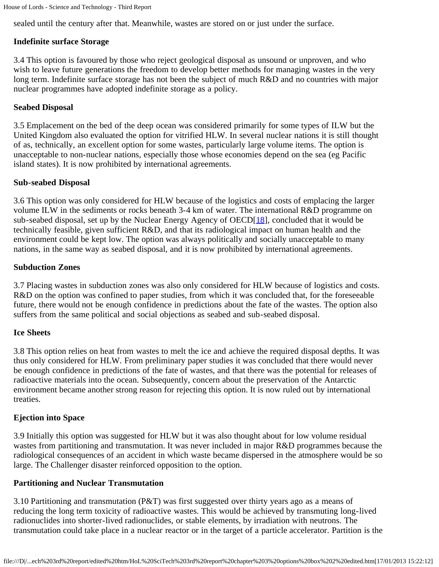sealed until the century after that. Meanwhile, wastes are stored on or just under the surface.

### **Indefinite surface Storage**

3.4 This option is favoured by those who reject geological disposal as unsound or unproven, and who wish to leave future generations the freedom to develop better methods for managing wastes in the very long term. Indefinite surface storage has not been the subject of much R&D and no countries with major nuclear programmes have adopted indefinite storage as a policy.

#### **Seabed Disposal**

3.5 Emplacement on the bed of the deep ocean was considered primarily for some types of ILW but the United Kingdom also evaluated the option for vitrified HLW. In several nuclear nations it is still thought of as, technically, an excellent option for some wastes, particularly large volume items. The option is unacceptable to non-nuclear nations, especially those whose economies depend on the sea (eg Pacific island states). It is now prohibited by international agreements.

#### **Sub-seabed Disposal**

<span id="page-27-0"></span>3.6 This option was only considered for HLW because of the logistics and costs of emplacing the larger volume ILW in the sediments or rocks beneath 3-4 km of water. The international R&D programme on sub-seabed disposal, set up by the Nuclear Energy Agency of OECD[\[18](#page-28-0)], concluded that it would be technically feasible, given sufficient R&D, and that its radiological impact on human health and the environment could be kept low. The option was always politically and socially unacceptable to many nations, in the same way as seabed disposal, and it is now prohibited by international agreements.

#### **Subduction Zones**

3.7 Placing wastes in subduction zones was also only considered for HLW because of logistics and costs. R&D on the option was confined to paper studies, from which it was concluded that, for the foreseeable future, there would not be enough confidence in predictions about the fate of the wastes. The option also suffers from the same political and social objections as seabed and sub-seabed disposal.

#### **Ice Sheets**

3.8 This option relies on heat from wastes to melt the ice and achieve the required disposal depths. It was thus only considered for HLW. From preliminary paper studies it was concluded that there would never be enough confidence in predictions of the fate of wastes, and that there was the potential for releases of radioactive materials into the ocean. Subsequently, concern about the preservation of the Antarctic environment became another strong reason for rejecting this option. It is now ruled out by international treaties.

### **Ejection into Space**

3.9 Initially this option was suggested for HLW but it was also thought about for low volume residual wastes from partitioning and transmutation. It was never included in major R&D programmes because the radiological consequences of an accident in which waste became dispersed in the atmosphere would be so large. The Challenger disaster reinforced opposition to the option.

#### **Partitioning and Nuclear Transmutation**

3.10 Partitioning and transmutation (P&T) was first suggested over thirty years ago as a means of reducing the long term toxicity of radioactive wastes. This would be achieved by transmuting long-lived radionuclides into shorter-lived radionuclides, or stable elements, by irradiation with neutrons. The transmutation could take place in a nuclear reactor or in the target of a particle accelerator. Partition is the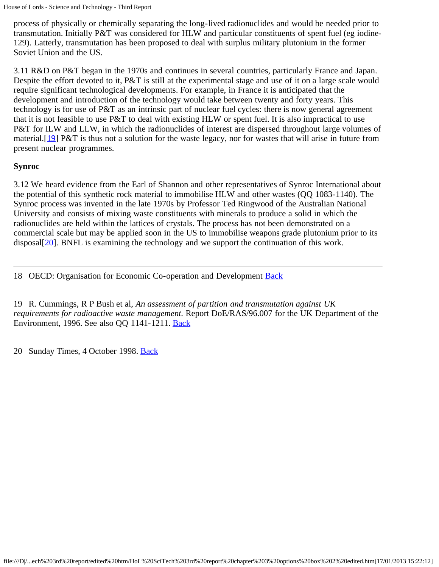process of physically or chemically separating the long-lived radionuclides and would be needed prior to transmutation. Initially P&T was considered for HLW and particular constituents of spent fuel (eg iodine-129). Latterly, transmutation has been proposed to deal with surplus military plutonium in the former Soviet Union and the US.

3.11 R&D on P&T began in the 1970s and continues in several countries, particularly France and Japan. Despite the effort devoted to it, P&T is still at the experimental stage and use of it on a large scale would require significant technological developments. For example, in France it is anticipated that the development and introduction of the technology would take between twenty and forty years. This technology is for use of P&T as an intrinsic part of nuclear fuel cycles: there is now general agreement that it is not feasible to use P&T to deal with existing HLW or spent fuel. It is also impractical to use P&T for ILW and LLW, in which the radionuclides of interest are dispersed throughout large volumes of material.[[19\]](#page-28-1) P&T is thus not a solution for the waste legacy, nor for wastes that will arise in future from present nuclear programmes.

### <span id="page-28-3"></span>**Synroc**

3.12 We heard evidence from the Earl of Shannon and other representatives of Synroc International about the potential of this synthetic rock material to immobilise HLW and other wastes (QQ 1083-1140). The Synroc process was invented in the late 1970s by Professor Ted Ringwood of the Australian National University and consists of mixing waste constituents with minerals to produce a solid in which the radionuclides are held within the lattices of crystals. The process has not been demonstrated on a commercial scale but may be applied soon in the US to immobilise weapons grade plutonium prior to its disposal [[20\]](#page-28-2). BNFL is examining the technology and we support the continuation of this work.

<span id="page-28-4"></span><span id="page-28-0"></span>18 OECD: Organisation for Economic Co-operation and Development [Back](#page-27-0)

<span id="page-28-1"></span>19 R. Cummings, R P Bush et al, *An assessment of partition and transmutation against UK requirements for radioactive waste management.* Report DoE/RAS/96.007 for the UK Department of the Environment, 1996. See also QQ 1141-1211. [Back](#page-28-3)

<span id="page-28-2"></span>20 Sunday Times, 4 October 1998. [Back](#page-28-4)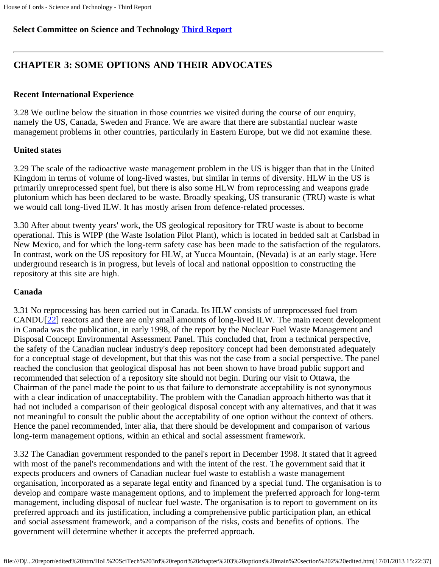### **Select Committee on Science and Technology [Third Report](file:///D|/Home/dks/text/papers%20and%20research/earth%20science/nuclear%20waste%20disposal/government/parliament/HoL%20SciTech%203rd%20report/edited%20htm/4101.htm)**

## **CHAPTER 3: SOME OPTIONS AND THEIR ADVOCATES**

### **Recent International Experience**

3.28 We outline below the situation in those countries we visited during the course of our enquiry, namely the US, Canada, Sweden and France. We are aware that there are substantial nuclear waste management problems in other countries, particularly in Eastern Europe, but we did not examine these.

### **United states**

3.29 The scale of the radioactive waste management problem in the US is bigger than that in the United Kingdom in terms of volume of long-lived wastes, but similar in terms of diversity. HLW in the US is primarily unreprocessed spent fuel, but there is also some HLW from reprocessing and weapons grade plutonium which has been declared to be waste. Broadly speaking, US transuranic (TRU) waste is what we would call long-lived ILW. It has mostly arisen from defence-related processes.

3.30 After about twenty years' work, the US geological repository for TRU waste is about to become operational. This is WIPP (the Waste Isolation Pilot Plant), which is located in bedded salt at Carlsbad in New Mexico, and for which the long-term safety case has been made to the satisfaction of the regulators. In contrast, work on the US repository for HLW, at Yucca Mountain, (Nevada) is at an early stage. Here underground research is in progress, but levels of local and national opposition to constructing the repository at this site are high.

### **Canada**

<span id="page-29-0"></span>3.31 No reprocessing has been carried out in Canada. Its HLW consists of unreprocessed fuel from CANDU[[22](#page-31-0)] reactors and there are only small amounts of long-lived ILW. The main recent development in Canada was the publication, in early 1998, of the report by the Nuclear Fuel Waste Management and Disposal Concept Environmental Assessment Panel. This concluded that, from a technical perspective, the safety of the Canadian nuclear industry's deep repository concept had been demonstrated adequately for a conceptual stage of development, but that this was not the case from a social perspective. The panel reached the conclusion that geological disposal has not been shown to have broad public support and recommended that selection of a repository site should not begin. During our visit to Ottawa, the Chairman of the panel made the point to us that failure to demonstrate acceptability is not synonymous with a clear indication of unacceptability. The problem with the Canadian approach hitherto was that it had not included a comparison of their geological disposal concept with any alternatives, and that it was not meaningful to consult the public about the acceptability of one option without the context of others. Hence the panel recommended, inter alia, that there should be development and comparison of various long-term management options, within an ethical and social assessment framework.

3.32 The Canadian government responded to the panel's report in December 1998. It stated that it agreed with most of the panel's recommendations and with the intent of the rest. The government said that it expects producers and owners of Canadian nuclear fuel waste to establish a waste management organisation, incorporated as a separate legal entity and financed by a special fund. The organisation is to develop and compare waste management options, and to implement the preferred approach for long-term management, including disposal of nuclear fuel waste. The organisation is to report to government on its preferred approach and its justification, including a comprehensive public participation plan, an ethical and social assessment framework, and a comparison of the risks, costs and benefits of options. The government will determine whether it accepts the preferred approach.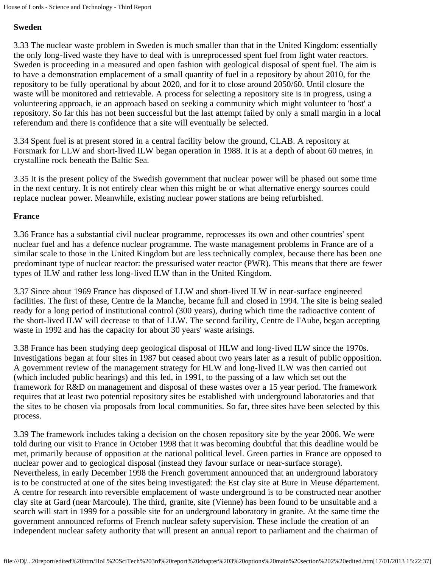#### **Sweden**

3.33 The nuclear waste problem in Sweden is much smaller than that in the United Kingdom: essentially the only long-lived waste they have to deal with is unreprocessed spent fuel from light water reactors. Sweden is proceeding in a measured and open fashion with geological disposal of spent fuel. The aim is to have a demonstration emplacement of a small quantity of fuel in a repository by about 2010, for the repository to be fully operational by about 2020, and for it to close around 2050/60. Until closure the waste will be monitored and retrievable. A process for selecting a repository site is in progress, using a volunteering approach, ie an approach based on seeking a community which might volunteer to 'host' a repository. So far this has not been successful but the last attempt failed by only a small margin in a local referendum and there is confidence that a site will eventually be selected.

3.34 Spent fuel is at present stored in a central facility below the ground, CLAB. A repository at Forsmark for LLW and short-lived ILW began operation in 1988. It is at a depth of about 60 metres, in crystalline rock beneath the Baltic Sea.

3.35 It is the present policy of the Swedish government that nuclear power will be phased out some time in the next century. It is not entirely clear when this might be or what alternative energy sources could replace nuclear power. Meanwhile, existing nuclear power stations are being refurbished.

### **France**

3.36 France has a substantial civil nuclear programme, reprocesses its own and other countries' spent nuclear fuel and has a defence nuclear programme. The waste management problems in France are of a similar scale to those in the United Kingdom but are less technically complex, because there has been one predominant type of nuclear reactor: the pressurised water reactor (PWR). This means that there are fewer types of ILW and rather less long-lived ILW than in the United Kingdom.

3.37 Since about 1969 France has disposed of LLW and short-lived ILW in near-surface engineered facilities. The first of these, Centre de la Manche, became full and closed in 1994. The site is being sealed ready for a long period of institutional control (300 years), during which time the radioactive content of the short-lived ILW will decrease to that of LLW. The second facility, Centre de l'Aube, began accepting waste in 1992 and has the capacity for about 30 years' waste arisings.

3.38 France has been studying deep geological disposal of HLW and long-lived ILW since the 1970s. Investigations began at four sites in 1987 but ceased about two years later as a result of public opposition. A government review of the management strategy for HLW and long-lived ILW was then carried out (which included public hearings) and this led, in 1991, to the passing of a law which set out the framework for R&D on management and disposal of these wastes over a 15 year period. The framework requires that at least two potential repository sites be established with underground laboratories and that the sites to be chosen via proposals from local communities. So far, three sites have been selected by this process.

3.39 The framework includes taking a decision on the chosen repository site by the year 2006. We were told during our visit to France in October 1998 that it was becoming doubtful that this deadline would be met, primarily because of opposition at the national political level. Green parties in France are opposed to nuclear power and to geological disposal (instead they favour surface or near-surface storage). Nevertheless, in early December 1998 the French government announced that an underground laboratory is to be constructed at one of the sites being investigated: the Est clay site at Bure in Meuse département. A centre for research into reversible emplacement of waste underground is to be constructed near another clay site at Gard (near Marcoule). The third, granite, site (Vienne) has been found to be unsuitable and a search will start in 1999 for a possible site for an underground laboratory in granite. At the same time the government announced reforms of French nuclear safety supervision. These include the creation of an independent nuclear safety authority that will present an annual report to parliament and the chairman of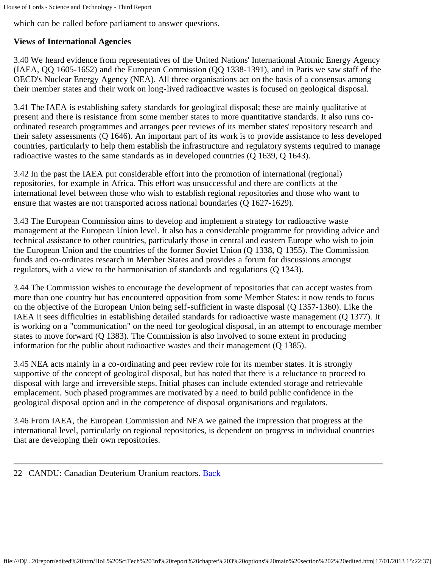which can be called before parliament to answer questions.

### **Views of International Agencies**

3.40 We heard evidence from representatives of the United Nations' International Atomic Energy Agency (IAEA, QQ 1605-1652) and the European Commission (QQ 1338-1391), and in Paris we saw staff of the OECD's Nuclear Energy Agency (NEA). All three organisations act on the basis of a consensus among their member states and their work on long-lived radioactive wastes is focused on geological disposal.

3.41 The IAEA is establishing safety standards for geological disposal; these are mainly qualitative at present and there is resistance from some member states to more quantitative standards. It also runs coordinated research programmes and arranges peer reviews of its member states' repository research and their safety assessments (Q 1646). An important part of its work is to provide assistance to less developed countries, particularly to help them establish the infrastructure and regulatory systems required to manage radioactive wastes to the same standards as in developed countries (Q 1639, Q 1643).

3.42 In the past the IAEA put considerable effort into the promotion of international (regional) repositories, for example in Africa. This effort was unsuccessful and there are conflicts at the international level between those who wish to establish regional repositories and those who want to ensure that wastes are not transported across national boundaries (Q 1627-1629).

3.43 The European Commission aims to develop and implement a strategy for radioactive waste management at the European Union level. It also has a considerable programme for providing advice and technical assistance to other countries, particularly those in central and eastern Europe who wish to join the European Union and the countries of the former Soviet Union (Q 1338, Q 1355). The Commission funds and co-ordinates research in Member States and provides a forum for discussions amongst regulators, with a view to the harmonisation of standards and regulations (Q 1343).

3.44 The Commission wishes to encourage the development of repositories that can accept wastes from more than one country but has encountered opposition from some Member States: it now tends to focus on the objective of the European Union being self-sufficient in waste disposal (Q 1357-1360). Like the IAEA it sees difficulties in establishing detailed standards for radioactive waste management (Q 1377). It is working on a "communication" on the need for geological disposal, in an attempt to encourage member states to move forward (Q 1383). The Commission is also involved to some extent in producing information for the public about radioactive wastes and their management (Q 1385).

3.45 NEA acts mainly in a co-ordinating and peer review role for its member states. It is strongly supportive of the concept of geological disposal, but has noted that there is a reluctance to proceed to disposal with large and irreversible steps. Initial phases can include extended storage and retrievable emplacement. Such phased programmes are motivated by a need to build public confidence in the geological disposal option and in the competence of disposal organisations and regulators.

3.46 From IAEA, the European Commission and NEA we gained the impression that progress at the international level, particularly on regional repositories, is dependent on progress in individual countries that are developing their own repositories.

<span id="page-31-0"></span>22 CANDU: Canadian Deuterium Uranium reactors. [Back](#page-29-0)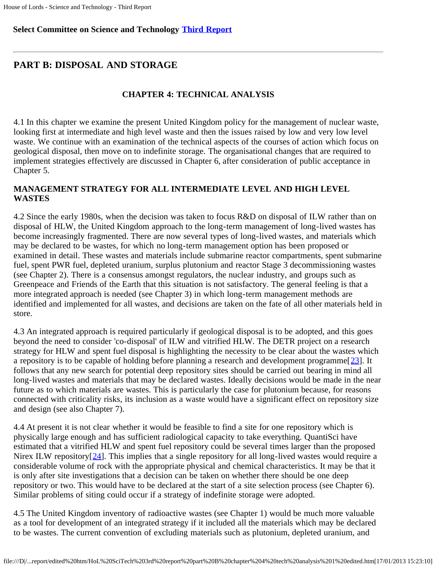### **Select Committee on Science and Technology [Third Report](file:///D|/Home/dks/text/papers%20and%20research/earth%20science/nuclear%20waste%20disposal/government/parliament/HoL%20SciTech%203rd%20report/edited%20htm/4101.htm)**

### **PART B: DISPOSAL AND STORAGE**

### **CHAPTER 4: TECHNICAL ANALYSIS**

4.1 In this chapter we examine the present United Kingdom policy for the management of nuclear waste, looking first at intermediate and high level waste and then the issues raised by low and very low level waste. We continue with an examination of the technical aspects of the courses of action which focus on geological disposal, then move on to indefinite storage. The organisational changes that are required to implement strategies effectively are discussed in Chapter 6, after consideration of public acceptance in Chapter 5.

### **MANAGEMENT STRATEGY FOR ALL INTERMEDIATE LEVEL AND HIGH LEVEL WASTES**

4.2 Since the early 1980s, when the decision was taken to focus R&D on disposal of ILW rather than on disposal of HLW, the United Kingdom approach to the long-term management of long-lived wastes has become increasingly fragmented. There are now several types of long-lived wastes, and materials which may be declared to be wastes, for which no long-term management option has been proposed or examined in detail. These wastes and materials include submarine reactor compartments, spent submarine fuel, spent PWR fuel, depleted uranium, surplus plutonium and reactor Stage 3 decommissioning wastes (see Chapter 2). There is a consensus amongst regulators, the nuclear industry, and groups such as Greenpeace and Friends of the Earth that this situation is not satisfactory. The general feeling is that a more integrated approach is needed (see Chapter 3) in which long-term management methods are identified and implemented for all wastes, and decisions are taken on the fate of all other materials held in store.

<span id="page-32-0"></span>4.3 An integrated approach is required particularly if geological disposal is to be adopted, and this goes beyond the need to consider 'co-disposal' of ILW and vitrified HLW. The DETR project on a research strategy for HLW and spent fuel disposal is highlighting the necessity to be clear about the wastes which a repository is to be capable of holding before planning a research and development programme[[23](#page-35-0)]. It follows that any new search for potential deep repository sites should be carried out bearing in mind all long-lived wastes and materials that may be declared wastes. Ideally decisions would be made in the near future as to which materials are wastes. This is particularly the case for plutonium because, for reasons connected with criticality risks, its inclusion as a waste would have a significant effect on repository size and design (see also Chapter 7).

<span id="page-32-1"></span>4.4 At present it is not clear whether it would be feasible to find a site for one repository which is physically large enough and has sufficient radiological capacity to take everything. QuantiSci have estimated that a vitrified HLW and spent fuel repository could be several times larger than the proposed Nirex ILW repository  $[24]$  $[24]$  $[24]$ . This implies that a single repository for all long-lived wastes would require a considerable volume of rock with the appropriate physical and chemical characteristics. It may be that it is only after site investigations that a decision can be taken on whether there should be one deep repository or two. This would have to be declared at the start of a site selection process (see Chapter 6). Similar problems of siting could occur if a strategy of indefinite storage were adopted.

4.5 The United Kingdom inventory of radioactive wastes (see Chapter 1) would be much more valuable as a tool for development of an integrated strategy if it included all the materials which may be declared to be wastes. The current convention of excluding materials such as plutonium, depleted uranium, and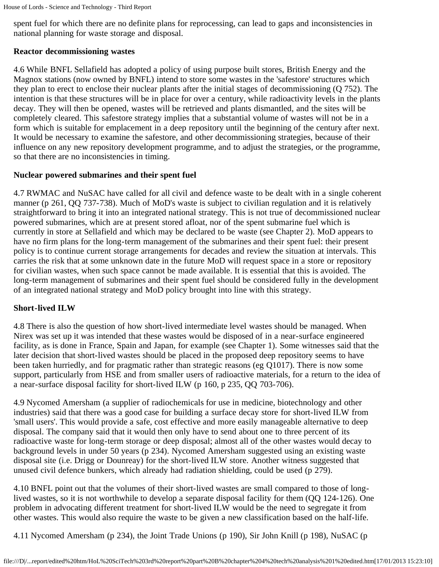spent fuel for which there are no definite plans for reprocessing, can lead to gaps and inconsistencies in national planning for waste storage and disposal.

### **Reactor decommissioning wastes**

4.6 While BNFL Sellafield has adopted a policy of using purpose built stores, British Energy and the Magnox stations (now owned by BNFL) intend to store some wastes in the 'safestore' structures which they plan to erect to enclose their nuclear plants after the initial stages of decommissioning (Q 752). The intention is that these structures will be in place for over a century, while radioactivity levels in the plants decay. They will then be opened, wastes will be retrieved and plants dismantled, and the sites will be completely cleared. This safestore strategy implies that a substantial volume of wastes will not be in a form which is suitable for emplacement in a deep repository until the beginning of the century after next. It would be necessary to examine the safestore, and other decommissioning strategies, because of their influence on any new repository development programme, and to adjust the strategies, or the programme, so that there are no inconsistencies in timing.

### **Nuclear powered submarines and their spent fuel**

4.7 RWMAC and NuSAC have called for all civil and defence waste to be dealt with in a single coherent manner (p 261, QQ 737-738). Much of MoD's waste is subject to civilian regulation and it is relatively straightforward to bring it into an integrated national strategy. This is not true of decommissioned nuclear powered submarines, which are at present stored afloat, nor of the spent submarine fuel which is currently in store at Sellafield and which may be declared to be waste (see Chapter 2). MoD appears to have no firm plans for the long-term management of the submarines and their spent fuel: their present policy is to continue current storage arrangements for decades and review the situation at intervals. This carries the risk that at some unknown date in the future MoD will request space in a store or repository for civilian wastes, when such space cannot be made available. It is essential that this is avoided. The long-term management of submarines and their spent fuel should be considered fully in the development of an integrated national strategy and MoD policy brought into line with this strategy.

### **Short-lived ILW**

4.8 There is also the question of how short-lived intermediate level wastes should be managed. When Nirex was set up it was intended that these wastes would be disposed of in a near-surface engineered facility, as is done in France, Spain and Japan, for example (see Chapter 1). Some witnesses said that the later decision that short-lived wastes should be placed in the proposed deep repository seems to have been taken hurriedly, and for pragmatic rather than strategic reasons (eg Q1017). There is now some support, particularly from HSE and from smaller users of radioactive materials, for a return to the idea of a near-surface disposal facility for short-lived ILW (p 160, p 235, QQ 703-706).

4.9 Nycomed Amersham (a supplier of radiochemicals for use in medicine, biotechnology and other industries) said that there was a good case for building a surface decay store for short-lived ILW from 'small users'. This would provide a safe, cost effective and more easily manageable alternative to deep disposal. The company said that it would then only have to send about one to three percent of its radioactive waste for long-term storage or deep disposal; almost all of the other wastes would decay to background levels in under 50 years (p 234). Nycomed Amersham suggested using an existing waste disposal site (i.e. Drigg or Dounreay) for the short-lived ILW store. Another witness suggested that unused civil defence bunkers, which already had radiation shielding, could be used (p 279).

4.10 BNFL point out that the volumes of their short-lived wastes are small compared to those of longlived wastes, so it is not worthwhile to develop a separate disposal facility for them (QQ 124-126). One problem in advocating different treatment for short-lived ILW would be the need to segregate it from other wastes. This would also require the waste to be given a new classification based on the half-life.

4.11 Nycomed Amersham (p 234), the Joint Trade Unions (p 190), Sir John Knill (p 198), NuSAC (p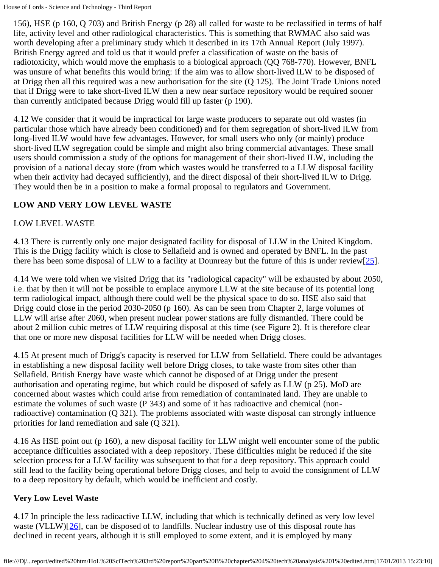156), HSE (p 160, Q 703) and British Energy (p 28) all called for waste to be reclassified in terms of half life, activity level and other radiological characteristics. This is something that RWMAC also said was worth developing after a preliminary study which it described in its 17th Annual Report (July 1997). British Energy agreed and told us that it would prefer a classification of waste on the basis of radiotoxicity, which would move the emphasis to a biological approach (QQ 768-770). However, BNFL was unsure of what benefits this would bring: if the aim was to allow short-lived ILW to be disposed of at Drigg then all this required was a new authorisation for the site (Q 125). The Joint Trade Unions noted that if Drigg were to take short-lived ILW then a new near surface repository would be required sooner than currently anticipated because Drigg would fill up faster (p 190).

4.12 We consider that it would be impractical for large waste producers to separate out old wastes (in particular those which have already been conditioned) and for them segregation of short-lived ILW from long-lived ILW would have few advantages. However, for small users who only (or mainly) produce short-lived ILW segregation could be simple and might also bring commercial advantages. These small users should commission a study of the options for management of their short-lived ILW, including the provision of a national decay store (from which wastes would be transferred to a LLW disposal facility when their activity had decayed sufficiently), and the direct disposal of their short-lived ILW to Drigg. They would then be in a position to make a formal proposal to regulators and Government.

### **LOW AND VERY LOW LEVEL WASTE**

### LOW LEVEL WASTE

4.13 There is currently only one major designated facility for disposal of LLW in the United Kingdom. This is the Drigg facility which is close to Sellafield and is owned and operated by BNFL. In the past there has been some disposal of LLW to a facility at Dounreay but the future of this is under review[ $25$ ].

<span id="page-34-0"></span>4.14 We were told when we visited Drigg that its "radiological capacity" will be exhausted by about 2050, i.e. that by then it will not be possible to emplace anymore LLW at the site because of its potential long term radiological impact, although there could well be the physical space to do so. HSE also said that Drigg could close in the period 2030-2050 (p 160). As can be seen from Chapter 2, large volumes of LLW will arise after 2060, when present nuclear power stations are fully dismantled. There could be about 2 million cubic metres of LLW requiring disposal at this time (see Figure 2). It is therefore clear that one or more new disposal facilities for LLW will be needed when Drigg closes.

4.15 At present much of Drigg's capacity is reserved for LLW from Sellafield. There could be advantages in establishing a new disposal facility well before Drigg closes, to take waste from sites other than Sellafield. British Energy have waste which cannot be disposed of at Drigg under the present authorisation and operating regime, but which could be disposed of safely as LLW (p 25). MoD are concerned about wastes which could arise from remediation of contaminated land. They are unable to estimate the volumes of such waste (P 343) and some of it has radioactive and chemical (nonradioactive) contamination (Q 321). The problems associated with waste disposal can strongly influence priorities for land remediation and sale (Q 321).

4.16 As HSE point out (p 160), a new disposal facility for LLW might well encounter some of the public acceptance difficulties associated with a deep repository. These difficulties might be reduced if the site selection process for a LLW facility was subsequent to that for a deep repository. This approach could still lead to the facility being operational before Drigg closes, and help to avoid the consignment of LLW to a deep repository by default, which would be inefficient and costly.

### **Very Low Level Waste**

<span id="page-34-1"></span>4.17 In principle the less radioactive LLW, including that which is technically defined as very low level waste (VLLW)[[26](#page-35-3)], can be disposed of to landfills. Nuclear industry use of this disposal route has declined in recent years, although it is still employed to some extent, and it is employed by many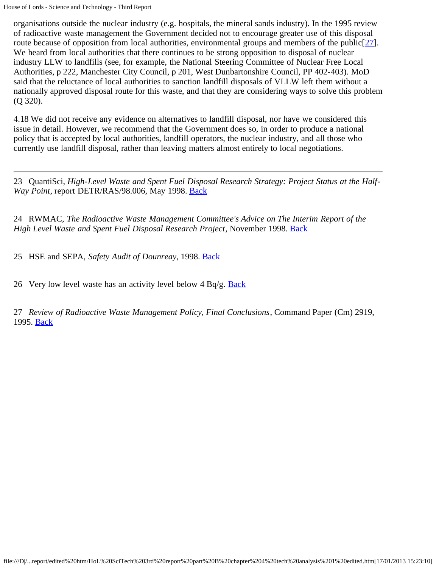<span id="page-35-5"></span>organisations outside the nuclear industry (e.g. hospitals, the mineral sands industry). In the 1995 review of radioactive waste management the Government decided not to encourage greater use of this disposal route because of opposition from local authorities, environmental groups and members of the public $[27]$  $[27]$ . We heard from local authorities that there continues to be strong opposition to disposal of nuclear industry LLW to landfills (see, for example, the National Steering Committee of Nuclear Free Local Authorities, p 222, Manchester City Council, p 201, West Dunbartonshire Council, PP 402-403). MoD said that the reluctance of local authorities to sanction landfill disposals of VLLW left them without a nationally approved disposal route for this waste, and that they are considering ways to solve this problem (Q 320).

4.18 We did not receive any evidence on alternatives to landfill disposal, nor have we considered this issue in detail. However, we recommend that the Government does so, in order to produce a national policy that is accepted by local authorities, landfill operators, the nuclear industry, and all those who currently use landfill disposal, rather than leaving matters almost entirely to local negotiations.

<span id="page-35-0"></span>23 QuantiSci, *High-Level Waste and Spent Fuel Disposal Research Strategy: Project Status at the Half-Way Point*, report DETR/RAS/98.006, May 1998. **Back** 

<span id="page-35-1"></span>24 RWMAC, *The Radioactive Waste Management Committee's Advice on The Interim Report of the High Level Waste and Spent Fuel Disposal Research Project*, November 1998. **[Back](#page-32-1)** 

<span id="page-35-2"></span>25 HSE and SEPA, *Safety Audit of Dounreay*, 1998. [Back](#page-34-0)

<span id="page-35-3"></span>26 Very low level waste has an activity level below  $4 \text{ Bq/g.}$  [Back](#page-34-1)

<span id="page-35-4"></span>27 *Review of Radioactive Waste Management Policy, Final Conclusions*, Command Paper (Cm) 2919, 1995. [Back](#page-35-5)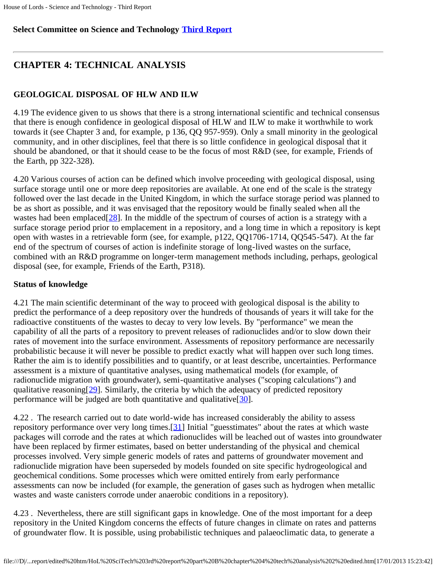# **Select Committee on Science and Technology [Third Report](file:///D|/Home/dks/text/papers%20and%20research/earth%20science/nuclear%20waste%20disposal/government/parliament/HoL%20SciTech%203rd%20report/edited%20htm/4101.htm)**

# **CHAPTER 4: TECHNICAL ANALYSIS**

# **GEOLOGICAL DISPOSAL OF HLW AND ILW**

4.19 The evidence given to us shows that there is a strong international scientific and technical consensus that there is enough confidence in geological disposal of HLW and ILW to make it worthwhile to work towards it (see Chapter 3 and, for example, p 136, QQ 957-959). Only a small minority in the geological community, and in other disciplines, feel that there is so little confidence in geological disposal that it should be abandoned, or that it should cease to be the focus of most R&D (see, for example, Friends of the Earth, pp 322-328).

<span id="page-36-0"></span>4.20 Various courses of action can be defined which involve proceeding with geological disposal, using surface storage until one or more deep repositories are available. At one end of the scale is the strategy followed over the last decade in the United Kingdom, in which the surface storage period was planned to be as short as possible, and it was envisaged that the repository would be finally sealed when all the wastes had been emplaced $[28]$  $[28]$ . In the middle of the spectrum of courses of action is a strategy with a surface storage period prior to emplacement in a repository, and a long time in which a repository is kept open with wastes in a retrievable form (see, for example, p122, QQ1706-1714, QQ545-547). At the far end of the spectrum of courses of action is indefinite storage of long-lived wastes on the surface, combined with an R&D programme on longer-term management methods including, perhaps, geological disposal (see, for example, Friends of the Earth, P318).

# **Status of knowledge**

4.21 The main scientific determinant of the way to proceed with geological disposal is the ability to predict the performance of a deep repository over the hundreds of thousands of years it will take for the radioactive constituents of the wastes to decay to very low levels. By "performance" we mean the capability of all the parts of a repository to prevent releases of radionuclides and/or to slow down their rates of movement into the surface environment. Assessments of repository performance are necessarily probabilistic because it will never be possible to predict exactly what will happen over such long times. Rather the aim is to identify possibilities and to quantify, or at least describe, uncertainties. Performance assessment is a mixture of quantitative analyses, using mathematical models (for example, of radionuclide migration with groundwater), semi-quantitative analyses ("scoping calculations") and qualitative reasoning  $[29]$  $[29]$  $[29]$ . Similarly, the criteria by which the adequacy of predicted repository performance will be judged are both quantitative and qualitative  $[30]$  $[30]$  $[30]$ .

<span id="page-36-3"></span><span id="page-36-2"></span><span id="page-36-1"></span>4.22 . The research carried out to date world-wide has increased considerably the ability to assess repository performance over very long times.[[31\]](#page-41-3) Initial "guesstimates" about the rates at which waste packages will corrode and the rates at which radionuclides will be leached out of wastes into groundwater have been replaced by firmer estimates, based on better understanding of the physical and chemical processes involved. Very simple generic models of rates and patterns of groundwater movement and radionuclide migration have been superseded by models founded on site specific hydrogeological and geochemical conditions. Some processes which were omitted entirely from early performance assessments can now be included (for example, the generation of gases such as hydrogen when metallic wastes and waste canisters corrode under anaerobic conditions in a repository).

4.23 . Nevertheless, there are still significant gaps in knowledge. One of the most important for a deep repository in the United Kingdom concerns the effects of future changes in climate on rates and patterns of groundwater flow. It is possible, using probabilistic techniques and palaeoclimatic data, to generate a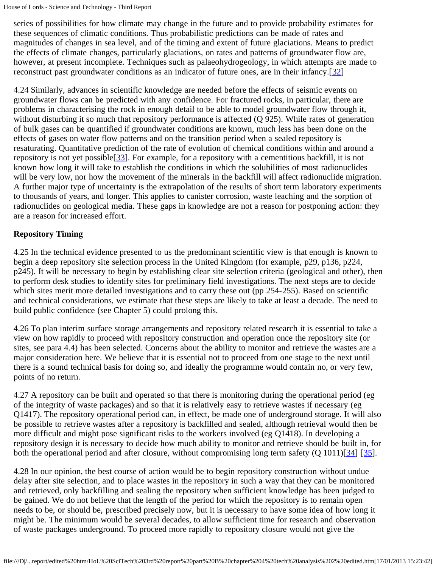series of possibilities for how climate may change in the future and to provide probability estimates for these sequences of climatic conditions. Thus probabilistic predictions can be made of rates and magnitudes of changes in sea level, and of the timing and extent of future glaciations. Means to predict the effects of climate changes, particularly glaciations, on rates and patterns of groundwater flow are, however, at present incomplete. Techniques such as palaeohydrogeology, in which attempts are made to reconstruct past groundwater conditions as an indicator of future ones, are in their infancy.[[32\]](#page-41-4)

<span id="page-37-1"></span><span id="page-37-0"></span>4.24 Similarly, advances in scientific knowledge are needed before the effects of seismic events on groundwater flows can be predicted with any confidence. For fractured rocks, in particular, there are problems in characterising the rock in enough detail to be able to model groundwater flow through it, without disturbing it so much that repository performance is affected (Q 925). While rates of generation of bulk gases can be quantified if groundwater conditions are known, much less has been done on the effects of gases on water flow patterns and on the transition period when a sealed repository is resaturating. Quantitative prediction of the rate of evolution of chemical conditions within and around a repository is not yet possible[\[33](#page-41-5)]. For example, for a repository with a cementitious backfill, it is not known how long it will take to establish the conditions in which the solubilities of most radionuclides will be very low, nor how the movement of the minerals in the backfill will affect radionuclide migration. A further major type of uncertainty is the extrapolation of the results of short term laboratory experiments to thousands of years, and longer. This applies to canister corrosion, waste leaching and the sorption of radionuclides on geological media. These gaps in knowledge are not a reason for postponing action: they are a reason for increased effort.

### **Repository Timing**

4.25 In the technical evidence presented to us the predominant scientific view is that enough is known to begin a deep repository site selection process in the United Kingdom (for example, p29, p136, p224, p245). It will be necessary to begin by establishing clear site selection criteria (geological and other), then to perform desk studies to identify sites for preliminary field investigations. The next steps are to decide which sites merit more detailed investigations and to carry these out (pp 254-255). Based on scientific and technical considerations, we estimate that these steps are likely to take at least a decade. The need to build public confidence (see Chapter 5) could prolong this.

4.26 To plan interim surface storage arrangements and repository related research it is essential to take a view on how rapidly to proceed with repository construction and operation once the repository site (or sites, see para 4.4) has been selected. Concerns about the ability to monitor and retrieve the wastes are a major consideration here. We believe that it is essential not to proceed from one stage to the next until there is a sound technical basis for doing so, and ideally the programme would contain no, or very few, points of no return.

4.27 A repository can be built and operated so that there is monitoring during the operational period (eg of the integrity of waste packages) and so that it is relatively easy to retrieve wastes if necessary (eg Q1417). The repository operational period can, in effect, be made one of underground storage. It will also be possible to retrieve wastes after a repository is backfilled and sealed, although retrieval would then be more difficult and might pose significant risks to the workers involved (eg Q1418). In developing a repository design it is necessary to decide how much ability to monitor and retrieve should be built in, for both the operational period and after closure, without compromising long term safety (Q 1011)[[34](#page-42-0)] [[35](#page-42-1)].

<span id="page-37-2"></span>4.28 In our opinion, the best course of action would be to begin repository construction without undue delay after site selection, and to place wastes in the repository in such a way that they can be monitored and retrieved, only backfilling and sealing the repository when sufficient knowledge has been judged to be gained. We do not believe that the length of the period for which the repository is to remain open needs to be, or should be, prescribed precisely now, but it is necessary to have some idea of how long it might be. The minimum would be several decades, to allow sufficient time for research and observation of waste packages underground. To proceed more rapidly to repository closure would not give the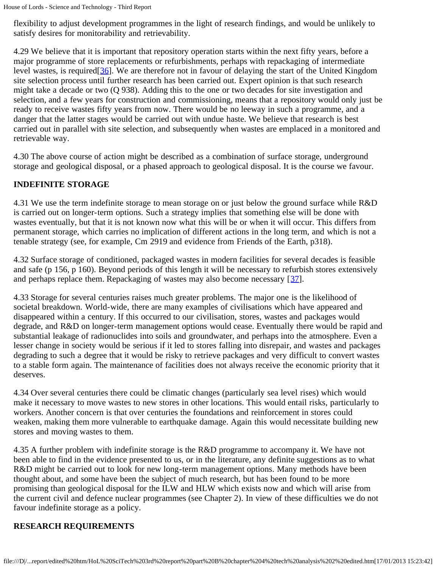flexibility to adjust development programmes in the light of research findings, and would be unlikely to satisfy desires for monitorability and retrievability.

<span id="page-38-0"></span>4.29 We believe that it is important that repository operation starts within the next fifty years, before a major programme of store replacements or refurbishments, perhaps with repackaging of intermediate level wastes, is required[[36\]](#page-42-2). We are therefore not in favour of delaying the start of the United Kingdom site selection process until further research has been carried out. Expert opinion is that such research might take a decade or two (Q 938). Adding this to the one or two decades for site investigation and selection, and a few years for construction and commissioning, means that a repository would only just be ready to receive wastes fifty years from now. There would be no leeway in such a programme, and a danger that the latter stages would be carried out with undue haste. We believe that research is best carried out in parallel with site selection, and subsequently when wastes are emplaced in a monitored and retrievable way.

4.30 The above course of action might be described as a combination of surface storage, underground storage and geological disposal, or a phased approach to geological disposal. It is the course we favour.

### **INDEFINITE STORAGE**

4.31 We use the term indefinite storage to mean storage on or just below the ground surface while R&D is carried out on longer-term options. Such a strategy implies that something else will be done with wastes eventually, but that it is not known now what this will be or when it will occur. This differs from permanent storage, which carries no implication of different actions in the long term, and which is not a tenable strategy (see, for example, Cm 2919 and evidence from Friends of the Earth, p318).

4.32 Surface storage of conditioned, packaged wastes in modern facilities for several decades is feasible and safe (p 156, p 160). Beyond periods of this length it will be necessary to refurbish stores extensively and perhaps replace them. Repackaging of wastes may also become necessary [[37](#page-42-3)].

<span id="page-38-1"></span>4.33 Storage for several centuries raises much greater problems. The major one is the likelihood of societal breakdown. World-wide, there are many examples of civilisations which have appeared and disappeared within a century. If this occurred to our civilisation, stores, wastes and packages would degrade, and R&D on longer-term management options would cease. Eventually there would be rapid and substantial leakage of radionuclides into soils and groundwater, and perhaps into the atmosphere. Even a lesser change in society would be serious if it led to stores falling into disrepair, and wastes and packages degrading to such a degree that it would be risky to retrieve packages and very difficult to convert wastes to a stable form again. The maintenance of facilities does not always receive the economic priority that it deserves.

4.34 Over several centuries there could be climatic changes (particularly sea level rises) which would make it necessary to move wastes to new stores in other locations. This would entail risks, particularly to workers. Another concern is that over centuries the foundations and reinforcement in stores could weaken, making them more vulnerable to earthquake damage. Again this would necessitate building new stores and moving wastes to them.

4.35 A further problem with indefinite storage is the R&D programme to accompany it. We have not been able to find in the evidence presented to us, or in the literature, any definite suggestions as to what R&D might be carried out to look for new long-term management options. Many methods have been thought about, and some have been the subject of much research, but has been found to be more promising than geological disposal for the ILW and HLW which exists now and which will arise from the current civil and defence nuclear programmes (see Chapter 2). In view of these difficulties we do not favour indefinite storage as a policy.

# **RESEARCH REQUIREMENTS**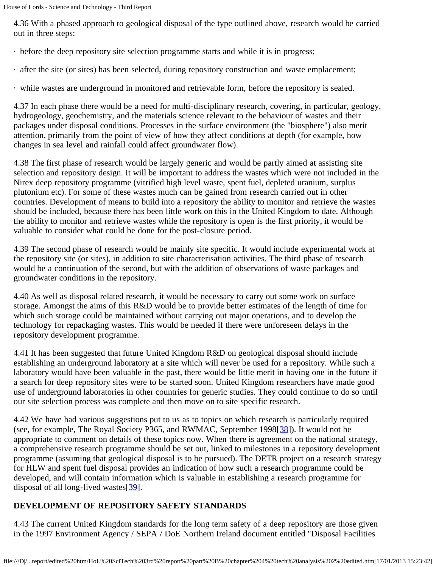4.36 With a phased approach to geological disposal of the type outlined above, research would be carried out in three steps:

- · before the deep repository site selection programme starts and while it is in progress;
- · after the site (or sites) has been selected, during repository construction and waste emplacement;
- · while wastes are underground in monitored and retrievable form, before the repository is sealed.

4.37 In each phase there would be a need for multi-disciplinary research, covering, in particular, geology, hydrogeology, geochemistry, and the materials science relevant to the behaviour of wastes and their packages under disposal conditions. Processes in the surface environment (the "biosphere") also merit attention, primarily from the point of view of how they affect conditions at depth (for example, how changes in sea level and rainfall could affect groundwater flow).

4.38 The first phase of research would be largely generic and would be partly aimed at assisting site selection and repository design. It will be important to address the wastes which were not included in the Nirex deep repository programme (vitrified high level waste, spent fuel, depleted uranium, surplus plutonium etc). For some of these wastes much can be gained from research carried out in other countries. Development of means to build into a repository the ability to monitor and retrieve the wastes should be included, because there has been little work on this in the United Kingdom to date. Although the ability to monitor and retrieve wastes while the repository is open is the first priority, it would be valuable to consider what could be done for the post-closure period.

4.39 The second phase of research would be mainly site specific. It would include experimental work at the repository site (or sites), in addition to site characterisation activities. The third phase of research would be a continuation of the second, but with the addition of observations of waste packages and groundwater conditions in the repository.

4.40 As well as disposal related research, it would be necessary to carry out some work on surface storage. Amongst the aims of this R&D would be to provide better estimates of the length of time for which such storage could be maintained without carrying out major operations, and to develop the technology for repackaging wastes. This would be needed if there were unforeseen delays in the repository development programme.

4.41 It has been suggested that future United Kingdom R&D on geological disposal should include establishing an underground laboratory at a site which will never be used for a repository. While such a laboratory would have been valuable in the past, there would be little merit in having one in the future if a search for deep repository sites were to be started soon. United Kingdom researchers have made good use of underground laboratories in other countries for generic studies. They could continue to do so until our site selection process was complete and then move on to site specific research.

<span id="page-39-0"></span>4.42 We have had various suggestions put to us as to topics on which research is particularly required (see, for example, The Royal Society P365, and RWMAC, September 1998[[38](#page-42-4)]). It would not be appropriate to comment on details of these topics now. When there is agreement on the national strategy, a comprehensive research programme should be set out, linked to milestones in a repository development programme (assuming that geological disposal is to be pursued). The DETR project on a research strategy for HLW and spent fuel disposal provides an indication of how such a research programme could be developed, and will contain information which is valuable in establishing a research programme for disposal of all long-lived wastes[[39\]](#page-42-5).

# <span id="page-39-1"></span>**DEVELOPMENT OF REPOSITORY SAFETY STANDARDS**

4.43 The current United Kingdom standards for the long term safety of a deep repository are those given in the 1997 Environment Agency / SEPA / DoE Northern Ireland document entitled "Disposal Facilities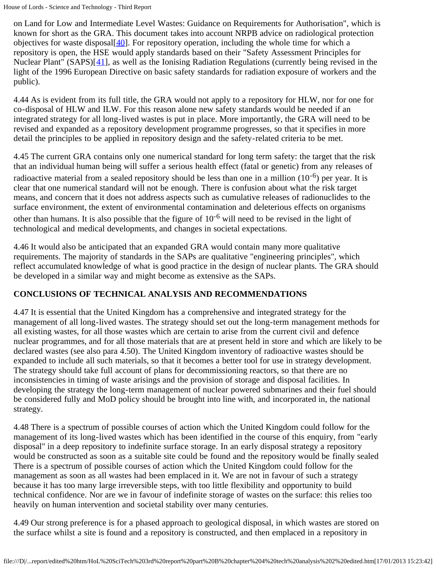<span id="page-40-0"></span>on Land for Low and Intermediate Level Wastes: Guidance on Requirements for Authorisation", which is known for short as the GRA. This document takes into account NRPB advice on radiological protection objectives for waste disposal $[40]$  $[40]$ . For repository operation, including the whole time for which a repository is open, the HSE would apply standards based on their "Safety Assessment Principles for Nuclear Plant" (SAPS)[[41\]](#page-42-7), as well as the Ionising Radiation Regulations (currently being revised in the light of the 1996 European Directive on basic safety standards for radiation exposure of workers and the public).

<span id="page-40-1"></span>4.44 As is evident from its full title, the GRA would not apply to a repository for HLW, nor for one for co-disposal of HLW and ILW. For this reason alone new safety standards would be needed if an integrated strategy for all long-lived wastes is put in place. More importantly, the GRA will need to be revised and expanded as a repository development programme progresses, so that it specifies in more detail the principles to be applied in repository design and the safety-related criteria to be met.

4.45 The current GRA contains only one numerical standard for long term safety: the target that the risk that an individual human being will suffer a serious health effect (fatal or genetic) from any releases of radioactive material from a sealed repository should be less than one in a million  $(10^{-6})$  per year. It is clear that one numerical standard will not be enough. There is confusion about what the risk target means, and concern that it does not address aspects such as cumulative releases of radionuclides to the surface environment, the extent of environmental contamination and deleterious effects on organisms other than humans. It is also possible that the figure of  $10^{-6}$  will need to be revised in the light of technological and medical developments, and changes in societal expectations.

4.46 It would also be anticipated that an expanded GRA would contain many more qualitative requirements. The majority of standards in the SAPs are qualitative "engineering principles", which reflect accumulated knowledge of what is good practice in the design of nuclear plants. The GRA should be developed in a similar way and might become as extensive as the SAPs.

### **CONCLUSIONS OF TECHNICAL ANALYSIS AND RECOMMENDATIONS**

4.47 It is essential that the United Kingdom has a comprehensive and integrated strategy for the management of all long-lived wastes. The strategy should set out the long-term management methods for all existing wastes, for all those wastes which are certain to arise from the current civil and defence nuclear programmes, and for all those materials that are at present held in store and which are likely to be declared wastes (see also para 4.50). The United Kingdom inventory of radioactive wastes should be expanded to include all such materials, so that it becomes a better tool for use in strategy development. The strategy should take full account of plans for decommissioning reactors, so that there are no inconsistencies in timing of waste arisings and the provision of storage and disposal facilities. In developing the strategy the long-term management of nuclear powered submarines and their fuel should be considered fully and MoD policy should be brought into line with, and incorporated in, the national strategy.

4.48 There is a spectrum of possible courses of action which the United Kingdom could follow for the management of its long-lived wastes which has been identified in the course of this enquiry, from "early disposal" in a deep repository to indefinite surface storage. In an early disposal strategy a repository would be constructed as soon as a suitable site could be found and the repository would be finally sealed There is a spectrum of possible courses of action which the United Kingdom could follow for the management as soon as all wastes had been emplaced in it. We are not in favour of such a strategy because it has too many large irreversible steps, with too little flexibility and opportunity to build technical confidence. Nor are we in favour of indefinite storage of wastes on the surface: this relies too heavily on human intervention and societal stability over many centuries.

4.49 Our strong preference is for a phased approach to geological disposal, in which wastes are stored on the surface whilst a site is found and a repository is constructed, and then emplaced in a repository in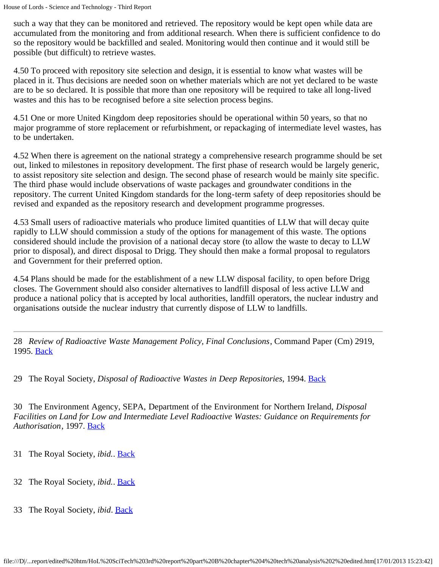such a way that they can be monitored and retrieved. The repository would be kept open while data are accumulated from the monitoring and from additional research. When there is sufficient confidence to do so the repository would be backfilled and sealed. Monitoring would then continue and it would still be possible (but difficult) to retrieve wastes.

4.50 To proceed with repository site selection and design, it is essential to know what wastes will be placed in it. Thus decisions are needed soon on whether materials which are not yet declared to be waste are to be so declared. It is possible that more than one repository will be required to take all long-lived wastes and this has to be recognised before a site selection process begins.

4.51 One or more United Kingdom deep repositories should be operational within 50 years, so that no major programme of store replacement or refurbishment, or repackaging of intermediate level wastes, has to be undertaken.

4.52 When there is agreement on the national strategy a comprehensive research programme should be set out, linked to milestones in repository development. The first phase of research would be largely generic, to assist repository site selection and design. The second phase of research would be mainly site specific. The third phase would include observations of waste packages and groundwater conditions in the repository. The current United Kingdom standards for the long-term safety of deep repositories should be revised and expanded as the repository research and development programme progresses.

4.53 Small users of radioactive materials who produce limited quantities of LLW that will decay quite rapidly to LLW should commission a study of the options for management of this waste. The options considered should include the provision of a national decay store (to allow the waste to decay to LLW prior to disposal), and direct disposal to Drigg. They should then make a formal proposal to regulators and Government for their preferred option.

4.54 Plans should be made for the establishment of a new LLW disposal facility, to open before Drigg closes. The Government should also consider alternatives to landfill disposal of less active LLW and produce a national policy that is accepted by local authorities, landfill operators, the nuclear industry and organisations outside the nuclear industry that currently dispose of LLW to landfills.

<span id="page-41-0"></span>28 *Review of Radioactive Waste Management Policy, Final Conclusions*, Command Paper (Cm) 2919, 1995. [Back](#page-36-0)

<span id="page-41-1"></span>29 The Royal Society, *Disposal of Radioactive Wastes in Deep Repositories*, 1994. [Back](#page-36-1)

<span id="page-41-2"></span>30 The Environment Agency, SEPA, Department of the Environment for Northern Ireland, *Disposal Facilities on Land for Low and Intermediate Level Radioactive Wastes: Guidance on Requirements for Authorisation*, 1997. [Back](#page-36-2)

- <span id="page-41-3"></span>31 The Royal Society, *ibid.*. [Back](#page-36-3)
- <span id="page-41-4"></span>32 The Royal Society, *ibid.*. [Back](#page-37-0)
- <span id="page-41-5"></span>33 The Royal Society, *ibid*. [Back](#page-37-1)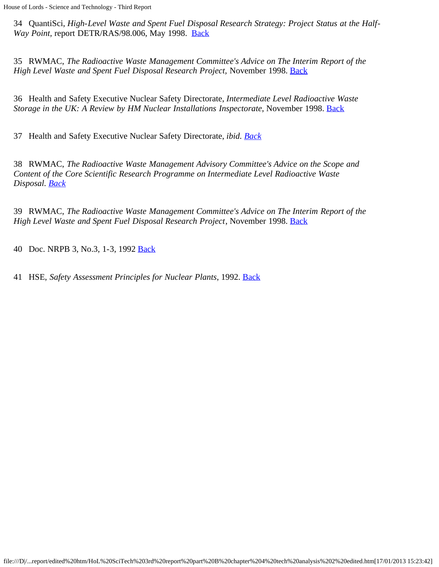<span id="page-42-0"></span>34 QuantiSci, *High-Level Waste and Spent Fuel Disposal Research Strategy: Project Status at the Half-Way Point, report DETR/RAS/98.006, May 1998. [Back](#page-37-2)* 

<span id="page-42-1"></span>35 RWMAC, *The Radioactive Waste Management Committee's Advice on The Interim Report of the High Level Waste and Spent Fuel Disposal Research Project, November 1998. [Back](#page-37-2)* 

<span id="page-42-2"></span>36 Health and Safety Executive Nuclear Safety Directorate, *Intermediate Level Radioactive Waste Storage in the UK: A Review by HM Nuclear Installations Inspectorate, November 1998. [Back](#page-38-0)* 

<span id="page-42-3"></span>37 Health and Safety Executive Nuclear Safety Directorate, *ibid. [Back](#page-38-1)*

<span id="page-42-4"></span>38 RWMAC, *The Radioactive Waste Management Advisory Committee's Advice on the Scope and Content of the Core Scientific Research Programme on Intermediate Level Radioactive Waste Disposal. [Back](#page-39-0)*

<span id="page-42-5"></span>39 RWMAC, *The Radioactive Waste Management Committee's Advice on The Interim Report of the High Level Waste and Spent Fuel Disposal Research Project*, November 1998. **[Back](#page-39-1)** 

<span id="page-42-6"></span>40 Doc. NRPB 3, No.3, 1-3, 1992 [Back](#page-40-0)

<span id="page-42-7"></span>41 HSE, *Safety Assessment Principles for Nuclear Plants*, 1992. [Back](#page-40-1)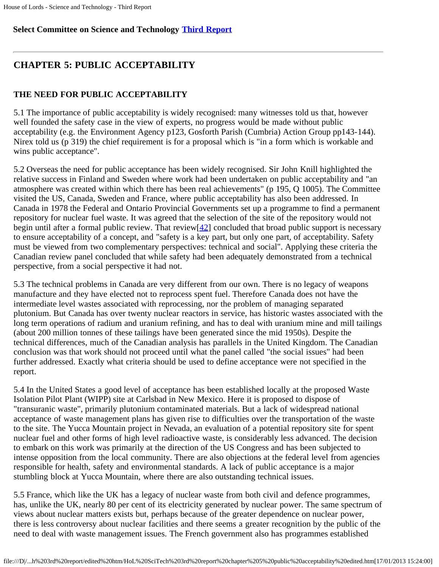### **Select Committee on Science and Technology [Third Report](file:///D|/Home/dks/text/papers%20and%20research/earth%20science/nuclear%20waste%20disposal/government/parliament/HoL%20SciTech%203rd%20report/edited%20htm/4101.htm)**

# **CHAPTER 5: PUBLIC ACCEPTABILITY**

### **THE NEED FOR PUBLIC ACCEPTABILITY**

5.1 The importance of public acceptability is widely recognised: many witnesses told us that, however well founded the safety case in the view of experts, no progress would be made without public acceptability (e.g. the Environment Agency p123, Gosforth Parish (Cumbria) Action Group pp143-144). Nirex told us (p 319) the chief requirement is for a proposal which is "in a form which is workable and wins public acceptance".

5.2 Overseas the need for public acceptance has been widely recognised. Sir John Knill highlighted the relative success in Finland and Sweden where work had been undertaken on public acceptability and "an atmosphere was created within which there has been real achievements" (p 195, Q 1005). The Committee visited the US, Canada, Sweden and France, where public acceptability has also been addressed. In Canada in 1978 the Federal and Ontario Provincial Governments set up a programme to find a permanent repository for nuclear fuel waste. It was agreed that the selection of the site of the repository would not begin until after a formal public review. That review $[42]$  $[42]$  concluded that broad public support is necessary to ensure acceptability of a concept, and "safety is a key part, but only one part, of acceptability. Safety must be viewed from two complementary perspectives: technical and social". Applying these criteria the Canadian review panel concluded that while safety had been adequately demonstrated from a technical perspective, from a social perspective it had not.

<span id="page-43-0"></span>5.3 The technical problems in Canada are very different from our own. There is no legacy of weapons manufacture and they have elected not to reprocess spent fuel. Therefore Canada does not have the intermediate level wastes associated with reprocessing, nor the problem of managing separated plutonium. But Canada has over twenty nuclear reactors in service, has historic wastes associated with the long term operations of radium and uranium refining, and has to deal with uranium mine and mill tailings (about 200 million tonnes of these tailings have been generated since the mid 1950s). Despite the technical differences, much of the Canadian analysis has parallels in the United Kingdom. The Canadian conclusion was that work should not proceed until what the panel called "the social issues" had been further addressed. Exactly what criteria should be used to define acceptance were not specified in the report.

5.4 In the United States a good level of acceptance has been established locally at the proposed Waste Isolation Pilot Plant (WIPP) site at Carlsbad in New Mexico. Here it is proposed to dispose of "transuranic waste", primarily plutonium contaminated materials. But a lack of widespread national acceptance of waste management plans has given rise to difficulties over the transportation of the waste to the site. The Yucca Mountain project in Nevada, an evaluation of a potential repository site for spent nuclear fuel and other forms of high level radioactive waste, is considerably less advanced. The decision to embark on this work was primarily at the direction of the US Congress and has been subjected to intense opposition from the local community. There are also objections at the federal level from agencies responsible for health, safety and environmental standards. A lack of public acceptance is a major stumbling block at Yucca Mountain, where there are also outstanding technical issues.

5.5 France, which like the UK has a legacy of nuclear waste from both civil and defence programmes, has, unlike the UK, nearly 80 per cent of its electricity generated by nuclear power. The same spectrum of views about nuclear matters exists but, perhaps because of the greater dependence on nuclear power, there is less controversy about nuclear facilities and there seems a greater recognition by the public of the need to deal with waste management issues. The French government also has programmes established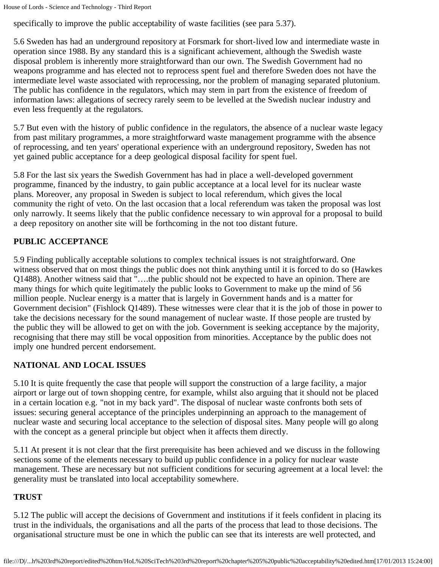specifically to improve the public acceptability of waste facilities (see para 5.37).

5.6 Sweden has had an underground repository at Forsmark for short-lived low and intermediate waste in operation since 1988. By any standard this is a significant achievement, although the Swedish waste disposal problem is inherently more straightforward than our own. The Swedish Government had no weapons programme and has elected not to reprocess spent fuel and therefore Sweden does not have the intermediate level waste associated with reprocessing, nor the problem of managing separated plutonium. The public has confidence in the regulators, which may stem in part from the existence of freedom of information laws: allegations of secrecy rarely seem to be levelled at the Swedish nuclear industry and even less frequently at the regulators.

5.7 But even with the history of public confidence in the regulators, the absence of a nuclear waste legacy from past military programmes, a more straightforward waste management programme with the absence of reprocessing, and ten years' operational experience with an underground repository, Sweden has not yet gained public acceptance for a deep geological disposal facility for spent fuel.

5.8 For the last six years the Swedish Government has had in place a well-developed government programme, financed by the industry, to gain public acceptance at a local level for its nuclear waste plans. Moreover, any proposal in Sweden is subject to local referendum, which gives the local community the right of veto. On the last occasion that a local referendum was taken the proposal was lost only narrowly. It seems likely that the public confidence necessary to win approval for a proposal to build a deep repository on another site will be forthcoming in the not too distant future.

### **PUBLIC ACCEPTANCE**

5.9 Finding publically acceptable solutions to complex technical issues is not straightforward. One witness observed that on most things the public does not think anything until it is forced to do so (Hawkes Q1488). Another witness said that "….the public should not be expected to have an opinion. There are many things for which quite legitimately the public looks to Government to make up the mind of 56 million people. Nuclear energy is a matter that is largely in Government hands and is a matter for Government decision" (Fishlock Q1489). These witnesses were clear that it is the job of those in power to take the decisions necessary for the sound management of nuclear waste. If those people are trusted by the public they will be allowed to get on with the job. Government is seeking acceptance by the majority, recognising that there may still be vocal opposition from minorities. Acceptance by the public does not imply one hundred percent endorsement.

### **NATIONAL AND LOCAL ISSUES**

5.10 It is quite frequently the case that people will support the construction of a large facility, a major airport or large out of town shopping centre, for example, whilst also arguing that it should not be placed in a certain location e.g. "not in my back yard". The disposal of nuclear waste confronts both sets of issues: securing general acceptance of the principles underpinning an approach to the management of nuclear waste and securing local acceptance to the selection of disposal sites. Many people will go along with the concept as a general principle but object when it affects them directly.

5.11 At present it is not clear that the first prerequisite has been achieved and we discuss in the following sections some of the elements necessary to build up public confidence in a policy for nuclear waste management. These are necessary but not sufficient conditions for securing agreement at a local level: the generality must be translated into local acceptability somewhere.

### **TRUST**

5.12 The public will accept the decisions of Government and institutions if it feels confident in placing its trust in the individuals, the organisations and all the parts of the process that lead to those decisions. The organisational structure must be one in which the public can see that its interests are well protected, and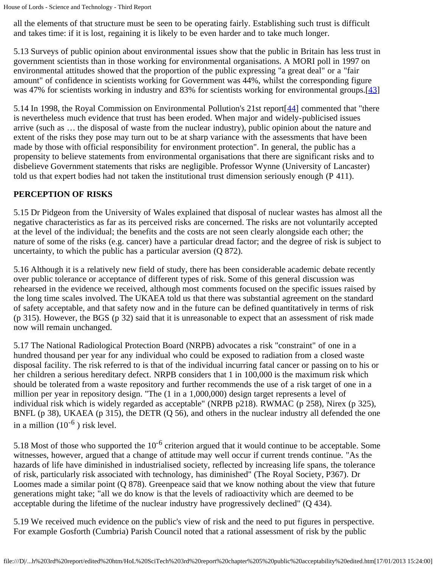all the elements of that structure must be seen to be operating fairly. Establishing such trust is difficult and takes time: if it is lost, regaining it is likely to be even harder and to take much longer.

5.13 Surveys of public opinion about environmental issues show that the public in Britain has less trust in government scientists than in those working for environmental organisations. A MORI poll in 1997 on environmental attitudes showed that the proportion of the public expressing "a great deal" or a "fair amount" of confidence in scientists working for Government was 44%, whilst the corresponding figure was 47% for scientists working in industry and 83% for scientists working for environmental groups.[[43](#page-50-1)]

<span id="page-45-1"></span><span id="page-45-0"></span>5.14 In 1998, the Royal Commission on Environmental Pollution's 21st report [[44\]](#page-50-2) commented that "there is nevertheless much evidence that trust has been eroded. When major and widely-publicised issues arrive (such as … the disposal of waste from the nuclear industry), public opinion about the nature and extent of the risks they pose may turn out to be at sharp variance with the assessments that have been made by those with official responsibility for environment protection". In general, the public has a propensity to believe statements from environmental organisations that there are significant risks and to disbelieve Government statements that risks are negligible. Professor Wynne (University of Lancaster) told us that expert bodies had not taken the institutional trust dimension seriously enough (P 411).

### **PERCEPTION OF RISKS**

5.15 Dr Pidgeon from the University of Wales explained that disposal of nuclear wastes has almost all the negative characteristics as far as its perceived risks are concerned. The risks are not voluntarily accepted at the level of the individual; the benefits and the costs are not seen clearly alongside each other; the nature of some of the risks (e.g. cancer) have a particular dread factor; and the degree of risk is subject to uncertainty, to which the public has a particular aversion (Q 872).

5.16 Although it is a relatively new field of study, there has been considerable academic debate recently over public tolerance or acceptance of different types of risk. Some of this general discussion was rehearsed in the evidence we received, although most comments focused on the specific issues raised by the long time scales involved. The UKAEA told us that there was substantial agreement on the standard of safety acceptable, and that safety now and in the future can be defined quantitatively in terms of risk (p 315). However, the BGS (p 32) said that it is unreasonable to expect that an assessment of risk made now will remain unchanged.

5.17 The National Radiological Protection Board (NRPB) advocates a risk "constraint" of one in a hundred thousand per year for any individual who could be exposed to radiation from a closed waste disposal facility. The risk referred to is that of the individual incurring fatal cancer or passing on to his or her children a serious hereditary defect. NRPB considers that 1 in 100,000 is the maximum risk which should be tolerated from a waste repository and further recommends the use of a risk target of one in a million per year in repository design. "The (1 in a 1,000,000) design target represents a level of individual risk which is widely regarded as acceptable" (NRPB p218). RWMAC (p 258), Nirex (p 325), BNFL (p 38), UKAEA (p 315), the DETR (Q 56), and others in the nuclear industry all defended the one in a million  $(10^{-6})$  risk level.

5.18 Most of those who supported the  $10^{-6}$  criterion argued that it would continue to be acceptable. Some witnesses, however, argued that a change of attitude may well occur if current trends continue. "As the hazards of life have diminished in industrialised society, reflected by increasing life spans, the tolerance of risk, particularly risk associated with technology, has diminished" (The Royal Society, P367). Dr Loomes made a similar point (Q 878). Greenpeace said that we know nothing about the view that future generations might take; "all we do know is that the levels of radioactivity which are deemed to be acceptable during the lifetime of the nuclear industry have progressively declined" (Q 434).

5.19 We received much evidence on the public's view of risk and the need to put figures in perspective. For example Gosforth (Cumbria) Parish Council noted that a rational assessment of risk by the public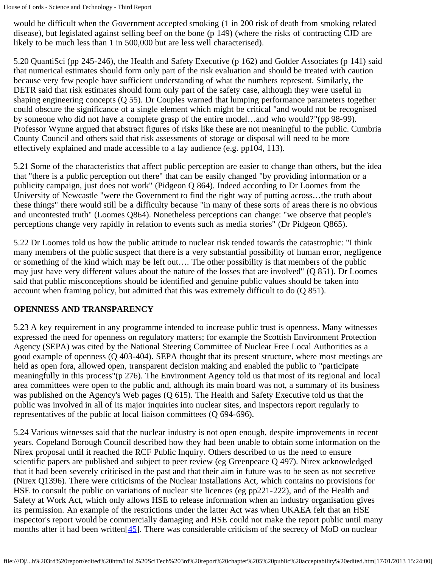would be difficult when the Government accepted smoking (1 in 200 risk of death from smoking related disease), but legislated against selling beef on the bone (p 149) (where the risks of contracting CJD are likely to be much less than 1 in 500,000 but are less well characterised).

5.20 QuantiSci (pp 245-246), the Health and Safety Executive (p 162) and Golder Associates (p 141) said that numerical estimates should form only part of the risk evaluation and should be treated with caution because very few people have sufficient understanding of what the numbers represent. Similarly, the DETR said that risk estimates should form only part of the safety case, although they were useful in shaping engineering concepts (Q 55). Dr Couples warned that lumping performance parameters together could obscure the significance of a single element which might be critical "and would not be recognised by someone who did not have a complete grasp of the entire model…and who would?"(pp 98-99). Professor Wynne argued that abstract figures of risks like these are not meaningful to the public. Cumbria County Council and others said that risk assessments of storage or disposal will need to be more effectively explained and made accessible to a lay audience (e.g. pp104, 113).

5.21 Some of the characteristics that affect public perception are easier to change than others, but the idea that "there is a public perception out there" that can be easily changed "by providing information or a publicity campaign, just does not work" (Pidgeon Q 864). Indeed according to Dr Loomes from the University of Newcastle "were the Government to find the right way of putting across…the truth about these things" there would still be a difficulty because "in many of these sorts of areas there is no obvious and uncontested truth" (Loomes Q864). Nonetheless perceptions can change: "we observe that people's perceptions change very rapidly in relation to events such as media stories" (Dr Pidgeon Q865).

5.22 Dr Loomes told us how the public attitude to nuclear risk tended towards the catastrophic: "I think many members of the public suspect that there is a very substantial possibility of human error, negligence or something of the kind which may be left out…. The other possibility is that members of the public may just have very different values about the nature of the losses that are involved" (Q 851). Dr Loomes said that public misconceptions should be identified and genuine public values should be taken into account when framing policy, but admitted that this was extremely difficult to do (Q 851).

# **OPENNESS AND TRANSPARENCY**

5.23 A key requirement in any programme intended to increase public trust is openness. Many witnesses expressed the need for openness on regulatory matters; for example the Scottish Environment Protection Agency (SEPA) was cited by the National Steering Committee of Nuclear Free Local Authorities as a good example of openness (Q 403-404). SEPA thought that its present structure, where most meetings are held as open fora, allowed open, transparent decision making and enabled the public to "participate meaningfully in this process"(p 276). The Environment Agency told us that most of its regional and local area committees were open to the public and, although its main board was not, a summary of its business was published on the Agency's Web pages (Q 615). The Health and Safety Executive told us that the public was involved in all of its major inquiries into nuclear sites, and inspectors report regularly to representatives of the public at local liaison committees (Q 694-696).

<span id="page-46-0"></span>5.24 Various witnesses said that the nuclear industry is not open enough, despite improvements in recent years. Copeland Borough Council described how they had been unable to obtain some information on the Nirex proposal until it reached the RCF Public Inquiry. Others described to us the need to ensure scientific papers are published and subject to peer review (eg Greenpeace Q 497). Nirex acknowledged that it had been severely criticised in the past and that their aim in future was to be seen as not secretive (Nirex Q1396). There were criticisms of the Nuclear Installations Act, which contains no provisions for HSE to consult the public on variations of nuclear site licences (eg pp221-222), and of the Health and Safety at Work Act, which only allows HSE to release information when an industry organisation gives its permission. An example of the restrictions under the latter Act was when UKAEA felt that an HSE inspector's report would be commercially damaging and HSE could not make the report public until many months after it had been written $[45]$  $[45]$ . There was considerable criticism of the secrecy of MoD on nuclear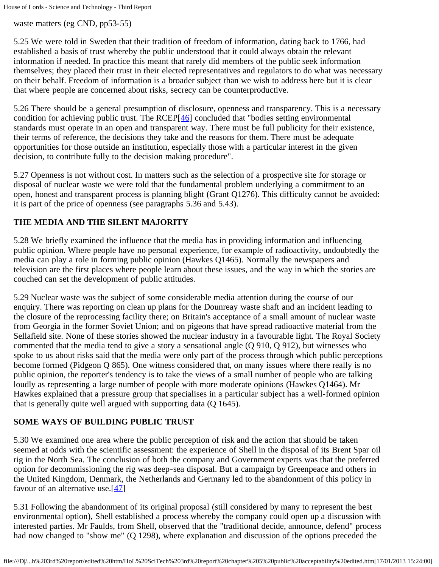waste matters (eg CND, pp53-55)

5.25 We were told in Sweden that their tradition of freedom of information, dating back to 1766, had established a basis of trust whereby the public understood that it could always obtain the relevant information if needed. In practice this meant that rarely did members of the public seek information themselves; they placed their trust in their elected representatives and regulators to do what was necessary on their behalf. Freedom of information is a broader subject than we wish to address here but it is clear that where people are concerned about risks, secrecy can be counterproductive.

<span id="page-47-0"></span>5.26 There should be a general presumption of disclosure, openness and transparency. This is a necessary condition for achieving public trust. The RCEP[[46](#page-50-4)] concluded that "bodies setting environmental standards must operate in an open and transparent way. There must be full publicity for their existence, their terms of reference, the decisions they take and the reasons for them. There must be adequate opportunities for those outside an institution, especially those with a particular interest in the given decision, to contribute fully to the decision making procedure".

5.27 Openness is not without cost. In matters such as the selection of a prospective site for storage or disposal of nuclear waste we were told that the fundamental problem underlying a commitment to an open, honest and transparent process is planning blight (Grant Q1276). This difficulty cannot be avoided: it is part of the price of openness (see paragraphs 5.36 and 5.43).

# **THE MEDIA AND THE SILENT MAJORITY**

5.28 We briefly examined the influence that the media has in providing information and influencing public opinion. Where people have no personal experience, for example of radioactivity, undoubtedly the media can play a role in forming public opinion (Hawkes Q1465). Normally the newspapers and television are the first places where people learn about these issues, and the way in which the stories are couched can set the development of public attitudes.

5.29 Nuclear waste was the subject of some considerable media attention during the course of our enquiry. There was reporting on clean up plans for the Dounreay waste shaft and an incident leading to the closure of the reprocessing facility there; on Britain's acceptance of a small amount of nuclear waste from Georgia in the former Soviet Union; and on pigeons that have spread radioactive material from the Sellafield site. None of these stories showed the nuclear industry in a favourable light. The Royal Society commented that the media tend to give a story a sensational angle (Q 910, Q 912), but witnesses who spoke to us about risks said that the media were only part of the process through which public perceptions become formed (Pidgeon Q 865). One witness considered that, on many issues where there really is no public opinion, the reporter's tendency is to take the views of a small number of people who are talking loudly as representing a large number of people with more moderate opinions (Hawkes Q1464). Mr Hawkes explained that a pressure group that specialises in a particular subject has a well-formed opinion that is generally quite well argued with supporting data (Q 1645).

### **SOME WAYS OF BUILDING PUBLIC TRUST**

5.30 We examined one area where the public perception of risk and the action that should be taken seemed at odds with the scientific assessment: the experience of Shell in the disposal of its Brent Spar oil rig in the North Sea. The conclusion of both the company and Government experts was that the preferred option for decommissioning the rig was deep-sea disposal. But a campaign by Greenpeace and others in the United Kingdom, Denmark, the Netherlands and Germany led to the abandonment of this policy in favour of an alternative use.[[47](#page-50-5)]

<span id="page-47-1"></span>5.31 Following the abandonment of its original proposal (still considered by many to represent the best environmental option), Shell established a process whereby the company could open up a discussion with interested parties. Mr Faulds, from Shell, observed that the "traditional decide, announce, defend" process had now changed to "show me" (Q 1298), where explanation and discussion of the options preceded the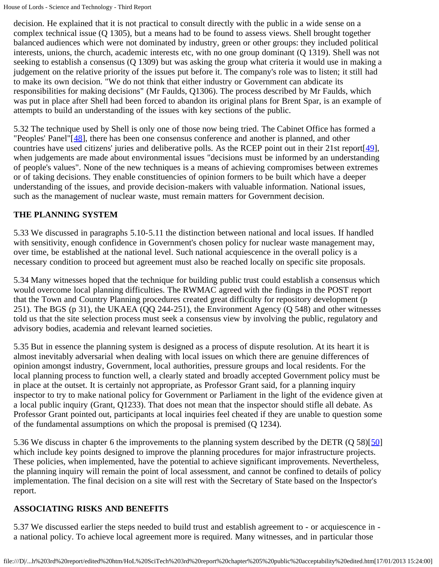decision. He explained that it is not practical to consult directly with the public in a wide sense on a complex technical issue (Q 1305), but a means had to be found to assess views. Shell brought together balanced audiences which were not dominated by industry, green or other groups: they included political interests, unions, the church, academic interests etc, with no one group dominant (Q 1319). Shell was not seeking to establish a consensus (Q 1309) but was asking the group what criteria it would use in making a judgement on the relative priority of the issues put before it. The company's role was to listen; it still had to make its own decision. "We do not think that either industry or Government can abdicate its responsibilities for making decisions" (Mr Faulds, Q1306). The process described by Mr Faulds, which was put in place after Shell had been forced to abandon its original plans for Brent Spar, is an example of attempts to build an understanding of the issues with key sections of the public.

<span id="page-48-1"></span><span id="page-48-0"></span>5.32 The technique used by Shell is only one of those now being tried. The Cabinet Office has formed a "Peoples' Panel"[[48](#page-50-6)], there has been one consensus conference and another is planned, and other countries have used citizens' juries and deliberative polls. As the RCEP point out in their 21st report  $\left[\frac{49}{7}\right]$  $\left[\frac{49}{7}\right]$  $\left[\frac{49}{7}\right]$ , when judgements are made about environmental issues "decisions must be informed by an understanding of people's values". None of the new techniques is a means of achieving compromises between extremes or of taking decisions. They enable constituencies of opinion formers to be built which have a deeper understanding of the issues, and provide decision-makers with valuable information. National issues, such as the management of nuclear waste, must remain matters for Government decision.

# **THE PLANNING SYSTEM**

5.33 We discussed in paragraphs 5.10-5.11 the distinction between national and local issues. If handled with sensitivity, enough confidence in Government's chosen policy for nuclear waste management may, over time, be established at the national level. Such national acquiescence in the overall policy is a necessary condition to proceed but agreement must also be reached locally on specific site proposals.

5.34 Many witnesses hoped that the technique for building public trust could establish a consensus which would overcome local planning difficulties. The RWMAC agreed with the findings in the POST report that the Town and Country Planning procedures created great difficulty for repository development (p 251). The BGS (p 31), the UKAEA (QQ 244-251), the Environment Agency (Q 548) and other witnesses told us that the site selection process must seek a consensus view by involving the public, regulatory and advisory bodies, academia and relevant learned societies.

5.35 But in essence the planning system is designed as a process of dispute resolution. At its heart it is almost inevitably adversarial when dealing with local issues on which there are genuine differences of opinion amongst industry, Government, local authorities, pressure groups and local residents. For the local planning process to function well, a clearly stated and broadly accepted Government policy must be in place at the outset. It is certainly not appropriate, as Professor Grant said, for a planning inquiry inspector to try to make national policy for Government or Parliament in the light of the evidence given at a local public inquiry (Grant, Q1233). That does not mean that the inspector should stifle all debate. As Professor Grant pointed out, participants at local inquiries feel cheated if they are unable to question some of the fundamental assumptions on which the proposal is premised (Q 1234).

<span id="page-48-2"></span>5.36 We discuss in chapter 6 the improvements to the planning system described by the DETR (Q 58)[[50\]](#page-50-8) which include key points designed to improve the planning procedures for major infrastructure projects. These policies, when implemented, have the potential to achieve significant improvements. Nevertheless, the planning inquiry will remain the point of local assessment, and cannot be confined to details of policy implementation. The final decision on a site will rest with the Secretary of State based on the Inspector's report.

### **ASSOCIATING RISKS AND BENEFITS**

5.37 We discussed earlier the steps needed to build trust and establish agreement to - or acquiescence in a national policy. To achieve local agreement more is required. Many witnesses, and in particular those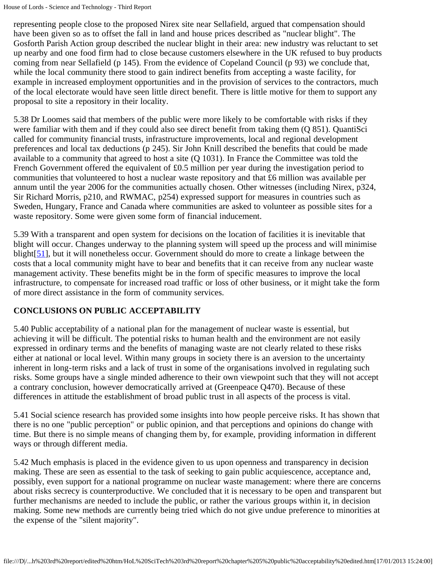representing people close to the proposed Nirex site near Sellafield, argued that compensation should have been given so as to offset the fall in land and house prices described as "nuclear blight". The Gosforth Parish Action group described the nuclear blight in their area: new industry was reluctant to set up nearby and one food firm had to close because customers elsewhere in the UK refused to buy products coming from near Sellafield (p 145). From the evidence of Copeland Council (p 93) we conclude that, while the local community there stood to gain indirect benefits from accepting a waste facility, for example in increased employment opportunities and in the provision of services to the contractors, much of the local electorate would have seen little direct benefit. There is little motive for them to support any proposal to site a repository in their locality.

5.38 Dr Loomes said that members of the public were more likely to be comfortable with risks if they were familiar with them and if they could also see direct benefit from taking them (Q 851). QuantiSci called for community financial trusts, infrastructure improvements, local and regional development preferences and local tax deductions (p 245). Sir John Knill described the benefits that could be made available to a community that agreed to host a site (Q 1031). In France the Committee was told the French Government offered the equivalent of £0.5 million per year during the investigation period to communities that volunteered to host a nuclear waste repository and that £6 million was available per annum until the year 2006 for the communities actually chosen. Other witnesses (including Nirex, p324, Sir Richard Morris, p210, and RWMAC, p254) expressed support for measures in countries such as Sweden, Hungary, France and Canada where communities are asked to volunteer as possible sites for a waste repository. Some were given some form of financial inducement.

<span id="page-49-0"></span>5.39 With a transparent and open system for decisions on the location of facilities it is inevitable that blight will occur. Changes underway to the planning system will speed up the process and will minimise blight[\[51](#page-50-9)], but it will nonetheless occur. Government should do more to create a linkage between the costs that a local community might have to bear and benefits that it can receive from any nuclear waste management activity. These benefits might be in the form of specific measures to improve the local infrastructure, to compensate for increased road traffic or loss of other business, or it might take the form of more direct assistance in the form of community services.

# **CONCLUSIONS ON PUBLIC ACCEPTABILITY**

5.40 Public acceptability of a national plan for the management of nuclear waste is essential, but achieving it will be difficult. The potential risks to human health and the environment are not easily expressed in ordinary terms and the benefits of managing waste are not clearly related to these risks either at national or local level. Within many groups in society there is an aversion to the uncertainty inherent in long-term risks and a lack of trust in some of the organisations involved in regulating such risks. Some groups have a single minded adherence to their own viewpoint such that they will not accept a contrary conclusion, however democratically arrived at (Greenpeace Q470). Because of these differences in attitude the establishment of broad public trust in all aspects of the process is vital.

5.41 Social science research has provided some insights into how people perceive risks. It has shown that there is no one "public perception" or public opinion, and that perceptions and opinions do change with time. But there is no simple means of changing them by, for example, providing information in different ways or through different media.

5.42 Much emphasis is placed in the evidence given to us upon openness and transparency in decision making. These are seen as essential to the task of seeking to gain public acquiescence, acceptance and, possibly, even support for a national programme on nuclear waste management: where there are concerns about risks secrecy is counterproductive. We concluded that it is necessary to be open and transparent but further mechanisms are needed to include the public, or rather the various groups within it, in decision making. Some new methods are currently being tried which do not give undue preference to minorities at the expense of the "silent majority".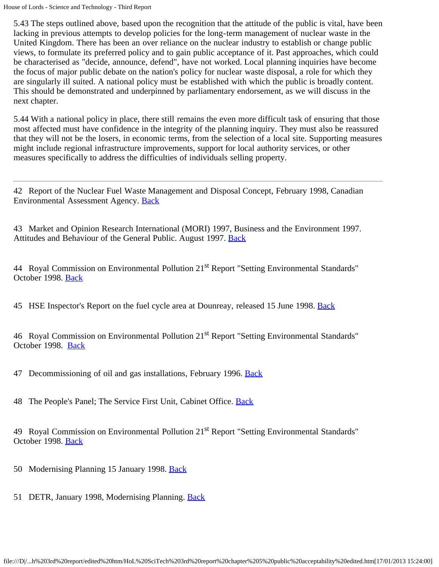5.43 The steps outlined above, based upon the recognition that the attitude of the public is vital, have been lacking in previous attempts to develop policies for the long-term management of nuclear waste in the United Kingdom. There has been an over reliance on the nuclear industry to establish or change public views, to formulate its preferred policy and to gain public acceptance of it. Past approaches, which could be characterised as "decide, announce, defend", have not worked. Local planning inquiries have become the focus of major public debate on the nation's policy for nuclear waste disposal, a role for which they are singularly ill suited. A national policy must be established with which the public is broadly content. This should be demonstrated and underpinned by parliamentary endorsement, as we will discuss in the next chapter.

5.44 With a national policy in place, there still remains the even more difficult task of ensuring that those most affected must have confidence in the integrity of the planning inquiry. They must also be reassured that they will not be the losers, in economic terms, from the selection of a local site. Supporting measures might include regional infrastructure improvements, support for local authority services, or other measures specifically to address the difficulties of individuals selling property.

<span id="page-50-0"></span>42 Report of the Nuclear Fuel Waste Management and Disposal Concept, February 1998, Canadian Environmental Assessment Agency. [Back](#page-43-0)

<span id="page-50-1"></span>43 Market and Opinion Research International (MORI) 1997, Business and the Environment 1997. Attitudes and Behaviour of the General Public. August 1997. [Back](#page-45-0)

<span id="page-50-2"></span>44 Royal Commission on Environmental Pollution 21<sup>st</sup> Report "Setting Environmental Standards" October 1998. [Back](#page-45-1)

<span id="page-50-3"></span>45 HSE Inspector's Report on the fuel cycle area at Dounreay, released 15 June 1998. [Back](#page-46-0)

<span id="page-50-4"></span>46 Royal Commission on Environmental Pollution 21<sup>st</sup> Report "Setting Environmental Standards" October 1998. [Back](#page-47-0)

<span id="page-50-5"></span>47 Decommissioning of oil and gas installations, February 1996. [Back](#page-47-1)

<span id="page-50-6"></span>48 The People's Panel; The Service First Unit, Cabinet Office. [Back](#page-48-0)

<span id="page-50-7"></span>49 Royal Commission on Environmental Pollution 21<sup>st</sup> Report "Setting Environmental Standards" October 1998. [Back](#page-48-1)

- <span id="page-50-8"></span>50 Modernising Planning 15 January 1998. [Back](#page-48-2)
- <span id="page-50-9"></span>51 DETR, January 1998, Modernising Planning. [Back](#page-49-0)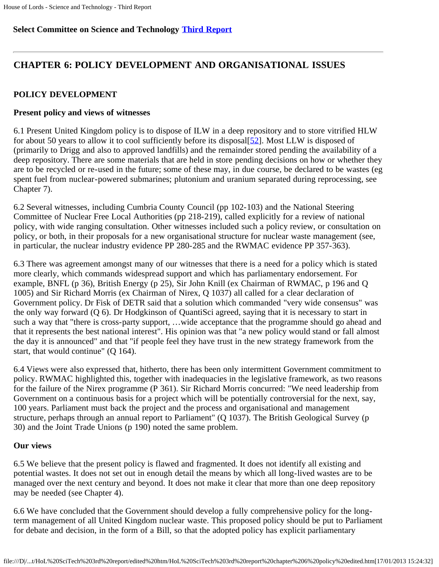# **Select Committee on Science and Technology [Third Report](file:///D|/Home/dks/text/papers%20and%20research/earth%20science/nuclear%20waste%20disposal/government/parliament/HoL%20SciTech%203rd%20report/edited%20htm/4101.htm)**

# **CHAPTER 6: POLICY DEVELOPMENT AND ORGANISATIONAL ISSUES**

# **POLICY DEVELOPMENT**

# **Present policy and views of witnesses**

<span id="page-51-0"></span>6.1 Present United Kingdom policy is to dispose of ILW in a deep repository and to store vitrified HLW for about 50 years to allow it to cool sufficiently before its disposal[[52](#page-63-0)]. Most LLW is disposed of (primarily to Drigg and also to approved landfills) and the remainder stored pending the availability of a deep repository. There are some materials that are held in store pending decisions on how or whether they are to be recycled or re-used in the future; some of these may, in due course, be declared to be wastes (eg spent fuel from nuclear-powered submarines; plutonium and uranium separated during reprocessing, see Chapter 7).

6.2 Several witnesses, including Cumbria County Council (pp 102-103) and the National Steering Committee of Nuclear Free Local Authorities (pp 218-219), called explicitly for a review of national policy, with wide ranging consultation. Other witnesses included such a policy review, or consultation on policy, or both, in their proposals for a new organisational structure for nuclear waste management (see, in particular, the nuclear industry evidence PP 280-285 and the RWMAC evidence PP 357-363).

6.3 There was agreement amongst many of our witnesses that there is a need for a policy which is stated more clearly, which commands widespread support and which has parliamentary endorsement. For example, BNFL (p 36), British Energy (p 25), Sir John Knill (ex Chairman of RWMAC, p 196 and Q 1005) and Sir Richard Morris (ex Chairman of Nirex, Q 1037) all called for a clear declaration of Government policy. Dr Fisk of DETR said that a solution which commanded "very wide consensus" was the only way forward (Q 6). Dr Hodgkinson of QuantiSci agreed, saying that it is necessary to start in such a way that "there is cross-party support, …wide acceptance that the programme should go ahead and that it represents the best national interest". His opinion was that "a new policy would stand or fall almost the day it is announced" and that "if people feel they have trust in the new strategy framework from the start, that would continue" (Q 164).

6.4 Views were also expressed that, hitherto, there has been only intermittent Government commitment to policy. RWMAC highlighted this, together with inadequacies in the legislative framework, as two reasons for the failure of the Nirex programme (P 361). Sir Richard Morris concurred: "We need leadership from Government on a continuous basis for a project which will be potentially controversial for the next, say, 100 years. Parliament must back the project and the process and organisational and management structure, perhaps through an annual report to Parliament" (Q 1037). The British Geological Survey (p 30) and the Joint Trade Unions (p 190) noted the same problem.

# **Our views**

6.5 We believe that the present policy is flawed and fragmented. It does not identify all existing and potential wastes. It does not set out in enough detail the means by which all long-lived wastes are to be managed over the next century and beyond. It does not make it clear that more than one deep repository may be needed (see Chapter 4).

6.6 We have concluded that the Government should develop a fully comprehensive policy for the longterm management of all United Kingdom nuclear waste. This proposed policy should be put to Parliament for debate and decision, in the form of a Bill, so that the adopted policy has explicit parliamentary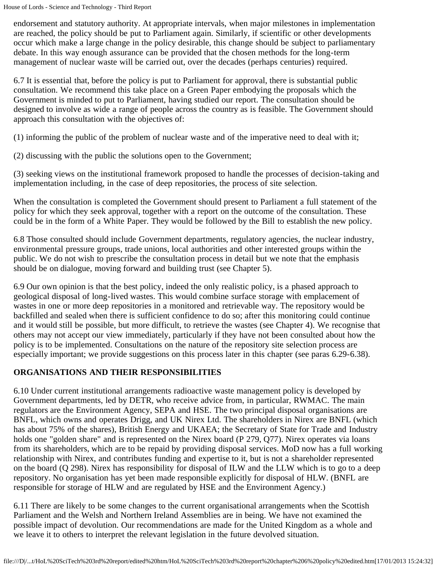endorsement and statutory authority. At appropriate intervals, when major milestones in implementation are reached, the policy should be put to Parliament again. Similarly, if scientific or other developments occur which make a large change in the policy desirable, this change should be subject to parliamentary debate. In this way enough assurance can be provided that the chosen methods for the long-term management of nuclear waste will be carried out, over the decades (perhaps centuries) required.

6.7 It is essential that, before the policy is put to Parliament for approval, there is substantial public consultation. We recommend this take place on a Green Paper embodying the proposals which the Government is minded to put to Parliament, having studied our report. The consultation should be designed to involve as wide a range of people across the country as is feasible. The Government should approach this consultation with the objectives of:

(1) informing the public of the problem of nuclear waste and of the imperative need to deal with it;

(2) discussing with the public the solutions open to the Government;

(3) seeking views on the institutional framework proposed to handle the processes of decision-taking and implementation including, in the case of deep repositories, the process of site selection.

When the consultation is completed the Government should present to Parliament a full statement of the policy for which they seek approval, together with a report on the outcome of the consultation. These could be in the form of a White Paper. They would be followed by the Bill to establish the new policy.

6.8 Those consulted should include Government departments, regulatory agencies, the nuclear industry, environmental pressure groups, trade unions, local authorities and other interested groups within the public. We do not wish to prescribe the consultation process in detail but we note that the emphasis should be on dialogue, moving forward and building trust (see Chapter 5).

6.9 Our own opinion is that the best policy, indeed the only realistic policy, is a phased approach to geological disposal of long-lived wastes. This would combine surface storage with emplacement of wastes in one or more deep repositories in a monitored and retrievable way. The repository would be backfilled and sealed when there is sufficient confidence to do so; after this monitoring could continue and it would still be possible, but more difficult, to retrieve the wastes (see Chapter 4). We recognise that others may not accept our view immediately, particularly if they have not been consulted about how the policy is to be implemented. Consultations on the nature of the repository site selection process are especially important; we provide suggestions on this process later in this chapter (see paras 6.29-6.38).

### **ORGANISATIONS AND THEIR RESPONSIBILITIES**

6.10 Under current institutional arrangements radioactive waste management policy is developed by Government departments, led by DETR, who receive advice from, in particular, RWMAC. The main regulators are the Environment Agency, SEPA and HSE. The two principal disposal organisations are BNFL, which owns and operates Drigg, and UK Nirex Ltd. The shareholders in Nirex are BNFL (which has about 75% of the shares), British Energy and UKAEA; the Secretary of State for Trade and Industry holds one "golden share" and is represented on the Nirex board (P 279, Q77). Nirex operates via loans from its shareholders, which are to be repaid by providing disposal services. MoD now has a full working relationship with Nirex, and contributes funding and expertise to it, but is not a shareholder represented on the board (Q 298). Nirex has responsibility for disposal of ILW and the LLW which is to go to a deep repository. No organisation has yet been made responsible explicitly for disposal of HLW. (BNFL are responsible for storage of HLW and are regulated by HSE and the Environment Agency.)

6.11 There are likely to be some changes to the current organisational arrangements when the Scottish Parliament and the Welsh and Northern Ireland Assemblies are in being. We have not examined the possible impact of devolution. Our recommendations are made for the United Kingdom as a whole and we leave it to others to interpret the relevant legislation in the future devolved situation.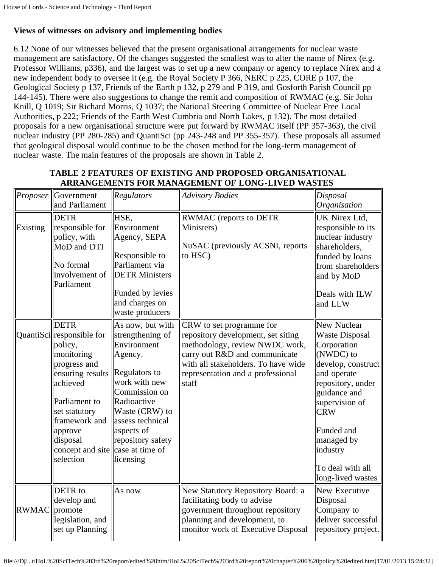# **Views of witnesses on advisory and implementing bodies**

6.12 None of our witnesses believed that the present organisational arrangements for nuclear waste management are satisfactory. Of the changes suggested the smallest was to alter the name of Nirex (e.g. Professor Williams, p336), and the largest was to set up a new company or agency to replace Nirex and a new independent body to oversee it (e.g. the Royal Society P 366, NERC p 225, CORE p 107, the Geological Society p 137, Friends of the Earth p 132, p 279 and P 319, and Gosforth Parish Council pp 144-145). There were also suggestions to change the remit and composition of RWMAC (e.g. Sir John Knill, Q 1019; Sir Richard Morris, Q 1037; the National Steering Committee of Nuclear Free Local Authorities, p 222; Friends of the Earth West Cumbria and North Lakes, p 132). The most detailed proposals for a new organisational structure were put forward by RWMAC itself (PP 357-363), the civil nuclear industry (PP 280-285) and QuantiSci (pp 243-248 and PP 355-357). These proposals all assumed that geological disposal would continue to be the chosen method for the long-term management of nuclear waste. The main features of the proposals are shown in Table 2.

| Proposer      | Government<br>and Parliament                                                                                                                                                                                                                 | Regulators                                                                                                                                                                                                             | <b>Advisory Bodies</b>                                                                                                                                                                                                 | Disposal<br>$ O$ rganisation                                                                                                                                                                                                                                         |
|---------------|----------------------------------------------------------------------------------------------------------------------------------------------------------------------------------------------------------------------------------------------|------------------------------------------------------------------------------------------------------------------------------------------------------------------------------------------------------------------------|------------------------------------------------------------------------------------------------------------------------------------------------------------------------------------------------------------------------|----------------------------------------------------------------------------------------------------------------------------------------------------------------------------------------------------------------------------------------------------------------------|
| Existing      | <b>DETR</b><br>responsible for<br>policy, with<br>MoD and DTI<br>No formal<br>involvement of<br>Parliament                                                                                                                                   | HSE,<br>Environment<br>Agency, SEPA<br>Responsible to<br>Parliament via<br><b>DETR Ministers</b><br>Funded by levies<br>and charges on<br>waste producers                                                              | RWMAC (reports to DETR<br>Ministers)<br>NuSAC (previously ACSNI, reports<br>to HSC)                                                                                                                                    | UK Nirex Ltd,<br>responsible to its<br>nuclear industry<br>shareholders,<br>funded by loans<br>from shareholders<br>and by MoD<br>Deals with ILW<br>and LLW                                                                                                          |
|               | <b>DETR</b><br>QuantiSci responsible for<br>policy,<br>monitoring<br>progress and<br>ensuring results<br>achieved<br>Parliament to<br>set statutory<br>framework and<br>approve<br>disposal<br>concept and site case at time of<br>selection | As now, but with<br>strengthening of<br>Environment<br>Agency.<br>Regulators to<br>work with new<br>Commission on<br>Radioactive<br>Waste (CRW) to<br>assess technical<br>aspects of<br>repository safety<br>licensing | CRW to set programme for<br>repository development, set siting<br>methodology, review NWDC work,<br>carry out R&D and communicate<br>with all stakeholders. To have wide<br>representation and a professional<br>staff | New Nuclear<br><b>Waste Disposal</b><br>Corporation<br>$\vert$ (NWDC) to<br>develop, construct<br>and operate<br>repository, under<br>guidance and<br>supervision of<br><b>CRW</b><br>Funded and<br>managed by<br>lindustry<br>To deal with all<br>long-lived wastes |
| RWMAC promote | DETR to<br>develop and<br>legislation, and<br>set up Planning                                                                                                                                                                                | As now                                                                                                                                                                                                                 | New Statutory Repository Board: a<br>facilitating body to advise<br>government throughout repository<br>planning and development, to<br>monitor work of Executive Disposal                                             | New Executive<br>Disposal<br>Company to<br>deliver successful<br>repository project.                                                                                                                                                                                 |

### **TABLE 2 FEATURES OF EXISTING AND PROPOSED ORGANISATIONAL ARRANGEMENTS FOR MANAGEMENT OF LONG-LIVED WASTES**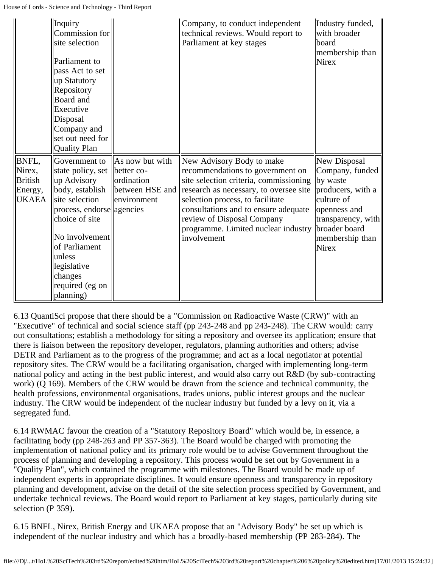|                 | Inquiry<br>Commission for<br>site selection<br>Parliament to<br>pass Act to set<br>up Statutory<br>Repository<br>Board and<br>Executive<br>Disposal<br>Company and<br>set out need for<br><b>Quality Plan</b> |                               | Company, to conduct independent<br>technical reviews. Would report to<br>Parliament at key stages | Industry funded,<br>with broader<br>board<br>membership than<br><b>Nirex</b> |
|-----------------|---------------------------------------------------------------------------------------------------------------------------------------------------------------------------------------------------------------|-------------------------------|---------------------------------------------------------------------------------------------------|------------------------------------------------------------------------------|
| BNFL,<br>Nirex, | Government to<br>state policy, set                                                                                                                                                                            | As now but with<br>better co- | New Advisory Body to make<br>recommendations to government on                                     | New Disposal<br>Company, funded                                              |
| <b>British</b>  | up Advisory                                                                                                                                                                                                   | ordination                    | site selection criteria, commissioning  by waste                                                  |                                                                              |
| Energy,         | body, establish                                                                                                                                                                                               | between HSE and               | research as necessary, to oversee site                                                            | producers, with a                                                            |
| <b>UKAEA</b>    | site selection                                                                                                                                                                                                | environment                   | selection process, to facilitate                                                                  | culture of                                                                   |
|                 | process, endorse agencies                                                                                                                                                                                     |                               | consultations and to ensure adequate                                                              | openness and                                                                 |
|                 | choice of site                                                                                                                                                                                                |                               | review of Disposal Company<br>programme. Limited nuclear industry   broader board                 | transparency, with                                                           |
|                 | No involvement                                                                                                                                                                                                |                               | involvement                                                                                       | membership than                                                              |
|                 | of Parliament                                                                                                                                                                                                 |                               |                                                                                                   | <b>Nirex</b>                                                                 |
|                 | unless                                                                                                                                                                                                        |                               |                                                                                                   |                                                                              |
|                 | legislative                                                                                                                                                                                                   |                               |                                                                                                   |                                                                              |
|                 | changes                                                                                                                                                                                                       |                               |                                                                                                   |                                                                              |
|                 | required (eg on                                                                                                                                                                                               |                               |                                                                                                   |                                                                              |
|                 | planning)                                                                                                                                                                                                     |                               |                                                                                                   |                                                                              |

6.13 QuantiSci propose that there should be a "Commission on Radioactive Waste (CRW)" with an "Executive" of technical and social science staff (pp 243-248 and pp 243-248). The CRW would: carry out consultations; establish a methodology for siting a repository and oversee its application; ensure that there is liaison between the repository developer, regulators, planning authorities and others; advise DETR and Parliament as to the progress of the programme; and act as a local negotiator at potential repository sites. The CRW would be a facilitating organisation, charged with implementing long-term national policy and acting in the best public interest, and would also carry out R&D (by sub-contracting work) (Q 169). Members of the CRW would be drawn from the science and technical community, the health professions, environmental organisations, trades unions, public interest groups and the nuclear industry. The CRW would be independent of the nuclear industry but funded by a levy on it, via a segregated fund.

6.14 RWMAC favour the creation of a "Statutory Repository Board" which would be, in essence, a facilitating body (pp 248-263 and PP 357-363). The Board would be charged with promoting the implementation of national policy and its primary role would be to advise Government throughout the process of planning and developing a repository. This process would be set out by Government in a "Quality Plan", which contained the programme with milestones. The Board would be made up of independent experts in appropriate disciplines. It would ensure openness and transparency in repository planning and development, advise on the detail of the site selection process specified by Government, and undertake technical reviews. The Board would report to Parliament at key stages, particularly during site selection (P 359).

6.15 BNFL, Nirex, British Energy and UKAEA propose that an "Advisory Body" be set up which is independent of the nuclear industry and which has a broadly-based membership (PP 283-284). The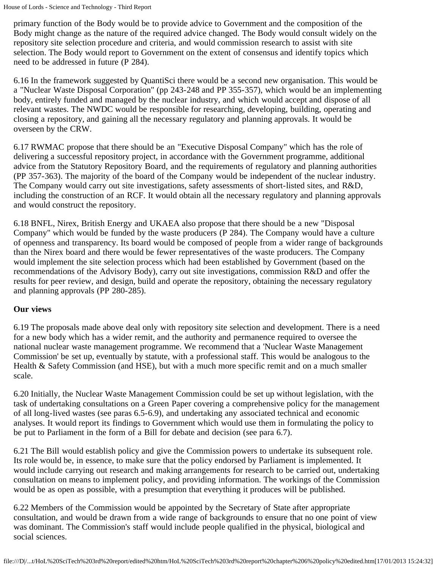primary function of the Body would be to provide advice to Government and the composition of the Body might change as the nature of the required advice changed. The Body would consult widely on the repository site selection procedure and criteria, and would commission research to assist with site selection. The Body would report to Government on the extent of consensus and identify topics which need to be addressed in future (P 284).

6.16 In the framework suggested by QuantiSci there would be a second new organisation. This would be a "Nuclear Waste Disposal Corporation" (pp 243-248 and PP 355-357), which would be an implementing body, entirely funded and managed by the nuclear industry, and which would accept and dispose of all relevant wastes. The NWDC would be responsible for researching, developing, building, operating and closing a repository, and gaining all the necessary regulatory and planning approvals. It would be overseen by the CRW.

6.17 RWMAC propose that there should be an "Executive Disposal Company" which has the role of delivering a successful repository project, in accordance with the Government programme, additional advice from the Statutory Repository Board, and the requirements of regulatory and planning authorities (PP 357-363). The majority of the board of the Company would be independent of the nuclear industry. The Company would carry out site investigations, safety assessments of short-listed sites, and R&D, including the construction of an RCF. It would obtain all the necessary regulatory and planning approvals and would construct the repository.

6.18 BNFL, Nirex, British Energy and UKAEA also propose that there should be a new "Disposal Company" which would be funded by the waste producers (P 284). The Company would have a culture of openness and transparency. Its board would be composed of people from a wider range of backgrounds than the Nirex board and there would be fewer representatives of the waste producers. The Company would implement the site selection process which had been established by Government (based on the recommendations of the Advisory Body), carry out site investigations, commission R&D and offer the results for peer review, and design, build and operate the repository, obtaining the necessary regulatory and planning approvals (PP 280-285).

### **Our views**

6.19 The proposals made above deal only with repository site selection and development. There is a need for a new body which has a wider remit, and the authority and permanence required to oversee the national nuclear waste management programme. We recommend that a 'Nuclear Waste Management Commission' be set up, eventually by statute, with a professional staff. This would be analogous to the Health & Safety Commission (and HSE), but with a much more specific remit and on a much smaller scale.

6.20 Initially, the Nuclear Waste Management Commission could be set up without legislation, with the task of undertaking consultations on a Green Paper covering a comprehensive policy for the management of all long-lived wastes (see paras 6.5-6.9), and undertaking any associated technical and economic analyses. It would report its findings to Government which would use them in formulating the policy to be put to Parliament in the form of a Bill for debate and decision (see para 6.7).

6.21 The Bill would establish policy and give the Commission powers to undertake its subsequent role. Its role would be, in essence, to make sure that the policy endorsed by Parliament is implemented. It would include carrying out research and making arrangements for research to be carried out, undertaking consultation on means to implement policy, and providing information. The workings of the Commission would be as open as possible, with a presumption that everything it produces will be published.

6.22 Members of the Commission would be appointed by the Secretary of State after appropriate consultation, and would be drawn from a wide range of backgrounds to ensure that no one point of view was dominant. The Commission's staff would include people qualified in the physical, biological and social sciences.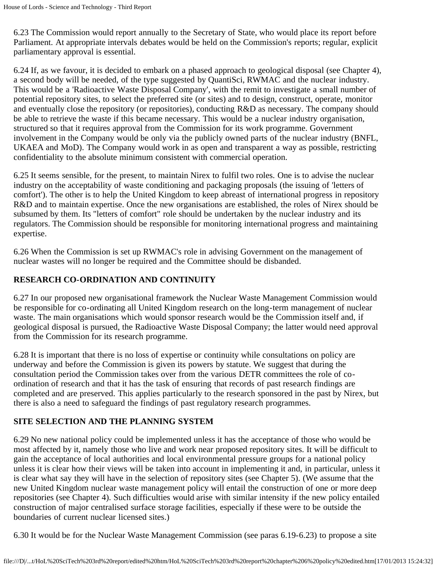6.23 The Commission would report annually to the Secretary of State, who would place its report before Parliament. At appropriate intervals debates would be held on the Commission's reports; regular, explicit parliamentary approval is essential.

6.24 If, as we favour, it is decided to embark on a phased approach to geological disposal (see Chapter 4), a second body will be needed, of the type suggested by QuantiSci, RWMAC and the nuclear industry. This would be a 'Radioactive Waste Disposal Company', with the remit to investigate a small number of potential repository sites, to select the preferred site (or sites) and to design, construct, operate, monitor and eventually close the repository (or repositories), conducting R&D as necessary. The company should be able to retrieve the waste if this became necessary. This would be a nuclear industry organisation, structured so that it requires approval from the Commission for its work programme. Government involvement in the Company would be only via the publicly owned parts of the nuclear industry (BNFL, UKAEA and MoD). The Company would work in as open and transparent a way as possible, restricting confidentiality to the absolute minimum consistent with commercial operation.

6.25 It seems sensible, for the present, to maintain Nirex to fulfil two roles. One is to advise the nuclear industry on the acceptability of waste conditioning and packaging proposals (the issuing of 'letters of comfort'). The other is to help the United Kingdom to keep abreast of international progress in repository R&D and to maintain expertise. Once the new organisations are established, the roles of Nirex should be subsumed by them. Its "letters of comfort" role should be undertaken by the nuclear industry and its regulators. The Commission should be responsible for monitoring international progress and maintaining expertise.

6.26 When the Commission is set up RWMAC's role in advising Government on the management of nuclear wastes will no longer be required and the Committee should be disbanded.

### **RESEARCH CO-ORDINATION AND CONTINUITY**

6.27 In our proposed new organisational framework the Nuclear Waste Management Commission would be responsible for co-ordinating all United Kingdom research on the long-term management of nuclear waste. The main organisations which would sponsor research would be the Commission itself and, if geological disposal is pursued, the Radioactive Waste Disposal Company; the latter would need approval from the Commission for its research programme.

6.28 It is important that there is no loss of expertise or continuity while consultations on policy are underway and before the Commission is given its powers by statute. We suggest that during the consultation period the Commission takes over from the various DETR committees the role of coordination of research and that it has the task of ensuring that records of past research findings are completed and are preserved. This applies particularly to the research sponsored in the past by Nirex, but there is also a need to safeguard the findings of past regulatory research programmes.

# **SITE SELECTION AND THE PLANNING SYSTEM**

6.29 No new national policy could be implemented unless it has the acceptance of those who would be most affected by it, namely those who live and work near proposed repository sites. It will be difficult to gain the acceptance of local authorities and local environmental pressure groups for a national policy unless it is clear how their views will be taken into account in implementing it and, in particular, unless it is clear what say they will have in the selection of repository sites (see Chapter 5). (We assume that the new United Kingdom nuclear waste management policy will entail the construction of one or more deep repositories (see Chapter 4). Such difficulties would arise with similar intensity if the new policy entailed construction of major centralised surface storage facilities, especially if these were to be outside the boundaries of current nuclear licensed sites.)

6.30 It would be for the Nuclear Waste Management Commission (see paras 6.19-6.23) to propose a site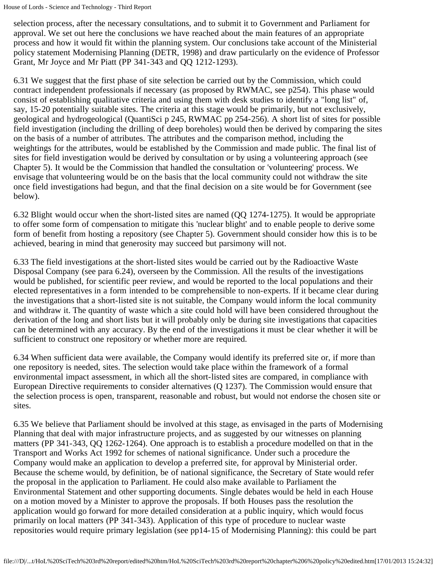selection process, after the necessary consultations, and to submit it to Government and Parliament for approval. We set out here the conclusions we have reached about the main features of an appropriate process and how it would fit within the planning system. Our conclusions take account of the Ministerial policy statement Modernising Planning (DETR, 1998) and draw particularly on the evidence of Professor Grant, Mr Joyce and Mr Piatt (PP 341-343 and QQ 1212-1293).

6.31 We suggest that the first phase of site selection be carried out by the Commission, which could contract independent professionals if necessary (as proposed by RWMAC, see p254). This phase would consist of establishing qualitative criteria and using them with desk studies to identify a "long list" of, say, 15-20 potentially suitable sites. The criteria at this stage would be primarily, but not exclusively, geological and hydrogeological (QuantiSci p 245, RWMAC pp 254-256). A short list of sites for possible field investigation (including the drilling of deep boreholes) would then be derived by comparing the sites on the basis of a number of attributes. The attributes and the comparison method, including the weightings for the attributes, would be established by the Commission and made public. The final list of sites for field investigation would be derived by consultation or by using a volunteering approach (see Chapter 5). It would be the Commission that handled the consultation or 'volunteering' process. We envisage that volunteering would be on the basis that the local community could not withdraw the site once field investigations had begun, and that the final decision on a site would be for Government (see below).

6.32 Blight would occur when the short-listed sites are named (QQ 1274-1275). It would be appropriate to offer some form of compensation to mitigate this 'nuclear blight' and to enable people to derive some form of benefit from hosting a repository (see Chapter 5). Government should consider how this is to be achieved, bearing in mind that generosity may succeed but parsimony will not.

6.33 The field investigations at the short-listed sites would be carried out by the Radioactive Waste Disposal Company (see para 6.24), overseen by the Commission. All the results of the investigations would be published, for scientific peer review, and would be reported to the local populations and their elected representatives in a form intended to be comprehensible to non-experts. If it became clear during the investigations that a short-listed site is not suitable, the Company would inform the local community and withdraw it. The quantity of waste which a site could hold will have been considered throughout the derivation of the long and short lists but it will probably only be during site investigations that capacities can be determined with any accuracy. By the end of the investigations it must be clear whether it will be sufficient to construct one repository or whether more are required.

6.34 When sufficient data were available, the Company would identify its preferred site or, if more than one repository is needed, sites. The selection would take place within the framework of a formal environmental impact assessment, in which all the short-listed sites are compared, in compliance with European Directive requirements to consider alternatives (Q 1237). The Commission would ensure that the selection process is open, transparent, reasonable and robust, but would not endorse the chosen site or sites.

6.35 We believe that Parliament should be involved at this stage, as envisaged in the parts of Modernising Planning that deal with major infrastructure projects, and as suggested by our witnesses on planning matters (PP 341-343, QQ 1262-1264). One approach is to establish a procedure modelled on that in the Transport and Works Act 1992 for schemes of national significance. Under such a procedure the Company would make an application to develop a preferred site, for approval by Ministerial order. Because the scheme would, by definition, be of national significance, the Secretary of State would refer the proposal in the application to Parliament. He could also make available to Parliament the Environmental Statement and other supporting documents. Single debates would be held in each House on a motion moved by a Minister to approve the proposals. If both Houses pass the resolution the application would go forward for more detailed consideration at a public inquiry, which would focus primarily on local matters (PP 341-343). Application of this type of procedure to nuclear waste repositories would require primary legislation (see pp14-15 of Modernising Planning): this could be part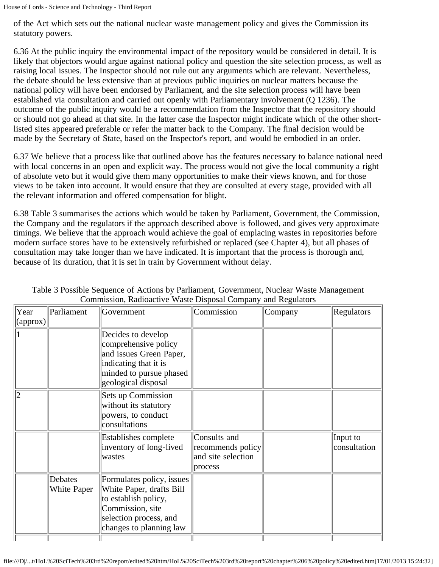of the Act which sets out the national nuclear waste management policy and gives the Commission its statutory powers.

6.36 At the public inquiry the environmental impact of the repository would be considered in detail. It is likely that objectors would argue against national policy and question the site selection process, as well as raising local issues. The Inspector should not rule out any arguments which are relevant. Nevertheless, the debate should be less extensive than at previous public inquiries on nuclear matters because the national policy will have been endorsed by Parliament, and the site selection process will have been established via consultation and carried out openly with Parliamentary involvement (Q 1236). The outcome of the public inquiry would be a recommendation from the Inspector that the repository should or should not go ahead at that site. In the latter case the Inspector might indicate which of the other shortlisted sites appeared preferable or refer the matter back to the Company. The final decision would be made by the Secretary of State, based on the Inspector's report, and would be embodied in an order.

6.37 We believe that a process like that outlined above has the features necessary to balance national need with local concerns in an open and explicit way. The process would not give the local community a right of absolute veto but it would give them many opportunities to make their views known, and for those views to be taken into account. It would ensure that they are consulted at every stage, provided with all the relevant information and offered compensation for blight.

6.38 Table 3 summarises the actions which would be taken by Parliament, Government, the Commission, the Company and the regulators if the approach described above is followed, and gives very approximate timings. We believe that the approach would achieve the goal of emplacing wastes in repositories before modern surface stores have to be extensively refurbished or replaced (see Chapter 4), but all phases of consultation may take longer than we have indicated. It is important that the process is thorough and, because of its duration, that it is set in train by Government without delay.

| Year<br>(approx) | Parliament             | Government                                                                                                                                             | Commission                                                         | Company | Regulators               |
|------------------|------------------------|--------------------------------------------------------------------------------------------------------------------------------------------------------|--------------------------------------------------------------------|---------|--------------------------|
|                  |                        | Decides to develop<br>comprehensive policy<br>and issues Green Paper,<br>indicating that it is<br>minded to pursue phased<br>geological disposal       |                                                                    |         |                          |
|                  |                        | <b>Sets up Commission</b><br>without its statutory<br>powers, to conduct<br>consultations                                                              |                                                                    |         |                          |
|                  |                        | Establishes complete<br>inventory of long-lived<br>wastes                                                                                              | Consults and<br>recommends policy<br>and site selection<br>process |         | Input to<br>consultation |
|                  | Debates<br>White Paper | Formulates policy, issues<br>White Paper, drafts Bill<br>to establish policy,<br>Commission, site<br>selection process, and<br>changes to planning law |                                                                    |         |                          |

Table 3 Possible Sequence of Actions by Parliament, Government, Nuclear Waste Management Commission, Radioactive Waste Disposal Company and Regulators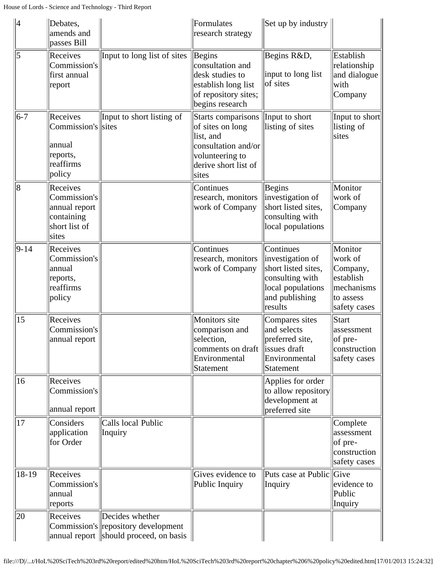| $\parallel$ 4 | Debates,<br>amends and<br>passes Bill                                             |                                                                                                    | Formulates<br>research strategy                                                                                                | Set up by industry                                                                                                        |                                                                                        |
|---------------|-----------------------------------------------------------------------------------|----------------------------------------------------------------------------------------------------|--------------------------------------------------------------------------------------------------------------------------------|---------------------------------------------------------------------------------------------------------------------------|----------------------------------------------------------------------------------------|
| 5             | Receives<br>Commission's<br>first annual<br>report                                | Input to long list of sites                                                                        | Begins<br>consultation and<br>desk studies to<br>establish long list<br>of repository sites;<br>begins research                | Begins R&D,<br>input to long list<br>of sites                                                                             | Establish<br>relationship<br>and dialogue<br>with<br>Company                           |
| $ 6-7 $       | Receives<br>Commission's sites<br> annual<br>reports,<br>reaffirms<br>policy      | Input to short listing of                                                                          | Starts comparisons<br>of sites on long<br>list, and<br>consultation and/or<br>volunteering to<br>derive short list of<br>sites | Input to short<br>listing of sites                                                                                        | Input to short<br>listing of<br>sites                                                  |
| 8             | Receives<br>Commission's<br>annual report<br>containing<br>short list of<br>sites |                                                                                                    | Continues<br>research, monitors<br>work of Company                                                                             | Begins<br>investigation of<br>short listed sites,<br>consulting with<br>local populations                                 | Monitor<br>work of<br>Company                                                          |
| $ 9-14$       | Receives<br>Commission's<br>annual<br>reports,<br>reaffirms<br>policy             |                                                                                                    | Continues<br>research, monitors<br>work of Company                                                                             | Continues<br>investigation of<br>short listed sites,<br>consulting with<br>local populations<br>and publishing<br>results | Monitor<br>work of<br>Company,<br>establish<br>mechanisms<br>to assess<br>safety cases |
| 15            | Receives<br>Commission's<br>annual report                                         |                                                                                                    | Monitors site<br>comparison and<br>selection,<br>comments on draft<br>Environmental<br>Statement                               | Compares sites<br>and selects<br>preferred site,<br>issues draft<br>Environmental<br>Statement                            | Start<br>assessment<br>of pre-<br>construction<br>safety cases                         |
| 16            | Receives<br>Commission's<br>annual report                                         |                                                                                                    |                                                                                                                                | Applies for order<br>to allow repository<br>development at<br>preferred site                                              |                                                                                        |
| 17            | Considers<br>application<br>for Order                                             | Calls local Public<br>Inquiry                                                                      |                                                                                                                                |                                                                                                                           | Complete<br>assessment<br>of pre-<br>construction<br>safety cases                      |
| $18-19$       | Receives<br>Commission's<br>annual<br>reports                                     |                                                                                                    | Gives evidence to<br>Public Inquiry                                                                                            | Puts case at Public<br>Inquiry                                                                                            | Give<br>evidence to<br>Public<br>Inquiry                                               |
| 20            | Receives                                                                          | Decides whether<br>Commission's repository development<br>annual report   should proceed, on basis |                                                                                                                                |                                                                                                                           |                                                                                        |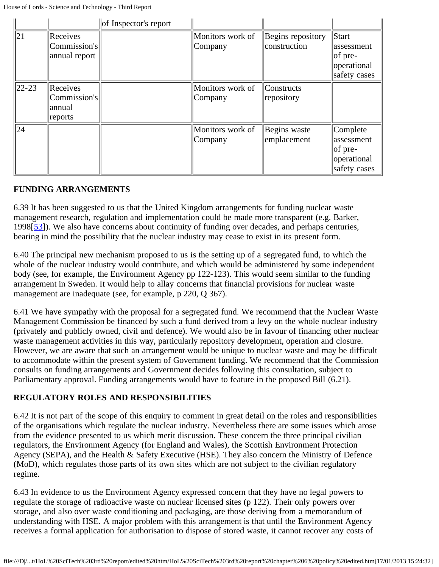|             |                                                  | of Inspector's report |                             |                                     |                                                                      |
|-------------|--------------------------------------------------|-----------------------|-----------------------------|-------------------------------------|----------------------------------------------------------------------|
| 21          | Receives<br>Commission's<br>annual report        |                       | Monitors work of<br>Company | Begins repository<br>construction   | Start<br>lassessment<br>$ $ of pre-<br>operational<br>safety cases   |
| $ 22 - 23 $ | Receives<br> Commission's <br> annual<br>reports |                       | Monitors work of<br>Company | <sub>Constructs</sub><br>repository |                                                                      |
| 24          |                                                  |                       | Monitors work of<br>Company | Begins waste<br>emplacement         | Complete<br>assessment<br>$ $ of pre-<br>operational<br>safety cases |

#### **FUNDING ARRANGEMENTS**

<span id="page-60-0"></span>6.39 It has been suggested to us that the United Kingdom arrangements for funding nuclear waste management research, regulation and implementation could be made more transparent (e.g. Barker, 1998[[53\]](#page-63-1)). We also have concerns about continuity of funding over decades, and perhaps centuries, bearing in mind the possibility that the nuclear industry may cease to exist in its present form.

6.40 The principal new mechanism proposed to us is the setting up of a segregated fund, to which the whole of the nuclear industry would contribute, and which would be administered by some independent body (see, for example, the Environment Agency pp 122-123). This would seem similar to the funding arrangement in Sweden. It would help to allay concerns that financial provisions for nuclear waste management are inadequate (see, for example, p 220, Q 367).

6.41 We have sympathy with the proposal for a segregated fund. We recommend that the Nuclear Waste Management Commission be financed by such a fund derived from a levy on the whole nuclear industry (privately and publicly owned, civil and defence). We would also be in favour of financing other nuclear waste management activities in this way, particularly repository development, operation and closure. However, we are aware that such an arrangement would be unique to nuclear waste and may be difficult to accommodate within the present system of Government funding. We recommend that the Commission consults on funding arrangements and Government decides following this consultation, subject to Parliamentary approval. Funding arrangements would have to feature in the proposed Bill (6.21).

### **REGULATORY ROLES AND RESPONSIBILITIES**

6.42 It is not part of the scope of this enquiry to comment in great detail on the roles and responsibilities of the organisations which regulate the nuclear industry. Nevertheless there are some issues which arose from the evidence presented to us which merit discussion. These concern the three principal civilian regulators, the Environment Agency (for England and Wales), the Scottish Environment Protection Agency (SEPA), and the Health & Safety Executive (HSE). They also concern the Ministry of Defence (MoD), which regulates those parts of its own sites which are not subject to the civilian regulatory regime.

6.43 In evidence to us the Environment Agency expressed concern that they have no legal powers to regulate the storage of radioactive waste on nuclear licensed sites (p 122). Their only powers over storage, and also over waste conditioning and packaging, are those deriving from a memorandum of understanding with HSE. A major problem with this arrangement is that until the Environment Agency receives a formal application for authorisation to dispose of stored waste, it cannot recover any costs of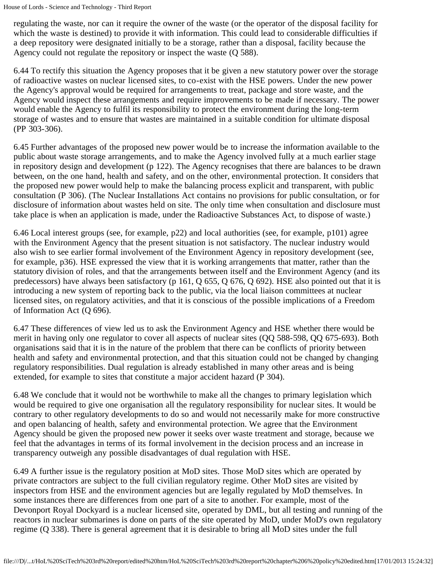regulating the waste, nor can it require the owner of the waste (or the operator of the disposal facility for which the waste is destined) to provide it with information. This could lead to considerable difficulties if a deep repository were designated initially to be a storage, rather than a disposal, facility because the Agency could not regulate the repository or inspect the waste (Q 588).

6.44 To rectify this situation the Agency proposes that it be given a new statutory power over the storage of radioactive wastes on nuclear licensed sites, to co-exist with the HSE powers. Under the new power the Agency's approval would be required for arrangements to treat, package and store waste, and the Agency would inspect these arrangements and require improvements to be made if necessary. The power would enable the Agency to fulfil its responsibility to protect the environment during the long-term storage of wastes and to ensure that wastes are maintained in a suitable condition for ultimate disposal (PP 303-306).

6.45 Further advantages of the proposed new power would be to increase the information available to the public about waste storage arrangements, and to make the Agency involved fully at a much earlier stage in repository design and development (p 122). The Agency recognises that there are balances to be drawn between, on the one hand, health and safety, and on the other, environmental protection. It considers that the proposed new power would help to make the balancing process explicit and transparent, with public consultation (P 306). (The Nuclear Installations Act contains no provisions for public consultation, or for disclosure of information about wastes held on site. The only time when consultation and disclosure must take place is when an application is made, under the Radioactive Substances Act, to dispose of waste.)

6.46 Local interest groups (see, for example, p22) and local authorities (see, for example, p101) agree with the Environment Agency that the present situation is not satisfactory. The nuclear industry would also wish to see earlier formal involvement of the Environment Agency in repository development (see, for example, p36). HSE expressed the view that it is working arrangements that matter, rather than the statutory division of roles, and that the arrangements between itself and the Environment Agency (and its predecessors) have always been satisfactory (p 161, Q 655, Q 676, Q 692). HSE also pointed out that it is introducing a new system of reporting back to the public, via the local liaison committees at nuclear licensed sites, on regulatory activities, and that it is conscious of the possible implications of a Freedom of Information Act (Q 696).

6.47 These differences of view led us to ask the Environment Agency and HSE whether there would be merit in having only one regulator to cover all aspects of nuclear sites (QQ 588-598, QQ 675-693). Both organisations said that it is in the nature of the problem that there can be conflicts of priority between health and safety and environmental protection, and that this situation could not be changed by changing regulatory responsibilities. Dual regulation is already established in many other areas and is being extended, for example to sites that constitute a major accident hazard (P 304).

6.48 We conclude that it would not be worthwhile to make all the changes to primary legislation which would be required to give one organisation all the regulatory responsibility for nuclear sites. It would be contrary to other regulatory developments to do so and would not necessarily make for more constructive and open balancing of health, safety and environmental protection. We agree that the Environment Agency should be given the proposed new power it seeks over waste treatment and storage, because we feel that the advantages in terms of its formal involvement in the decision process and an increase in transparency outweigh any possible disadvantages of dual regulation with HSE.

6.49 A further issue is the regulatory position at MoD sites. Those MoD sites which are operated by private contractors are subject to the full civilian regulatory regime. Other MoD sites are visited by inspectors from HSE and the environment agencies but are legally regulated by MoD themselves. In some instances there are differences from one part of a site to another. For example, most of the Devonport Royal Dockyard is a nuclear licensed site, operated by DML, but all testing and running of the reactors in nuclear submarines is done on parts of the site operated by MoD, under MoD's own regulatory regime (Q 338). There is general agreement that it is desirable to bring all MoD sites under the full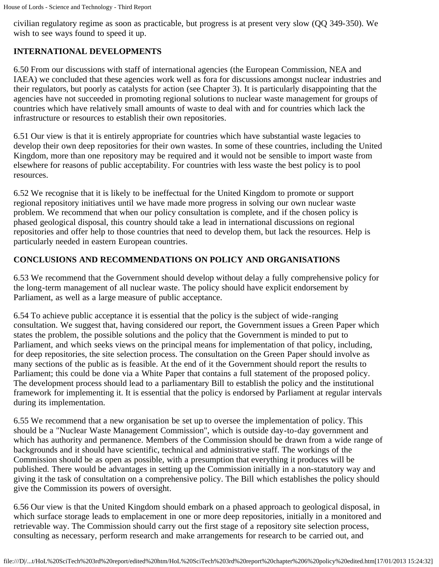civilian regulatory regime as soon as practicable, but progress is at present very slow (QQ 349-350). We wish to see ways found to speed it up.

# **INTERNATIONAL DEVELOPMENTS**

6.50 From our discussions with staff of international agencies (the European Commission, NEA and IAEA) we concluded that these agencies work well as fora for discussions amongst nuclear industries and their regulators, but poorly as catalysts for action (see Chapter 3). It is particularly disappointing that the agencies have not succeeded in promoting regional solutions to nuclear waste management for groups of countries which have relatively small amounts of waste to deal with and for countries which lack the infrastructure or resources to establish their own repositories.

6.51 Our view is that it is entirely appropriate for countries which have substantial waste legacies to develop their own deep repositories for their own wastes. In some of these countries, including the United Kingdom, more than one repository may be required and it would not be sensible to import waste from elsewhere for reasons of public acceptability. For countries with less waste the best policy is to pool resources.

6.52 We recognise that it is likely to be ineffectual for the United Kingdom to promote or support regional repository initiatives until we have made more progress in solving our own nuclear waste problem. We recommend that when our policy consultation is complete, and if the chosen policy is phased geological disposal, this country should take a lead in international discussions on regional repositories and offer help to those countries that need to develop them, but lack the resources. Help is particularly needed in eastern European countries.

# **CONCLUSIONS AND RECOMMENDATIONS ON POLICY AND ORGANISATIONS**

6.53 We recommend that the Government should develop without delay a fully comprehensive policy for the long-term management of all nuclear waste. The policy should have explicit endorsement by Parliament, as well as a large measure of public acceptance.

6.54 To achieve public acceptance it is essential that the policy is the subject of wide-ranging consultation. We suggest that, having considered our report, the Government issues a Green Paper which states the problem, the possible solutions and the policy that the Government is minded to put to Parliament, and which seeks views on the principal means for implementation of that policy, including, for deep repositories, the site selection process. The consultation on the Green Paper should involve as many sections of the public as is feasible. At the end of it the Government should report the results to Parliament; this could be done via a White Paper that contains a full statement of the proposed policy. The development process should lead to a parliamentary Bill to establish the policy and the institutional framework for implementing it. It is essential that the policy is endorsed by Parliament at regular intervals during its implementation.

6.55 We recommend that a new organisation be set up to oversee the implementation of policy. This should be a "Nuclear Waste Management Commission", which is outside day-to-day government and which has authority and permanence. Members of the Commission should be drawn from a wide range of backgrounds and it should have scientific, technical and administrative staff. The workings of the Commission should be as open as possible, with a presumption that everything it produces will be published. There would be advantages in setting up the Commission initially in a non-statutory way and giving it the task of consultation on a comprehensive policy. The Bill which establishes the policy should give the Commission its powers of oversight.

6.56 Our view is that the United Kingdom should embark on a phased approach to geological disposal, in which surface storage leads to emplacement in one or more deep repositories, initially in a monitored and retrievable way. The Commission should carry out the first stage of a repository site selection process, consulting as necessary, perform research and make arrangements for research to be carried out, and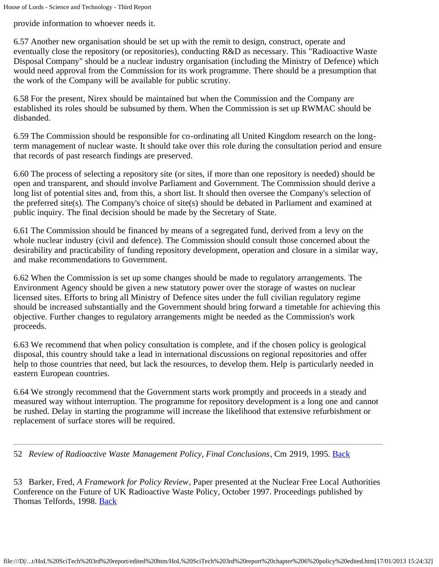provide information to whoever needs it.

6.57 Another new organisation should be set up with the remit to design, construct, operate and eventually close the repository (or repositories), conducting R&D as necessary. This "Radioactive Waste Disposal Company" should be a nuclear industry organisation (including the Ministry of Defence) which would need approval from the Commission for its work programme. There should be a presumption that the work of the Company will be available for public scrutiny.

6.58 For the present, Nirex should be maintained but when the Commission and the Company are established its roles should be subsumed by them. When the Commission is set up RWMAC should be disbanded.

6.59 The Commission should be responsible for co-ordinating all United Kingdom research on the longterm management of nuclear waste. It should take over this role during the consultation period and ensure that records of past research findings are preserved.

6.60 The process of selecting a repository site (or sites, if more than one repository is needed) should be open and transparent, and should involve Parliament and Government. The Commission should derive a long list of potential sites and, from this, a short list. It should then oversee the Company's selection of the preferred site(s). The Company's choice of site(s) should be debated in Parliament and examined at public inquiry. The final decision should be made by the Secretary of State.

6.61 The Commission should be financed by means of a segregated fund, derived from a levy on the whole nuclear industry (civil and defence). The Commission should consult those concerned about the desirability and practicability of funding repository development, operation and closure in a similar way, and make recommendations to Government.

6.62 When the Commission is set up some changes should be made to regulatory arrangements. The Environment Agency should be given a new statutory power over the storage of wastes on nuclear licensed sites. Efforts to bring all Ministry of Defence sites under the full civilian regulatory regime should be increased substantially and the Government should bring forward a timetable for achieving this objective. Further changes to regulatory arrangements might be needed as the Commission's work proceeds.

6.63 We recommend that when policy consultation is complete, and if the chosen policy is geological disposal, this country should take a lead in international discussions on regional repositories and offer help to those countries that need, but lack the resources, to develop them. Help is particularly needed in eastern European countries.

6.64 We strongly recommend that the Government starts work promptly and proceeds in a steady and measured way without interruption. The programme for repository development is a long one and cannot be rushed. Delay in starting the programme will increase the likelihood that extensive refurbishment or replacement of surface stores will be required.

<span id="page-63-0"></span>52 *Review of Radioactive Waste Management Policy, Final Conclusions*, Cm 2919, 1995. [Back](#page-51-0)

<span id="page-63-1"></span>53 Barker, Fred, *A Framework for Policy Review*, Paper presented at the Nuclear Free Local Authorities Conference on the Future of UK Radioactive Waste Policy, October 1997. Proceedings published by Thomas Telfords, 1998. [Back](#page-60-0)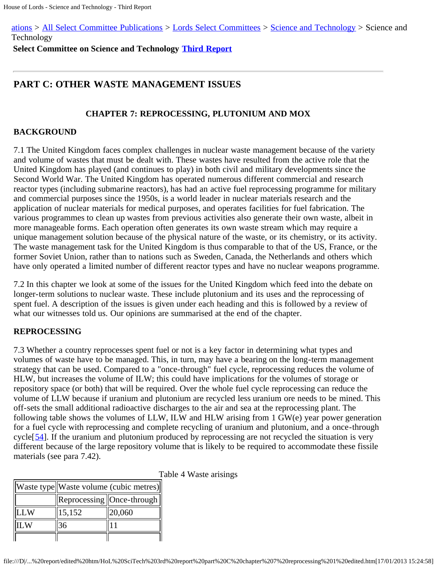[ations](http://www.parliament.uk/business/publications/committees/) > [All Select Committee Publications](http://www.parliament.uk/business/publications/committees/select-committee-publications/) > [Lords Select Committees](http://www.parliament.uk/business/publications/committees/select-committee-publications/lords-select/) > [Science and Technology](file:///pa/ld/ldsctech.htm) > Science and Technology

**Select Committee on Science and Technology [Third Report](file:///D|/Home/dks/text/papers%20and%20research/earth%20science/nuclear%20waste%20disposal/government/parliament/HoL%20SciTech%203rd%20report/edited%20htm/4101.htm)**

# **PART C: OTHER WASTE MANAGEMENT ISSUES**

### **CHAPTER 7: REPROCESSING, PLUTONIUM AND MOX**

#### **BACKGROUND**

7.1 The United Kingdom faces complex challenges in nuclear waste management because of the variety and volume of wastes that must be dealt with. These wastes have resulted from the active role that the United Kingdom has played (and continues to play) in both civil and military developments since the Second World War. The United Kingdom has operated numerous different commercial and research reactor types (including submarine reactors), has had an active fuel reprocessing programme for military and commercial purposes since the 1950s, is a world leader in nuclear materials research and the application of nuclear materials for medical purposes, and operates facilities for fuel fabrication. The various programmes to clean up wastes from previous activities also generate their own waste, albeit in more manageable forms. Each operation often generates its own waste stream which may require a unique management solution because of the physical nature of the waste, or its chemistry, or its activity. The waste management task for the United Kingdom is thus comparable to that of the US, France, or the former Soviet Union, rather than to nations such as Sweden, Canada, the Netherlands and others which have only operated a limited number of different reactor types and have no nuclear weapons programme.

7.2 In this chapter we look at some of the issues for the United Kingdom which feed into the debate on longer-term solutions to nuclear waste. These include plutonium and its uses and the reprocessing of spent fuel. A description of the issues is given under each heading and this is followed by a review of what our witnesses told us. Our opinions are summarised at the end of the chapter.

#### **REPROCESSING**

7.3 Whether a country reprocesses spent fuel or not is a key factor in determining what types and volumes of waste have to be managed. This, in turn, may have a bearing on the long-term management strategy that can be used. Compared to a "once-through" fuel cycle, reprocessing reduces the volume of HLW, but increases the volume of ILW; this could have implications for the volumes of storage or repository space (or both) that will be required. Over the whole fuel cycle reprocessing can reduce the volume of LLW because if uranium and plutonium are recycled less uranium ore needs to be mined. This off-sets the small additional radioactive discharges to the air and sea at the reprocessing plant. The following table shows the volumes of LLW, ILW and HLW arising from 1 GW(e) year power generation for a fuel cycle with reprocessing and complete recycling of uranium and plutonium, and a once-through cycle<sup>[[54](#page-73-0)]</sup>. If the uranium and plutonium produced by reprocessing are not recycled the situation is very different because of the large repository volume that is likely to be required to accommodate these fissile materials (see para 7.42).

|            | Waste type  Waste volume (cubic metres) |                             |  |
|------------|-----------------------------------------|-----------------------------|--|
|            |                                         | Reprocessing   Once-through |  |
| <b>LLW</b> | 15,152                                  | 20,060                      |  |
|            |                                         |                             |  |
|            |                                         |                             |  |

Table 4 Waste arisings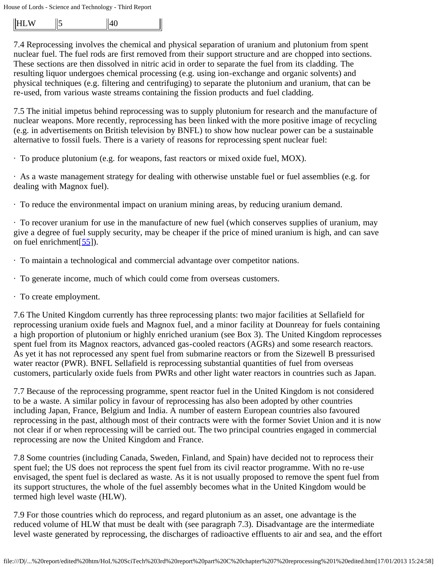|  | - - |  |  |
|--|-----|--|--|
|--|-----|--|--|

7.4 Reprocessing involves the chemical and physical separation of uranium and plutonium from spent nuclear fuel. The fuel rods are first removed from their support structure and are chopped into sections. These sections are then dissolved in nitric acid in order to separate the fuel from its cladding. The resulting liquor undergoes chemical processing (e.g. using ion-exchange and organic solvents) and physical techniques (e.g. filtering and centrifuging) to separate the plutonium and uranium, that can be re-used, from various waste streams containing the fission products and fuel cladding.

7.5 The initial impetus behind reprocessing was to supply plutonium for research and the manufacture of nuclear weapons. More recently, reprocessing has been linked with the more positive image of recycling (e.g. in advertisements on British television by BNFL) to show how nuclear power can be a sustainable alternative to fossil fuels. There is a variety of reasons for reprocessing spent nuclear fuel:

· To produce plutonium (e.g. for weapons, fast reactors or mixed oxide fuel, MOX).

· As a waste management strategy for dealing with otherwise unstable fuel or fuel assemblies (e.g. for dealing with Magnox fuel).

· To reduce the environmental impact on uranium mining areas, by reducing uranium demand.

· To recover uranium for use in the manufacture of new fuel (which conserves supplies of uranium, may give a degree of fuel supply security, may be cheaper if the price of mined uranium is high, and can save on fuel enrichment $[55]$  $[55]$  $[55]$ ).

· To maintain a technological and commercial advantage over competitor nations.

- · To generate income, much of which could come from overseas customers.
- · To create employment.

7.6 The United Kingdom currently has three reprocessing plants: two major facilities at Sellafield for reprocessing uranium oxide fuels and Magnox fuel, and a minor facility at Dounreay for fuels containing a high proportion of plutonium or highly enriched uranium (see Box 3). The United Kingdom reprocesses spent fuel from its Magnox reactors, advanced gas-cooled reactors (AGRs) and some research reactors. As yet it has not reprocessed any spent fuel from submarine reactors or from the Sizewell B pressurised water reactor (PWR). BNFL Sellafield is reprocessing substantial quantities of fuel from overseas customers, particularly oxide fuels from PWRs and other light water reactors in countries such as Japan.

7.7 Because of the reprocessing programme, spent reactor fuel in the United Kingdom is not considered to be a waste. A similar policy in favour of reprocessing has also been adopted by other countries including Japan, France, Belgium and India. A number of eastern European countries also favoured reprocessing in the past, although most of their contracts were with the former Soviet Union and it is now not clear if or when reprocessing will be carried out. The two principal countries engaged in commercial reprocessing are now the United Kingdom and France.

7.8 Some countries (including Canada, Sweden, Finland, and Spain) have decided not to reprocess their spent fuel; the US does not reprocess the spent fuel from its civil reactor programme. With no re-use envisaged, the spent fuel is declared as waste. As it is not usually proposed to remove the spent fuel from its support structures, the whole of the fuel assembly becomes what in the United Kingdom would be termed high level waste (HLW).

7.9 For those countries which do reprocess, and regard plutonium as an asset, one advantage is the reduced volume of HLW that must be dealt with (see paragraph 7.3). Disadvantage are the intermediate level waste generated by reprocessing, the discharges of radioactive effluents to air and sea, and the effort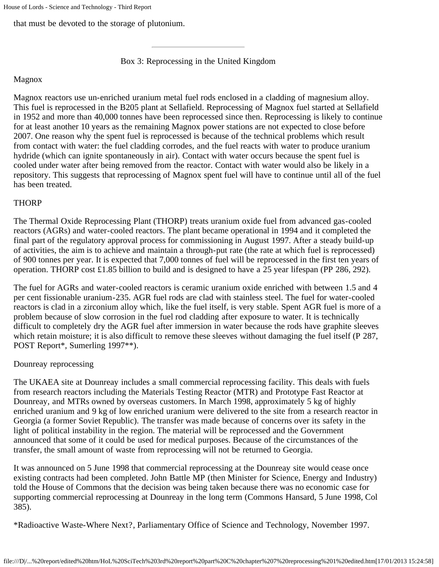that must be devoted to the storage of plutonium.

Box 3: Reprocessing in the United Kingdom

#### Magnox

Magnox reactors use un-enriched uranium metal fuel rods enclosed in a cladding of magnesium alloy. This fuel is reprocessed in the B205 plant at Sellafield. Reprocessing of Magnox fuel started at Sellafield in 1952 and more than 40,000 tonnes have been reprocessed since then. Reprocessing is likely to continue for at least another 10 years as the remaining Magnox power stations are not expected to close before 2007. One reason why the spent fuel is reprocessed is because of the technical problems which result from contact with water: the fuel cladding corrodes, and the fuel reacts with water to produce uranium hydride (which can ignite spontaneously in air). Contact with water occurs because the spent fuel is cooled under water after being removed from the reactor. Contact with water would also be likely in a repository. This suggests that reprocessing of Magnox spent fuel will have to continue until all of the fuel has been treated.

### **THORP**

The Thermal Oxide Reprocessing Plant (THORP) treats uranium oxide fuel from advanced gas-cooled reactors (AGRs) and water-cooled reactors. The plant became operational in 1994 and it completed the final part of the regulatory approval process for commissioning in August 1997. After a steady build-up of activities, the aim is to achieve and maintain a through-put rate (the rate at which fuel is reprocessed) of 900 tonnes per year. It is expected that 7,000 tonnes of fuel will be reprocessed in the first ten years of operation. THORP cost £1.85 billion to build and is designed to have a 25 year lifespan (PP 286, 292).

The fuel for AGRs and water-cooled reactors is ceramic uranium oxide enriched with between 1.5 and 4 per cent fissionable uranium-235. AGR fuel rods are clad with stainless steel. The fuel for water-cooled reactors is clad in a zirconium alloy which, like the fuel itself, is very stable. Spent AGR fuel is more of a problem because of slow corrosion in the fuel rod cladding after exposure to water. It is technically difficult to completely dry the AGR fuel after immersion in water because the rods have graphite sleeves which retain moisture; it is also difficult to remove these sleeves without damaging the fuel itself (P 287, POST Report\*, Sumerling 1997\*\*).

### Dounreay reprocessing

The UKAEA site at Dounreay includes a small commercial reprocessing facility. This deals with fuels from research reactors including the Materials Testing Reactor (MTR) and Prototype Fast Reactor at Dounreay, and MTRs owned by overseas customers. In March 1998, approximately 5 kg of highly enriched uranium and 9 kg of low enriched uranium were delivered to the site from a research reactor in Georgia (a former Soviet Republic). The transfer was made because of concerns over its safety in the light of political instability in the region. The material will be reprocessed and the Government announced that some of it could be used for medical purposes. Because of the circumstances of the transfer, the small amount of waste from reprocessing will not be returned to Georgia.

It was announced on 5 June 1998 that commercial reprocessing at the Dounreay site would cease once existing contracts had been completed. John Battle MP (then Minister for Science, Energy and Industry) told the House of Commons that the decision was being taken because there was no economic case for supporting commercial reprocessing at Dounreay in the long term (Commons Hansard, 5 June 1998, Col 385).

\*Radioactive Waste-Where Next?, Parliamentary Office of Science and Technology, November 1997.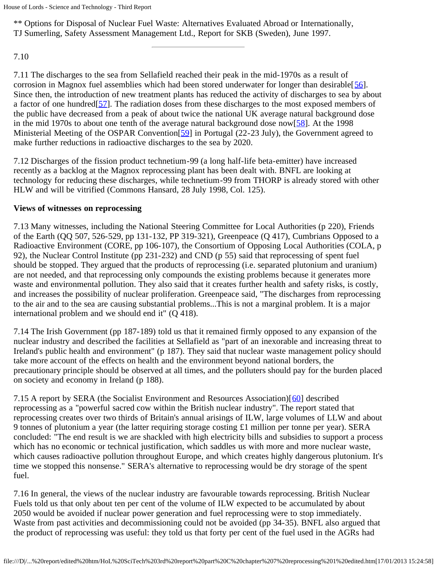```
House of Lords - Science and Technology - Third Report
```
\*\* Options for Disposal of Nuclear Fuel Waste: Alternatives Evaluated Abroad or Internationally, TJ Sumerling, Safety Assessment Management Ltd., Report for SKB (Sweden), June 1997.

7.10

7.11 The discharges to the sea from Sellafield reached their peak in the mid-1970s as a result of corrosion in Magnox fuel assemblies which had been stored underwater for longer than desirable [[56\]](#page-73-2). Since then, the introduction of new treatment plants has reduced the activity of discharges to sea by about a factor of one hundred[[57\]](#page-73-3). The radiation doses from these discharges to the most exposed members of the public have decreased from a peak of about twice the national UK average natural background dose in the mid 1970s to about one tenth of the average natural background dose now  $[58]$  $[58]$ . At the 1998 Ministerial Meeting of the OSPAR Convention<sup>[\[59](#page-73-5)]</sup> in Portugal (22-23 July), the Government agreed to make further reductions in radioactive discharges to the sea by 2020.

7.12 Discharges of the fission product technetium-99 (a long half-life beta-emitter) have increased recently as a backlog at the Magnox reprocessing plant has been dealt with. BNFL are looking at technology for reducing these discharges, while technetium-99 from THORP is already stored with other HLW and will be vitrified (Commons Hansard, 28 July 1998, Col. 125).

# **Views of witnesses on reprocessing**

7.13 Many witnesses, including the National Steering Committee for Local Authorities (p 220), Friends of the Earth (QQ 507, 526-529, pp 131-132, PP 319-321), Greenpeace (Q 417), Cumbrians Opposed to a Radioactive Environment (CORE, pp 106-107), the Consortium of Opposing Local Authorities (COLA, p 92), the Nuclear Control Institute (pp 231-232) and CND (p 55) said that reprocessing of spent fuel should be stopped. They argued that the products of reprocessing (i.e. separated plutonium and uranium) are not needed, and that reprocessing only compounds the existing problems because it generates more waste and environmental pollution. They also said that it creates further health and safety risks, is costly, and increases the possibility of nuclear proliferation. Greenpeace said, "The discharges from reprocessing to the air and to the sea are causing substantial problems...This is not a marginal problem. It is a major international problem and we should end it" (Q 418).

7.14 The Irish Government (pp 187-189) told us that it remained firmly opposed to any expansion of the nuclear industry and described the facilities at Sellafield as "part of an inexorable and increasing threat to Ireland's public health and environment" (p 187). They said that nuclear waste management policy should take more account of the effects on health and the environment beyond national borders, the precautionary principle should be observed at all times, and the polluters should pay for the burden placed on society and economy in Ireland (p 188).

7.15 A report by SERA (the Socialist Environment and Resources Association)[[60\]](#page-73-6) described reprocessing as a "powerful sacred cow within the British nuclear industry". The report stated that reprocessing creates over two thirds of Britain's annual arisings of ILW, large volumes of LLW and about 9 tonnes of plutonium a year (the latter requiring storage costing £1 million per tonne per year). SERA concluded: "The end result is we are shackled with high electricity bills and subsidies to support a process which has no economic or technical justification, which saddles us with more and more nuclear waste, which causes radioactive pollution throughout Europe, and which creates highly dangerous plutonium. It's time we stopped this nonsense." SERA's alternative to reprocessing would be dry storage of the spent fuel.

7.16 In general, the views of the nuclear industry are favourable towards reprocessing. British Nuclear Fuels told us that only about ten per cent of the volume of ILW expected to be accumulated by about 2050 would be avoided if nuclear power generation and fuel reprocessing were to stop immediately. Waste from past activities and decommissioning could not be avoided (pp 34-35). BNFL also argued that the product of reprocessing was useful: they told us that forty per cent of the fuel used in the AGRs had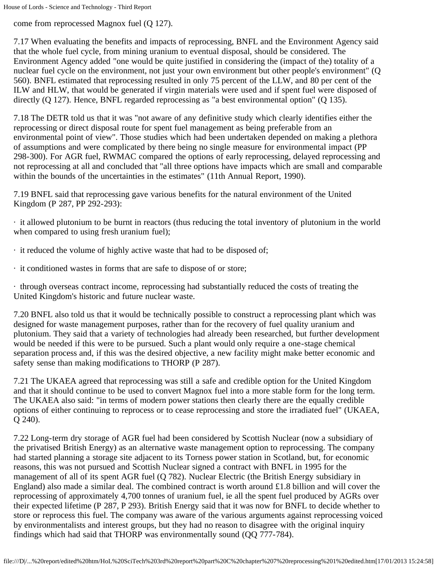come from reprocessed Magnox fuel (Q 127).

7.17 When evaluating the benefits and impacts of reprocessing, BNFL and the Environment Agency said that the whole fuel cycle, from mining uranium to eventual disposal, should be considered. The Environment Agency added "one would be quite justified in considering the (impact of the) totality of a nuclear fuel cycle on the environment, not just your own environment but other people's environment" (Q 560). BNFL estimated that reprocessing resulted in only 75 percent of the LLW, and 80 per cent of the ILW and HLW, that would be generated if virgin materials were used and if spent fuel were disposed of directly (Q 127). Hence, BNFL regarded reprocessing as "a best environmental option" (Q 135).

7.18 The DETR told us that it was "not aware of any definitive study which clearly identifies either the reprocessing or direct disposal route for spent fuel management as being preferable from an environmental point of view". Those studies which had been undertaken depended on making a plethora of assumptions and were complicated by there being no single measure for environmental impact (PP 298-300). For AGR fuel, RWMAC compared the options of early reprocessing, delayed reprocessing and not reprocessing at all and concluded that "all three options have impacts which are small and comparable within the bounds of the uncertainties in the estimates" (11th Annual Report, 1990).

7.19 BNFL said that reprocessing gave various benefits for the natural environment of the United Kingdom (P 287, PP 292-293):

· it allowed plutonium to be burnt in reactors (thus reducing the total inventory of plutonium in the world when compared to using fresh uranium fuel);

- · it reduced the volume of highly active waste that had to be disposed of;
- · it conditioned wastes in forms that are safe to dispose of or store;

· through overseas contract income, reprocessing had substantially reduced the costs of treating the United Kingdom's historic and future nuclear waste.

7.20 BNFL also told us that it would be technically possible to construct a reprocessing plant which was designed for waste management purposes, rather than for the recovery of fuel quality uranium and plutonium. They said that a variety of technologies had already been researched, but further development would be needed if this were to be pursued. Such a plant would only require a one-stage chemical separation process and, if this was the desired objective, a new facility might make better economic and safety sense than making modifications to THORP (P 287).

7.21 The UKAEA agreed that reprocessing was still a safe and credible option for the United Kingdom and that it should continue to be used to convert Magnox fuel into a more stable form for the long term. The UKAEA also said: "in terms of modern power stations then clearly there are the equally credible options of either continuing to reprocess or to cease reprocessing and store the irradiated fuel" (UKAEA, Q 240).

7.22 Long-term dry storage of AGR fuel had been considered by Scottish Nuclear (now a subsidiary of the privatised British Energy) as an alternative waste management option to reprocessing. The company had started planning a storage site adjacent to its Torness power station in Scotland, but, for economic reasons, this was not pursued and Scottish Nuclear signed a contract with BNFL in 1995 for the management of all of its spent AGR fuel (Q 782). Nuclear Electric (the British Energy subsidiary in England) also made a similar deal. The combined contract is worth around £1.8 billion and will cover the reprocessing of approximately 4,700 tonnes of uranium fuel, ie all the spent fuel produced by AGRs over their expected lifetime (P 287, P 293). British Energy said that it was now for BNFL to decide whether to store or reprocess this fuel. The company was aware of the various arguments against reprocessing voiced by environmentalists and interest groups, but they had no reason to disagree with the original inquiry findings which had said that THORP was environmentally sound (QQ 777-784).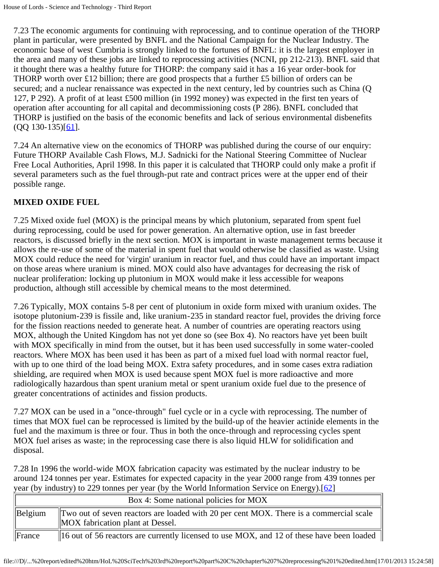7.23 The economic arguments for continuing with reprocessing, and to continue operation of the THORP plant in particular, were presented by BNFL and the National Campaign for the Nuclear Industry. The economic base of west Cumbria is strongly linked to the fortunes of BNFL: it is the largest employer in the area and many of these jobs are linked to reprocessing activities (NCNI, pp 212-213). BNFL said that it thought there was a healthy future for THORP: the company said it has a 16 year order-book for THORP worth over £12 billion; there are good prospects that a further £5 billion of orders can be secured; and a nuclear renaissance was expected in the next century, led by countries such as China (Q 127, P 292). A profit of at least £500 million (in 1992 money) was expected in the first ten years of operation after accounting for all capital and decommissioning costs (P 286). BNFL concluded that THORP is justified on the basis of the economic benefits and lack of serious environmental disbenefits  $(QQ 130-135)[61]$  $(QQ 130-135)[61]$ .

7.24 An alternative view on the economics of THORP was published during the course of our enquiry: Future THORP Available Cash Flows, M.J. Sadnicki for the National Steering Committee of Nuclear Free Local Authorities, April 1998. In this paper it is calculated that THORP could only make a profit if several parameters such as the fuel through-put rate and contract prices were at the upper end of their possible range.

# **MIXED OXIDE FUEL**

7.25 Mixed oxide fuel (MOX) is the principal means by which plutonium, separated from spent fuel during reprocessing, could be used for power generation. An alternative option, use in fast breeder reactors, is discussed briefly in the next section. MOX is important in waste management terms because it allows the re-use of some of the material in spent fuel that would otherwise be classified as waste. Using MOX could reduce the need for 'virgin' uranium in reactor fuel, and thus could have an important impact on those areas where uranium is mined. MOX could also have advantages for decreasing the risk of nuclear proliferation: locking up plutonium in MOX would make it less accessible for weapons production, although still accessible by chemical means to the most determined.

7.26 Typically, MOX contains 5-8 per cent of plutonium in oxide form mixed with uranium oxides. The isotope plutonium-239 is fissile and, like uranium-235 in standard reactor fuel, provides the driving force for the fission reactions needed to generate heat. A number of countries are operating reactors using MOX, although the United Kingdom has not yet done so (see Box 4). No reactors have yet been built with MOX specifically in mind from the outset, but it has been used successfully in some water-cooled reactors. Where MOX has been used it has been as part of a mixed fuel load with normal reactor fuel, with up to one third of the load being MOX. Extra safety procedures, and in some cases extra radiation shielding, are required when MOX is used because spent MOX fuel is more radioactive and more radiologically hazardous than spent uranium metal or spent uranium oxide fuel due to the presence of greater concentrations of actinides and fission products.

7.27 MOX can be used in a "once-through" fuel cycle or in a cycle with reprocessing. The number of times that MOX fuel can be reprocessed is limited by the build-up of the heavier actinide elements in the fuel and the maximum is three or four. Thus in both the once-through and reprocessing cycles spent MOX fuel arises as waste; in the reprocessing case there is also liquid HLW for solidification and disposal.

7.28 In 1996 the world-wide MOX fabrication capacity was estimated by the nuclear industry to be around 124 tonnes per year. Estimates for expected capacity in the year 2000 range from 439 tonnes per year (by industry) to 229 tonnes per year (by the World Information Service on Energy).[[62\]](#page-73-8)

|                     | Box 4: Some national policies for MOX                                                                                           |  |  |
|---------------------|---------------------------------------------------------------------------------------------------------------------------------|--|--|
| $\parallel$ Belgium | $\ $ Two out of seven reactors are loaded with 20 per cent MOX. There is a commercial scale<br>MOX fabrication plant at Dessel. |  |  |
| $\Vert$ France      | 16 out of 56 reactors are currently licensed to use MOX, and 12 of these have been loaded                                       |  |  |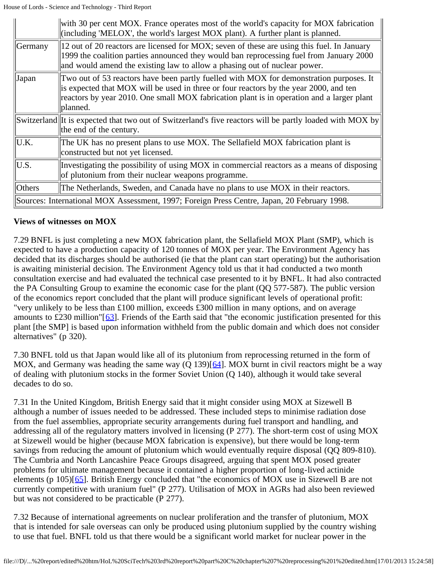|                                                                                             | with 30 per cent MOX. France operates most of the world's capacity for MOX fabrication<br>(including 'MELOX', the world's largest MOX plant). A further plant is planned.                                                                                                                 |  |
|---------------------------------------------------------------------------------------------|-------------------------------------------------------------------------------------------------------------------------------------------------------------------------------------------------------------------------------------------------------------------------------------------|--|
| Germany                                                                                     | 12 out of 20 reactors are licensed for MOX; seven of these are using this fuel. In January<br>1999 the coalition parties announced they would ban reprocessing fuel from January 2000<br>and would amend the existing law to allow a phasing out of nuclear power.                        |  |
| Japan                                                                                       | Two out of 53 reactors have been partly fuelled with MOX for demonstration purposes. It<br>is expected that MOX will be used in three or four reactors by the year 2000, and ten<br>reactors by year 2010. One small MOX fabrication plant is in operation and a larger plant<br>planned. |  |
|                                                                                             | Switzerland It is expected that two out of Switzerland's five reactors will be partly loaded with MOX by<br>the end of the century.                                                                                                                                                       |  |
| U.K.                                                                                        | The UK has no present plans to use MOX. The Sellafield MOX fabrication plant is<br>constructed but not yet licensed.                                                                                                                                                                      |  |
| U.S.                                                                                        | Investigating the possibility of using MOX in commercial reactors as a means of disposing<br>of plutonium from their nuclear weapons programme.                                                                                                                                           |  |
| Others                                                                                      | The Netherlands, Sweden, and Canada have no plans to use MOX in their reactors.                                                                                                                                                                                                           |  |
| Sources: International MOX Assessment, 1997; Foreign Press Centre, Japan, 20 February 1998. |                                                                                                                                                                                                                                                                                           |  |

#### **Views of witnesses on MOX**

7.29 BNFL is just completing a new MOX fabrication plant, the Sellafield MOX Plant (SMP), which is expected to have a production capacity of 120 tonnes of MOX per year. The Environment Agency has decided that its discharges should be authorised (ie that the plant can start operating) but the authorisation is awaiting ministerial decision. The Environment Agency told us that it had conducted a two month consultation exercise and had evaluated the technical case presented to it by BNFL. It had also contracted the PA Consulting Group to examine the economic case for the plant (QQ 577-587). The public version of the economics report concluded that the plant will produce significant levels of operational profit: "very unlikely to be less than £100 million, exceeds £300 million in many options, and on average amounts to £230 million"[[63](#page-73-9)]. Friends of the Earth said that "the economic justification presented for this plant [the SMP] is based upon information withheld from the public domain and which does not consider alternatives" (p 320).

7.30 BNFL told us that Japan would like all of its plutonium from reprocessing returned in the form of MOX, and Germany was heading the same way (Q 139)[[64\]](#page-73-10). MOX burnt in civil reactors might be a way of dealing with plutonium stocks in the former Soviet Union (Q 140), although it would take several decades to do so.

7.31 In the United Kingdom, British Energy said that it might consider using MOX at Sizewell B although a number of issues needed to be addressed. These included steps to minimise radiation dose from the fuel assemblies, appropriate security arrangements during fuel transport and handling, and addressing all of the regulatory matters involved in licensing (P 277). The short-term cost of using MOX at Sizewell would be higher (because MOX fabrication is expensive), but there would be long-term savings from reducing the amount of plutonium which would eventually require disposal (QQ 809-810). The Cumbria and North Lancashire Peace Groups disagreed, arguing that spent MOX posed greater problems for ultimate management because it contained a higher proportion of long-lived actinide elements (p 105)[[65\]](#page-73-11). British Energy concluded that "the economics of MOX use in Sizewell B are not currently competitive with uranium fuel" (P 277). Utilisation of MOX in AGRs had also been reviewed but was not considered to be practicable (P 277).

7.32 Because of international agreements on nuclear proliferation and the transfer of plutonium, MOX that is intended for sale overseas can only be produced using plutonium supplied by the country wishing to use that fuel. BNFL told us that there would be a significant world market for nuclear power in the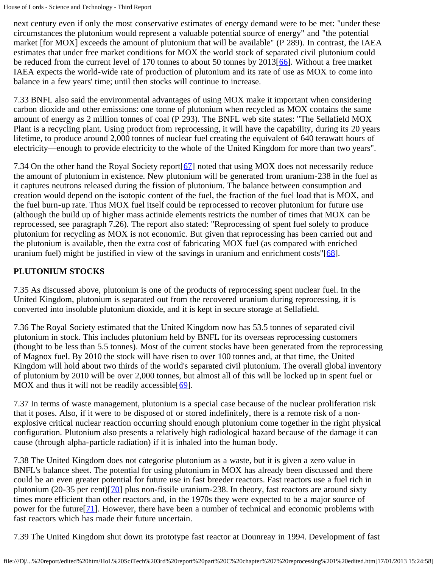next century even if only the most conservative estimates of energy demand were to be met: "under these circumstances the plutonium would represent a valuable potential source of energy" and "the potential market [for MOX] exceeds the amount of plutonium that will be available" (P 289). In contrast, the IAEA estimates that under free market conditions for MOX the world stock of separated civil plutonium could be reduced from the current level of 170 tonnes to about 50 tonnes by  $2013[66]$  $2013[66]$ . Without a free market IAEA expects the world-wide rate of production of plutonium and its rate of use as MOX to come into balance in a few years' time; until then stocks will continue to increase.

7.33 BNFL also said the environmental advantages of using MOX make it important when considering carbon dioxide and other emissions: one tonne of plutonium when recycled as MOX contains the same amount of energy as 2 million tonnes of coal (P 293). The BNFL web site states: "The Sellafield MOX Plant is a recycling plant. Using product from reprocessing, it will have the capability, during its 20 years lifetime, to produce around 2,000 tonnes of nuclear fuel creating the equivalent of 640 terawatt hours of electricity—enough to provide electricity to the whole of the United Kingdom for more than two years".

7.34 On the other hand the Royal Society report[[67](#page-73-13)] noted that using MOX does not necessarily reduce the amount of plutonium in existence. New plutonium will be generated from uranium-238 in the fuel as it captures neutrons released during the fission of plutonium. The balance between consumption and creation would depend on the isotopic content of the fuel, the fraction of the fuel load that is MOX, and the fuel burn-up rate. Thus MOX fuel itself could be reprocessed to recover plutonium for future use (although the build up of higher mass actinide elements restricts the number of times that MOX can be reprocessed, see paragraph 7.26). The report also stated: "Reprocessing of spent fuel solely to produce plutonium for recycling as MOX is not economic. But given that reprocessing has been carried out and the plutonium is available, then the extra cost of fabricating MOX fuel (as compared with enriched uranium fuel) might be justified in view of the savings in uranium and enrichment costs"[[68\]](#page-74-0).

# **PLUTONIUM STOCKS**

7.35 As discussed above, plutonium is one of the products of reprocessing spent nuclear fuel. In the United Kingdom, plutonium is separated out from the recovered uranium during reprocessing, it is converted into insoluble plutonium dioxide, and it is kept in secure storage at Sellafield.

7.36 The Royal Society estimated that the United Kingdom now has 53.5 tonnes of separated civil plutonium in stock. This includes plutonium held by BNFL for its overseas reprocessing customers (thought to be less than 5.5 tonnes). Most of the current stocks have been generated from the reprocessing of Magnox fuel. By 2010 the stock will have risen to over 100 tonnes and, at that time, the United Kingdom will hold about two thirds of the world's separated civil plutonium. The overall global inventory of plutonium by 2010 will be over 2,000 tonnes, but almost all of this will be locked up in spent fuel or MOX and thus it will not be readily accessible  $[69]$  $[69]$  $[69]$ .

7.37 In terms of waste management, plutonium is a special case because of the nuclear proliferation risk that it poses. Also, if it were to be disposed of or stored indefinitely, there is a remote risk of a nonexplosive critical nuclear reaction occurring should enough plutonium come together in the right physical configuration. Plutonium also presents a relatively high radiological hazard because of the damage it can cause (through alpha-particle radiation) if it is inhaled into the human body.

7.38 The United Kingdom does not categorise plutonium as a waste, but it is given a zero value in BNFL's balance sheet. The potential for using plutonium in MOX has already been discussed and there could be an even greater potential for future use in fast breeder reactors. Fast reactors use a fuel rich in plutonium (20-35 per cent) $[70]$  $[70]$  plus non-fissile uranium-238. In theory, fast reactors are around sixty times more efficient than other reactors and, in the 1970s they were expected to be a major source of power for the future  $[71]$  $[71]$  $[71]$ . However, there have been a number of technical and economic problems with fast reactors which has made their future uncertain.

7.39 The United Kingdom shut down its prototype fast reactor at Dounreay in 1994. Development of fast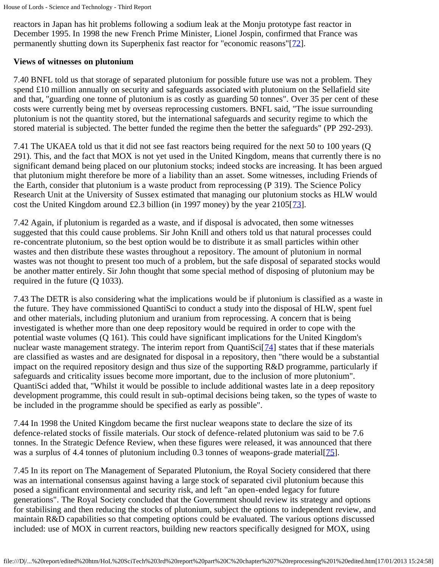reactors in Japan has hit problems following a sodium leak at the Monju prototype fast reactor in December 1995. In 1998 the new French Prime Minister, Lionel Jospin, confirmed that France was permanently shutting down its Superphenix fast reactor for "economic reasons"[[72\]](#page-74-0).

#### <span id="page-72-0"></span>**Views of witnesses on plutonium**

7.40 BNFL told us that storage of separated plutonium for possible future use was not a problem. They spend £10 million annually on security and safeguards associated with plutonium on the Sellafield site and that, "guarding one tonne of plutonium is as costly as guarding 50 tonnes". Over 35 per cent of these costs were currently being met by overseas reprocessing customers. BNFL said, "The issue surrounding plutonium is not the quantity stored, but the international safeguards and security regime to which the stored material is subjected. The better funded the regime then the better the safeguards" (PP 292-293).

7.41 The UKAEA told us that it did not see fast reactors being required for the next 50 to 100 years (Q 291). This, and the fact that MOX is not yet used in the United Kingdom, means that currently there is no significant demand being placed on our plutonium stocks; indeed stocks are increasing. It has been argued that plutonium might therefore be more of a liability than an asset. Some witnesses, including Friends of the Earth, consider that plutonium is a waste product from reprocessing (P 319). The Science Policy Research Unit at the University of Sussex estimated that managing our plutonium stocks as HLW would cost the United Kingdom around £2.3 billion (in 1997 money) by the year  $2105[73]$  $2105[73]$  $2105[73]$ .

<span id="page-72-1"></span>7.42 Again, if plutonium is regarded as a waste, and if disposal is advocated, then some witnesses suggested that this could cause problems. Sir John Knill and others told us that natural processes could re-concentrate plutonium, so the best option would be to distribute it as small particles within other wastes and then distribute these wastes throughout a repository. The amount of plutonium in normal wastes was not thought to present too much of a problem, but the safe disposal of separated stocks would be another matter entirely. Sir John thought that some special method of disposing of plutonium may be required in the future (Q 1033).

<span id="page-72-2"></span>7.43 The DETR is also considering what the implications would be if plutonium is classified as a waste in the future. They have commissioned QuantiSci to conduct a study into the disposal of HLW, spent fuel and other materials, including plutonium and uranium from reprocessing. A concern that is being investigated is whether more than one deep repository would be required in order to cope with the potential waste volumes (Q 161). This could have significant implications for the United Kingdom's nuclear waste management strategy. The interim report from QuantiSci<sup>[[74](#page-74-2)]</sup> states that if these materials are classified as wastes and are designated for disposal in a repository, then "there would be a substantial impact on the required repository design and thus size of the supporting R&D programme, particularly if safeguards and criticality issues become more important, due to the inclusion of more plutonium". QuantiSci added that, "Whilst it would be possible to include additional wastes late in a deep repository development programme, this could result in sub-optimal decisions being taken, so the types of waste to be included in the programme should be specified as early as possible".

7.44 In 1998 the United Kingdom became the first nuclear weapons state to declare the size of its defence-related stocks of fissile materials. Our stock of defence-related plutonium was said to be 7.6 tonnes. In the Strategic Defence Review, when these figures were released, it was announced that there was a surplus of 4.4 tonnes of plutonium including 0.3 tonnes of weapons-grade material [[75\]](#page-74-3).

<span id="page-72-3"></span>7.45 In its report on The Management of Separated Plutonium, the Royal Society considered that there was an international consensus against having a large stock of separated civil plutonium because this posed a significant environmental and security risk, and left "an open-ended legacy for future generations". The Royal Society concluded that the Government should review its strategy and options for stabilising and then reducing the stocks of plutonium, subject the options to independent review, and maintain R&D capabilities so that competing options could be evaluated. The various options discussed included: use of MOX in current reactors, building new reactors specifically designed for MOX, using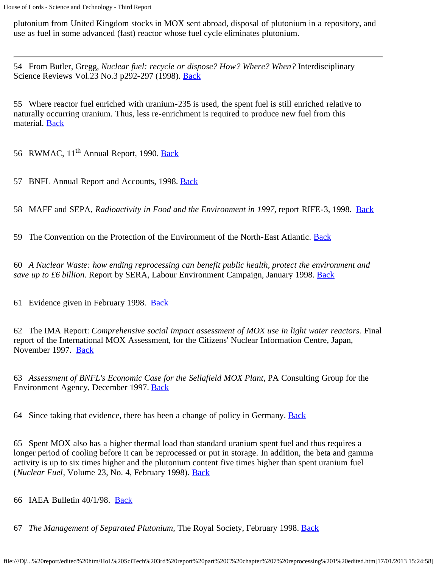plutonium from United Kingdom stocks in MOX sent abroad, disposal of plutonium in a repository, and use as fuel in some advanced (fast) reactor whose fuel cycle eliminates plutonium.

54 From Butler, Gregg, *Nuclear fuel: recycle or dispose? How? Where? When?* Interdisciplinary Science Reviews Vol.23 No.3 p292-297 (1998). **Back** 

55 Where reactor fuel enriched with uranium-235 is used, the spent fuel is still enriched relative to naturally occurring uranium. Thus, less re-enrichment is required to produce new fuel from this material. [Back](#page-65-0)

56 RWMAC, 11<sup>th</sup> Annual Report, 1990. [Back](#page-67-0)

57 BNFL Annual Report and Accounts, 1998. [Back](#page-67-1)

58 MAFF and SEPA, *Radioactivity in Food and the Environment in 1997*, report RIFE-3, 1998. [Back](#page-67-2)

59 The Convention on the Protection of the Environment of the North-East Atlantic. [Back](#page-67-3)

60 *A Nuclear Waste: how ending reprocessing can benefit public health, protect the environment and save up to £6 billion*. Report by SERA, Labour Environment Campaign, January 1998. [Back](#page-67-4)

61 Evidence given in February 1998. [Back](#page-69-0)

62 The IMA Report: *Comprehensive social impact assessment of MOX use in light water reactors.* Final report of the International MOX Assessment, for the Citizens' Nuclear Information Centre, Japan, November 1997. [Back](#page-69-1)

63 *Assessment of BNFL's Economic Case for the Sellafield MOX Plant*, PA Consulting Group for the Environment Agency, December 1997. [Back](#page-70-0)

64 Since taking that evidence, there has been a change of policy in Germany. [Back](#page-70-1)

65 Spent MOX also has a higher thermal load than standard uranium spent fuel and thus requires a longer period of cooling before it can be reprocessed or put in storage. In addition, the beta and gamma activity is up to six times higher and the plutonium content five times higher than spent uranium fuel (*Nuclear Fuel*, Volume 23, No. 4, February 1998). [Back](#page-70-2)

66 IAEA Bulletin 40/1/98. [Back](#page-71-0)

67 *The Management of Separated Plutonium,* The Royal Society, February 1998. [Back](#page-71-1)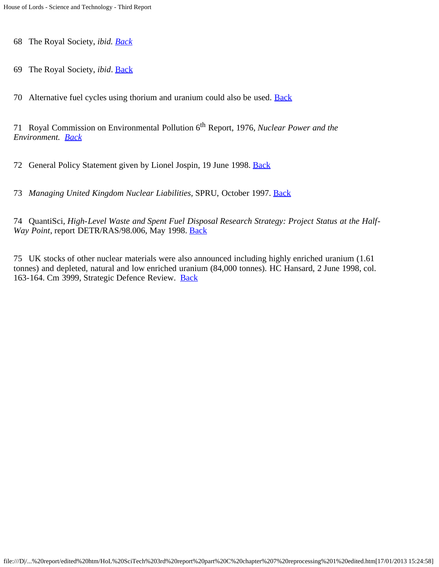68 The Royal Society, *ibid. [Back](#page-71-2)*

69 The Royal Society, *ibid*. [Back](#page-71-3)

70 Alternative fuel cycles using thorium and uranium could also be used. **[Back](#page-71-4)** 

71 Royal Commission on Environmental Pollution 6th Report, 1976, *Nuclear Power and the Environment. [Back](#page-71-5)*

<span id="page-74-0"></span>72 General Policy Statement given by Lionel Jospin, 19 June 1998. [Back](#page-72-0)

<span id="page-74-1"></span>73 *Managing United Kingdom Nuclear Liabilities*, SPRU, October 1997. [Back](#page-72-1)

<span id="page-74-2"></span>74 QuantiSci, *High-Level Waste and Spent Fuel Disposal Research Strategy: Project Status at the Half-Way Point*, report DETR/RAS/98.006, May 1998. **Back** 

<span id="page-74-3"></span>75 UK stocks of other nuclear materials were also announced including highly enriched uranium (1.61 tonnes) and depleted, natural and low enriched uranium (84,000 tonnes). HC Hansard, 2 June 1998, col. 163-164. Cm 3999, Strategic Defence Review. [Back](#page-72-3)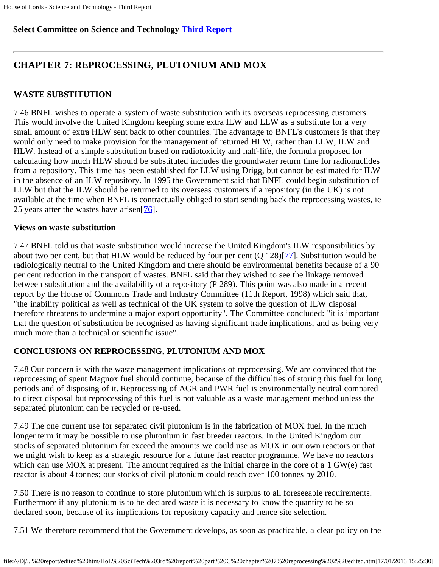### **Select Committee on Science and Technology [Third Report](file:///D|/Home/dks/text/papers%20and%20research/earth%20science/nuclear%20waste%20disposal/government/parliament/HoL%20SciTech%203rd%20report/edited%20htm/4101.htm)**

# **CHAPTER 7: REPROCESSING, PLUTONIUM AND MOX**

### **WASTE SUBSTITUTION**

7.46 BNFL wishes to operate a system of waste substitution with its overseas reprocessing customers. This would involve the United Kingdom keeping some extra ILW and LLW as a substitute for a very small amount of extra HLW sent back to other countries. The advantage to BNFL's customers is that they would only need to make provision for the management of returned HLW, rather than LLW, ILW and HLW. Instead of a simple substitution based on radiotoxicity and half-life, the formula proposed for calculating how much HLW should be substituted includes the groundwater return time for radionuclides from a repository. This time has been established for LLW using Drigg, but cannot be estimated for ILW in the absence of an ILW repository. In 1995 the Government said that BNFL could begin substitution of LLW but that the ILW should be returned to its overseas customers if a repository (in the UK) is not available at the time when BNFL is contractually obliged to start sending back the reprocessing wastes, ie 25 years after the wastes have arisen[[76\]](#page-76-0).

### <span id="page-75-0"></span>**Views on waste substitution**

<span id="page-75-1"></span>7.47 BNFL told us that waste substitution would increase the United Kingdom's ILW responsibilities by about two per cent, but that HLW would be reduced by four per cent  $(Q 128)[77]$  $(Q 128)[77]$  $(Q 128)[77]$ . Substitution would be radiologically neutral to the United Kingdom and there should be environmental benefits because of a 90 per cent reduction in the transport of wastes. BNFL said that they wished to see the linkage removed between substitution and the availability of a repository (P 289). This point was also made in a recent report by the House of Commons Trade and Industry Committee (11th Report, 1998) which said that, "the inability political as well as technical of the UK system to solve the question of ILW disposal therefore threatens to undermine a major export opportunity". The Committee concluded: "it is important that the question of substitution be recognised as having significant trade implications, and as being very much more than a technical or scientific issue".

## **CONCLUSIONS ON REPROCESSING, PLUTONIUM AND MOX**

7.48 Our concern is with the waste management implications of reprocessing. We are convinced that the reprocessing of spent Magnox fuel should continue, because of the difficulties of storing this fuel for long periods and of disposing of it. Reprocessing of AGR and PWR fuel is environmentally neutral compared to direct disposal but reprocessing of this fuel is not valuable as a waste management method unless the separated plutonium can be recycled or re-used.

7.49 The one current use for separated civil plutonium is in the fabrication of MOX fuel. In the much longer term it may be possible to use plutonium in fast breeder reactors. In the United Kingdom our stocks of separated plutonium far exceed the amounts we could use as MOX in our own reactors or that we might wish to keep as a strategic resource for a future fast reactor programme. We have no reactors which can use MOX at present. The amount required as the initial charge in the core of a 1 GW(e) fast reactor is about 4 tonnes; our stocks of civil plutonium could reach over 100 tonnes by 2010.

7.50 There is no reason to continue to store plutonium which is surplus to all foreseeable requirements. Furthermore if any plutonium is to be declared waste it is necessary to know the quantity to be so declared soon, because of its implications for repository capacity and hence site selection.

7.51 We therefore recommend that the Government develops, as soon as practicable, a clear policy on the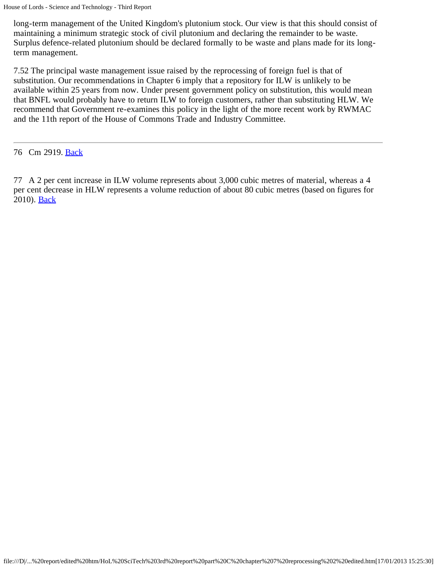long-term management of the United Kingdom's plutonium stock. Our view is that this should consist of maintaining a minimum strategic stock of civil plutonium and declaring the remainder to be waste. Surplus defence-related plutonium should be declared formally to be waste and plans made for its longterm management.

7.52 The principal waste management issue raised by the reprocessing of foreign fuel is that of substitution. Our recommendations in Chapter 6 imply that a repository for ILW is unlikely to be available within 25 years from now. Under present government policy on substitution, this would mean that BNFL would probably have to return ILW to foreign customers, rather than substituting HLW. We recommend that Government re-examines this policy in the light of the more recent work by RWMAC and the 11th report of the House of Commons Trade and Industry Committee.

<span id="page-76-0"></span>76 Cm 2919. **[Back](#page-75-0)** 

<span id="page-76-1"></span>77 A 2 per cent increase in ILW volume represents about 3,000 cubic metres of material, whereas a 4 per cent decrease in HLW represents a volume reduction of about 80 cubic metres (based on figures for 2010). [Back](#page-75-1)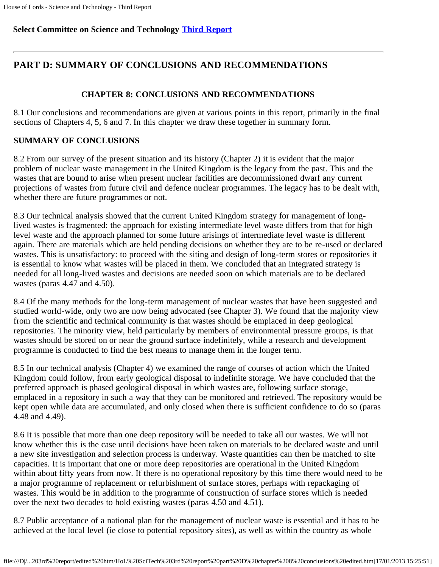#### **Select Committee on Science and Technology [Third Report](file:///D|/Home/dks/text/papers%20and%20research/earth%20science/nuclear%20waste%20disposal/government/parliament/HoL%20SciTech%203rd%20report/edited%20htm/4101.htm)**

## **PART D: SUMMARY OF CONCLUSIONS AND RECOMMENDATIONS**

#### **CHAPTER 8: CONCLUSIONS AND RECOMMENDATIONS**

8.1 Our conclusions and recommendations are given at various points in this report, primarily in the final sections of Chapters 4, 5, 6 and 7. In this chapter we draw these together in summary form.

#### **SUMMARY OF CONCLUSIONS**

8.2 From our survey of the present situation and its history (Chapter 2) it is evident that the major problem of nuclear waste management in the United Kingdom is the legacy from the past. This and the wastes that are bound to arise when present nuclear facilities are decommissioned dwarf any current projections of wastes from future civil and defence nuclear programmes. The legacy has to be dealt with, whether there are future programmes or not.

8.3 Our technical analysis showed that the current United Kingdom strategy for management of longlived wastes is fragmented: the approach for existing intermediate level waste differs from that for high level waste and the approach planned for some future arisings of intermediate level waste is different again. There are materials which are held pending decisions on whether they are to be re-used or declared wastes. This is unsatisfactory: to proceed with the siting and design of long-term stores or repositories it is essential to know what wastes will be placed in them. We concluded that an integrated strategy is needed for all long-lived wastes and decisions are needed soon on which materials are to be declared wastes (paras 4.47 and 4.50).

8.4 Of the many methods for the long-term management of nuclear wastes that have been suggested and studied world-wide, only two are now being advocated (see Chapter 3). We found that the majority view from the scientific and technical community is that wastes should be emplaced in deep geological repositories. The minority view, held particularly by members of environmental pressure groups, is that wastes should be stored on or near the ground surface indefinitely, while a research and development programme is conducted to find the best means to manage them in the longer term.

8.5 In our technical analysis (Chapter 4) we examined the range of courses of action which the United Kingdom could follow, from early geological disposal to indefinite storage. We have concluded that the preferred approach is phased geological disposal in which wastes are, following surface storage, emplaced in a repository in such a way that they can be monitored and retrieved. The repository would be kept open while data are accumulated, and only closed when there is sufficient confidence to do so (paras 4.48 and 4.49).

8.6 It is possible that more than one deep repository will be needed to take all our wastes. We will not know whether this is the case until decisions have been taken on materials to be declared waste and until a new site investigation and selection process is underway. Waste quantities can then be matched to site capacities. It is important that one or more deep repositories are operational in the United Kingdom within about fifty years from now. If there is no operational repository by this time there would need to be a major programme of replacement or refurbishment of surface stores, perhaps with repackaging of wastes. This would be in addition to the programme of construction of surface stores which is needed over the next two decades to hold existing wastes (paras 4.50 and 4.51).

8.7 Public acceptance of a national plan for the management of nuclear waste is essential and it has to be achieved at the local level (ie close to potential repository sites), as well as within the country as whole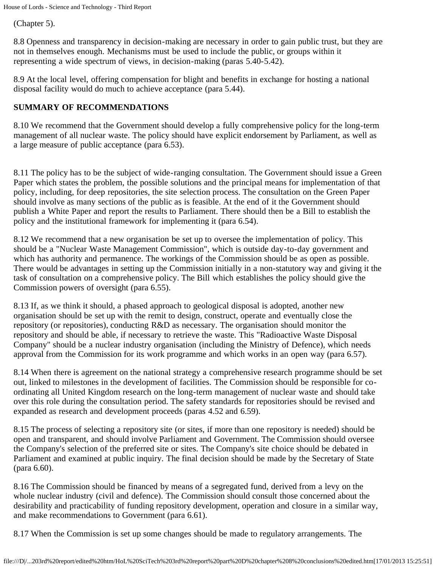(Chapter 5).

8.8 Openness and transparency in decision-making are necessary in order to gain public trust, but they are not in themselves enough. Mechanisms must be used to include the public, or groups within it representing a wide spectrum of views, in decision-making (paras 5.40-5.42).

8.9 At the local level, offering compensation for blight and benefits in exchange for hosting a national disposal facility would do much to achieve acceptance (para 5.44).

### **SUMMARY OF RECOMMENDATIONS**

8.10 We recommend that the Government should develop a fully comprehensive policy for the long-term management of all nuclear waste. The policy should have explicit endorsement by Parliament, as well as a large measure of public acceptance (para 6.53).

8.11 The policy has to be the subject of wide-ranging consultation. The Government should issue a Green Paper which states the problem, the possible solutions and the principal means for implementation of that policy, including, for deep repositories, the site selection process. The consultation on the Green Paper should involve as many sections of the public as is feasible. At the end of it the Government should publish a White Paper and report the results to Parliament. There should then be a Bill to establish the policy and the institutional framework for implementing it (para 6.54).

8.12 We recommend that a new organisation be set up to oversee the implementation of policy. This should be a "Nuclear Waste Management Commission", which is outside day-to-day government and which has authority and permanence. The workings of the Commission should be as open as possible. There would be advantages in setting up the Commission initially in a non-statutory way and giving it the task of consultation on a comprehensive policy. The Bill which establishes the policy should give the Commission powers of oversight (para 6.55).

8.13 If, as we think it should, a phased approach to geological disposal is adopted, another new organisation should be set up with the remit to design, construct, operate and eventually close the repository (or repositories), conducting R&D as necessary. The organisation should monitor the repository and should be able, if necessary to retrieve the waste. This "Radioactive Waste Disposal Company" should be a nuclear industry organisation (including the Ministry of Defence), which needs approval from the Commission for its work programme and which works in an open way (para 6.57).

8.14 When there is agreement on the national strategy a comprehensive research programme should be set out, linked to milestones in the development of facilities. The Commission should be responsible for coordinating all United Kingdom research on the long-term management of nuclear waste and should take over this role during the consultation period. The safety standards for repositories should be revised and expanded as research and development proceeds (paras 4.52 and 6.59).

8.15 The process of selecting a repository site (or sites, if more than one repository is needed) should be open and transparent, and should involve Parliament and Government. The Commission should oversee the Company's selection of the preferred site or sites. The Company's site choice should be debated in Parliament and examined at public inquiry. The final decision should be made by the Secretary of State (para 6.60).

8.16 The Commission should be financed by means of a segregated fund, derived from a levy on the whole nuclear industry (civil and defence). The Commission should consult those concerned about the desirability and practicability of funding repository development, operation and closure in a similar way, and make recommendations to Government (para 6.61).

8.17 When the Commission is set up some changes should be made to regulatory arrangements. The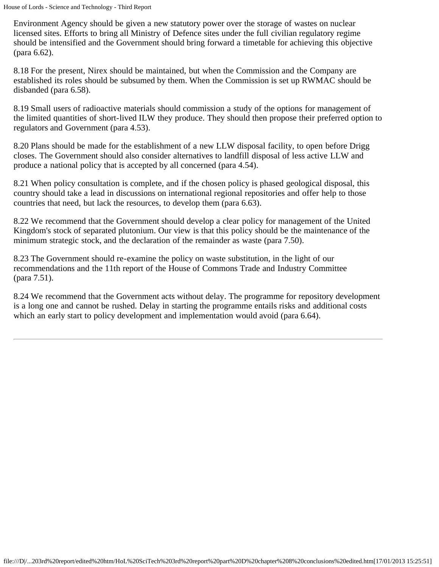Environment Agency should be given a new statutory power over the storage of wastes on nuclear licensed sites. Efforts to bring all Ministry of Defence sites under the full civilian regulatory regime should be intensified and the Government should bring forward a timetable for achieving this objective (para 6.62).

8.18 For the present, Nirex should be maintained, but when the Commission and the Company are established its roles should be subsumed by them. When the Commission is set up RWMAC should be disbanded (para 6.58).

8.19 Small users of radioactive materials should commission a study of the options for management of the limited quantities of short-lived ILW they produce. They should then propose their preferred option to regulators and Government (para 4.53).

8.20 Plans should be made for the establishment of a new LLW disposal facility, to open before Drigg closes. The Government should also consider alternatives to landfill disposal of less active LLW and produce a national policy that is accepted by all concerned (para 4.54).

8.21 When policy consultation is complete, and if the chosen policy is phased geological disposal, this country should take a lead in discussions on international regional repositories and offer help to those countries that need, but lack the resources, to develop them (para 6.63).

8.22 We recommend that the Government should develop a clear policy for management of the United Kingdom's stock of separated plutonium. Our view is that this policy should be the maintenance of the minimum strategic stock, and the declaration of the remainder as waste (para 7.50).

8.23 The Government should re-examine the policy on waste substitution, in the light of our recommendations and the 11th report of the House of Commons Trade and Industry Committee (para 7.51).

8.24 We recommend that the Government acts without delay. The programme for repository development is a long one and cannot be rushed. Delay in starting the programme entails risks and additional costs which an early start to policy development and implementation would avoid (para 6.64).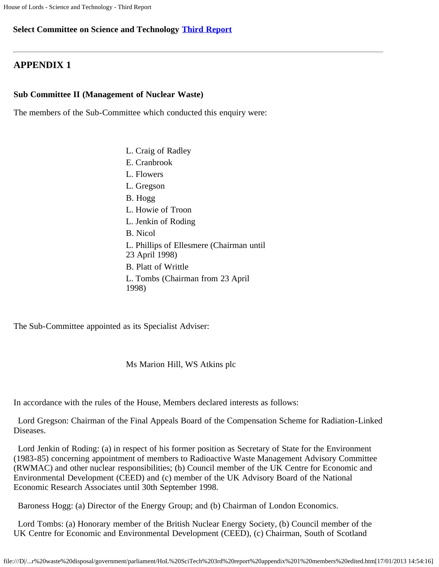#### **Select Committee on Science and Technology [Third Report](file:///D|/Home/dks/text/papers%20and%20research/earth%20science/nuclear%20waste%20disposal/government/parliament/4101.htm)**

### **APPENDIX 1**

#### **Sub Committee II (Management of Nuclear Waste)**

The members of the Sub-Committee which conducted this enquiry were:

- L. Craig of Radley
- E. Cranbrook
- L. Flowers
- L. Gregson
- B. Hogg
- L. Howie of Troon
- L. Jenkin of Roding
- B. Nicol
- L. Phillips of Ellesmere (Chairman until
- 23 April 1998)
- B. Platt of Writtle
- L. Tombs (Chairman from 23 April 1998)

The Sub-Committee appointed as its Specialist Adviser:

Ms Marion Hill, WS Atkins plc

In accordance with the rules of the House, Members declared interests as follows:

 Lord Gregson: Chairman of the Final Appeals Board of the Compensation Scheme for Radiation-Linked Diseases.

 Lord Jenkin of Roding: (a) in respect of his former position as Secretary of State for the Environment (1983-85) concerning appointment of members to Radioactive Waste Management Advisory Committee (RWMAC) and other nuclear responsibilities; (b) Council member of the UK Centre for Economic and Environmental Development (CEED) and (c) member of the UK Advisory Board of the National Economic Research Associates until 30th September 1998.

Baroness Hogg: (a) Director of the Energy Group; and (b) Chairman of London Economics.

 Lord Tombs: (a) Honorary member of the British Nuclear Energy Society, (b) Council member of the UK Centre for Economic and Environmental Development (CEED), (c) Chairman, South of Scotland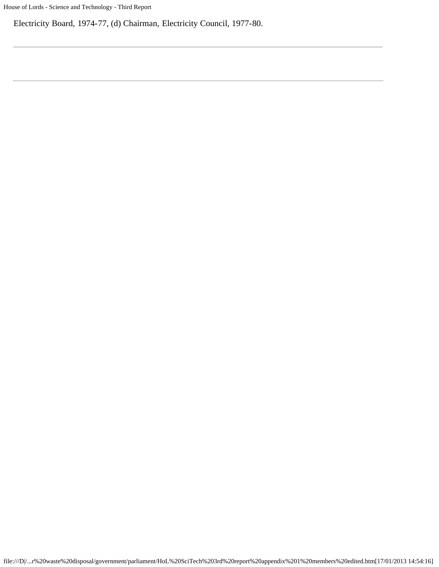Electricity Board, 1974-77, (d) Chairman, Electricity Council, 1977-80.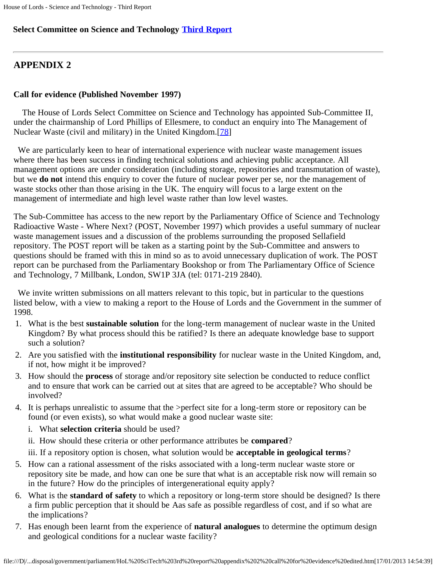### **Select Committee on Science and Technology [Third Report](file:///D|/Home/dks/text/papers%20and%20research/earth%20science/nuclear%20waste%20disposal/government/parliament/4101.htm)**

# **APPENDIX 2**

### **Call for evidence (Published November 1997)**

 The House of Lords Select Committee on Science and Technology has appointed Sub-Committee II, under the chairmanship of Lord Phillips of Ellesmere, to conduct an enquiry into The Management of Nuclear Waste (civil and military) in the United Kingdom.[[78](#page-83-0)]

<span id="page-82-0"></span> We are particularly keen to hear of international experience with nuclear waste management issues where there has been success in finding technical solutions and achieving public acceptance. All management options are under consideration (including storage, repositories and transmutation of waste), but we **do not** intend this enquiry to cover the future of nuclear power per se, nor the management of waste stocks other than those arising in the UK. The enquiry will focus to a large extent on the management of intermediate and high level waste rather than low level wastes.

The Sub-Committee has access to the new report by the Parliamentary Office of Science and Technology Radioactive Waste - Where Next? (POST, November 1997) which provides a useful summary of nuclear waste management issues and a discussion of the problems surrounding the proposed Sellafield repository. The POST report will be taken as a starting point by the Sub-Committee and answers to questions should be framed with this in mind so as to avoid unnecessary duplication of work. The POST report can be purchased from the Parliamentary Bookshop or from The Parliamentary Office of Science and Technology, 7 Millbank, London, SW1P 3JA (tel: 0171-219 2840).

 We invite written submissions on all matters relevant to this topic, but in particular to the questions listed below, with a view to making a report to the House of Lords and the Government in the summer of 1998.

- 1. What is the best **sustainable solution** for the long-term management of nuclear waste in the United Kingdom? By what process should this be ratified? Is there an adequate knowledge base to support such a solution?
- 2. Are you satisfied with the **institutional responsibility** for nuclear waste in the United Kingdom, and, if not, how might it be improved?
- 3. How should the **process** of storage and/or repository site selection be conducted to reduce conflict and to ensure that work can be carried out at sites that are agreed to be acceptable? Who should be involved?
- 4. It is perhaps unrealistic to assume that the >perfect site for a long-term store or repository can be found (or even exists), so what would make a good nuclear waste site:
	- i. What **selection criteria** should be used?
	- ii. How should these criteria or other performance attributes be **compared**?
	- iii. If a repository option is chosen, what solution would be **acceptable in geological terms**?
- 5. How can a rational assessment of the risks associated with a long-term nuclear waste store or repository site be made, and how can one be sure that what is an acceptable risk now will remain so in the future? How do the principles of intergenerational equity apply?
- 6. What is the **standard of safety** to which a repository or long-term store should be designed? Is there a firm public perception that it should be Aas safe as possible regardless of cost, and if so what are the implications?
- 7. Has enough been learnt from the experience of **natural analogues** to determine the optimum design and geological conditions for a nuclear waste facility?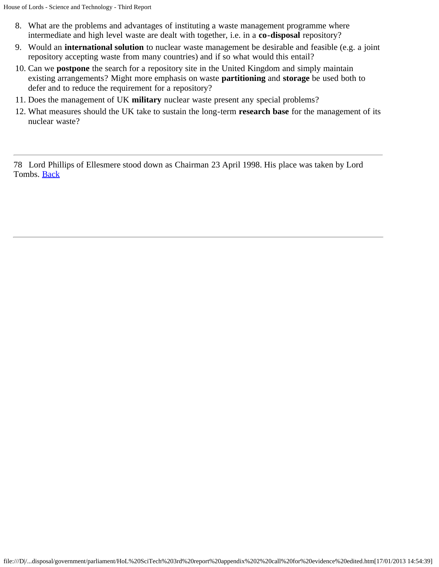- 8. What are the problems and advantages of instituting a waste management programme where intermediate and high level waste are dealt with together, i.e. in a **co-disposal** repository?
- 9. Would an **international solution** to nuclear waste management be desirable and feasible (e.g. a joint repository accepting waste from many countries) and if so what would this entail?
- 10. Can we **postpone** the search for a repository site in the United Kingdom and simply maintain existing arrangements? Might more emphasis on waste **partitioning** and **storage** be used both to defer and to reduce the requirement for a repository?
- 11. Does the management of UK **military** nuclear waste present any special problems?
- 12. What measures should the UK take to sustain the long-term **research base** for the management of its nuclear waste?

<span id="page-83-0"></span>78 Lord Phillips of Ellesmere stood down as Chairman 23 April 1998. His place was taken by Lord Tombs. [Back](#page-82-0)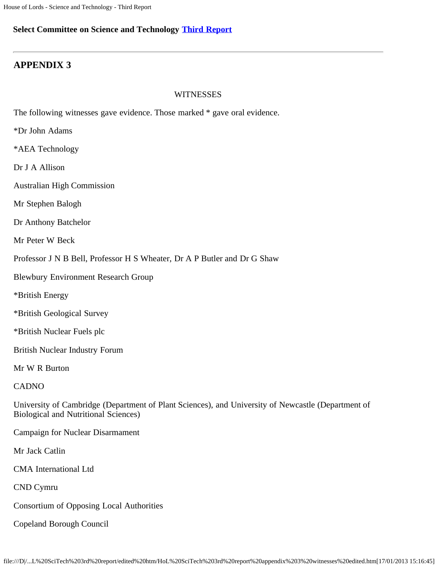#### **Select Committee on Science and Technology [Third Report](file:///D|/Home/dks/text/papers%20and%20research/earth%20science/nuclear%20waste%20disposal/government/parliament/HoL%20SciTech%203rd%20report/edited%20htm/4101.htm)**

### **APPENDIX 3**

#### **WITNESSES**

The following witnesses gave evidence. Those marked \* gave oral evidence.

\*Dr John Adams

\*AEA Technology

Dr J A Allison

Australian High Commission

Mr Stephen Balogh

Dr Anthony Batchelor

Mr Peter W Beck

Professor J N B Bell, Professor H S Wheater, Dr A P Butler and Dr G Shaw

Blewbury Environment Research Group

\*British Energy

\*British Geological Survey

\*British Nuclear Fuels plc

British Nuclear Industry Forum

Mr W R Burton

CADNO

University of Cambridge (Department of Plant Sciences), and University of Newcastle (Department of Biological and Nutritional Sciences)

Campaign for Nuclear Disarmament

Mr Jack Catlin

CMA International Ltd

CND Cymru

Consortium of Opposing Local Authorities

Copeland Borough Council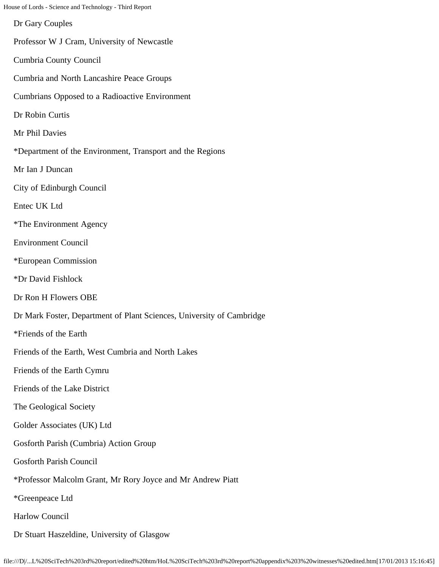House of Lords - Science and Technology - Third Report Dr Gary Couples Professor W J Cram, University of Newcastle Cumbria County Council Cumbria and North Lancashire Peace Groups Cumbrians Opposed to a Radioactive Environment Dr Robin Curtis Mr Phil Davies \*Department of the Environment, Transport and the Regions Mr Ian J Duncan City of Edinburgh Council Entec UK Ltd \*The Environment Agency Environment Council \*European Commission \*Dr David Fishlock Dr Ron H Flowers OBE Dr Mark Foster, Department of Plant Sciences, University of Cambridge \*Friends of the Earth Friends of the Earth, West Cumbria and North Lakes Friends of the Earth Cymru Friends of the Lake District The Geological Society Golder Associates (UK) Ltd Gosforth Parish (Cumbria) Action Group Gosforth Parish Council \*Professor Malcolm Grant, Mr Rory Joyce and Mr Andrew Piatt \*Greenpeace Ltd Harlow Council

Dr Stuart Haszeldine, University of Glasgow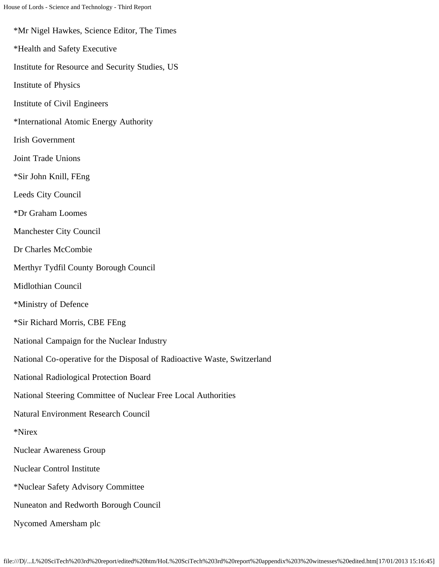\*Mr Nigel Hawkes, Science Editor, The Times \*Health and Safety Executive Institute for Resource and Security Studies, US Institute of Physics Institute of Civil Engineers \*International Atomic Energy Authority Irish Government Joint Trade Unions \*Sir John Knill, FEng Leeds City Council \*Dr Graham Loomes Manchester City Council Dr Charles McCombie Merthyr Tydfil County Borough Council Midlothian Council \*Ministry of Defence \*Sir Richard Morris, CBE FEng National Campaign for the Nuclear Industry National Co-operative for the Disposal of Radioactive Waste, Switzerland National Radiological Protection Board National Steering Committee of Nuclear Free Local Authorities Natural Environment Research Council \*Nirex Nuclear Awareness Group Nuclear Control Institute \*Nuclear Safety Advisory Committee Nuneaton and Redworth Borough Council Nycomed Amersham plc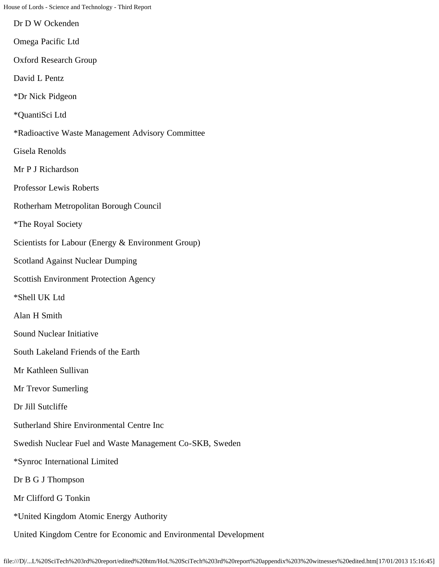Dr D W Ockenden

Omega Pacific Ltd

Oxford Research Group

David L Pentz

\*Dr Nick Pidgeon

\*QuantiSci Ltd

\*Radioactive Waste Management Advisory Committee

Gisela Renolds

Mr P J Richardson

Professor Lewis Roberts

Rotherham Metropolitan Borough Council

\*The Royal Society

Scientists for Labour (Energy & Environment Group)

Scotland Against Nuclear Dumping

Scottish Environment Protection Agency

\*Shell UK Ltd

Alan H Smith

Sound Nuclear Initiative

South Lakeland Friends of the Earth

Mr Kathleen Sullivan

Mr Trevor Sumerling

Dr Jill Sutcliffe

Sutherland Shire Environmental Centre Inc

Swedish Nuclear Fuel and Waste Management Co-SKB, Sweden

\*Synroc International Limited

Dr B G J Thompson

Mr Clifford G Tonkin

\*United Kingdom Atomic Energy Authority

United Kingdom Centre for Economic and Environmental Development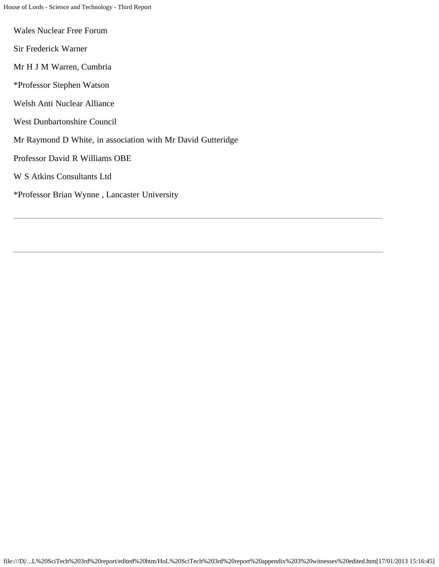- Wales Nuclear Free Forum
- Sir Frederick Warner
- Mr H J M Warren, Cumbria
- \*Professor Stephen Watson
- Welsh Anti Nuclear Alliance
- West Dunbartonshire Council
- Mr Raymond D White, in association with Mr David Gutteridge
- Professor David R Williams OBE
- W S Atkins Consultants Ltd
- \*Professor Brian Wynne , Lancaster University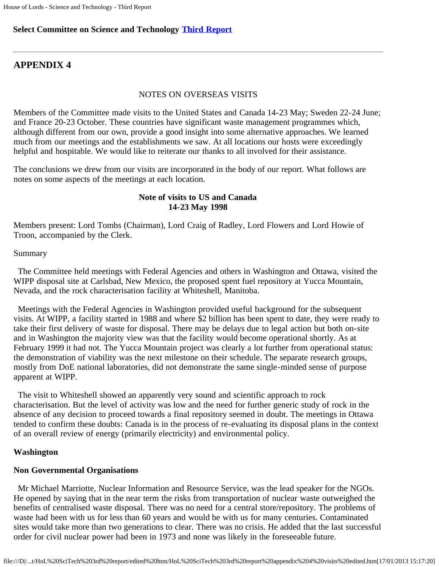#### **Select Committee on Science and Technology [Third Report](file:///D|/Home/dks/text/papers%20and%20research/earth%20science/nuclear%20waste%20disposal/government/parliament/HoL%20SciTech%203rd%20report/edited%20htm/4101.htm)**

### **APPENDIX 4**

#### NOTES ON OVERSEAS VISITS

Members of the Committee made visits to the United States and Canada 14-23 May; Sweden 22-24 June; and France 20-23 October. These countries have significant waste management programmes which, although different from our own, provide a good insight into some alternative approaches. We learned much from our meetings and the establishments we saw. At all locations our hosts were exceedingly helpful and hospitable. We would like to reiterate our thanks to all involved for their assistance.

The conclusions we drew from our visits are incorporated in the body of our report. What follows are notes on some aspects of the meetings at each location.

#### **Note of visits to US and Canada 14-23 May 1998**

Members present: Lord Tombs (Chairman), Lord Craig of Radley, Lord Flowers and Lord Howie of Troon, accompanied by the Clerk.

#### Summary

 The Committee held meetings with Federal Agencies and others in Washington and Ottawa, visited the WIPP disposal site at Carlsbad, New Mexico, the proposed spent fuel repository at Yucca Mountain, Nevada, and the rock characterisation facility at Whiteshell, Manitoba.

 Meetings with the Federal Agencies in Washington provided useful background for the subsequent visits. At WIPP, a facility started in 1988 and where \$2 billion has been spent to date, they were ready to take their first delivery of waste for disposal. There may be delays due to legal action but both on-site and in Washington the majority view was that the facility would become operational shortly. As at February 1999 it had not. The Yucca Mountain project was clearly a lot further from operational status: the demonstration of viability was the next milestone on their schedule. The separate research groups, mostly from DoE national laboratories, did not demonstrate the same single-minded sense of purpose apparent at WIPP.

 The visit to Whiteshell showed an apparently very sound and scientific approach to rock characterisation. But the level of activity was low and the need for further generic study of rock in the absence of any decision to proceed towards a final repository seemed in doubt. The meetings in Ottawa tended to confirm these doubts: Canada is in the process of re-evaluating its disposal plans in the context of an overall review of energy (primarily electricity) and environmental policy.

#### **Washington**

#### **Non Governmental Organisations**

 Mr Michael Marriotte, Nuclear Information and Resource Service, was the lead speaker for the NGOs. He opened by saying that in the near term the risks from transportation of nuclear waste outweighed the benefits of centralised waste disposal. There was no need for a central store/repository. The problems of waste had been with us for less than 60 years and would be with us for many centuries. Contaminated sites would take more than two generations to clear. There was no crisis. He added that the last successful order for civil nuclear power had been in 1973 and none was likely in the foreseeable future.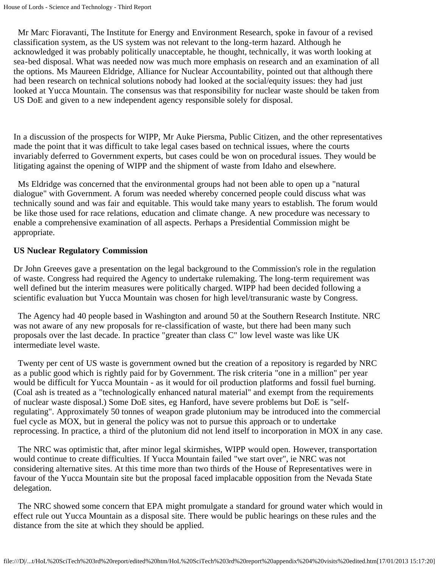Mr Marc Fioravanti, The Institute for Energy and Environment Research, spoke in favour of a revised classification system, as the US system was not relevant to the long-term hazard. Although he acknowledged it was probably politically unacceptable, he thought, technically, it was worth looking at sea-bed disposal. What was needed now was much more emphasis on research and an examination of all the options. Ms Maureen Eldridge, Alliance for Nuclear Accountability, pointed out that although there had been research on technical solutions nobody had looked at the social/equity issues: they had just looked at Yucca Mountain. The consensus was that responsibility for nuclear waste should be taken from US DoE and given to a new independent agency responsible solely for disposal.

In a discussion of the prospects for WIPP, Mr Auke Piersma, Public Citizen, and the other representatives made the point that it was difficult to take legal cases based on technical issues, where the courts invariably deferred to Government experts, but cases could be won on procedural issues. They would be litigating against the opening of WIPP and the shipment of waste from Idaho and elsewhere.

 Ms Eldridge was concerned that the environmental groups had not been able to open up a "natural dialogue" with Government. A forum was needed whereby concerned people could discuss what was technically sound and was fair and equitable. This would take many years to establish. The forum would be like those used for race relations, education and climate change. A new procedure was necessary to enable a comprehensive examination of all aspects. Perhaps a Presidential Commission might be appropriate.

#### **US Nuclear Regulatory Commission**

Dr John Greeves gave a presentation on the legal background to the Commission's role in the regulation of waste. Congress had required the Agency to undertake rulemaking. The long-term requirement was well defined but the interim measures were politically charged. WIPP had been decided following a scientific evaluation but Yucca Mountain was chosen for high level/transuranic waste by Congress.

 The Agency had 40 people based in Washington and around 50 at the Southern Research Institute. NRC was not aware of any new proposals for re-classification of waste, but there had been many such proposals over the last decade. In practice "greater than class C" low level waste was like UK intermediate level waste.

 Twenty per cent of US waste is government owned but the creation of a repository is regarded by NRC as a public good which is rightly paid for by Government. The risk criteria "one in a million" per year would be difficult for Yucca Mountain - as it would for oil production platforms and fossil fuel burning. (Coal ash is treated as a "technologically enhanced natural material" and exempt from the requirements of nuclear waste disposal.) Some DoE sites, eg Hanford, have severe problems but DoE is "selfregulating". Approximately 50 tonnes of weapon grade plutonium may be introduced into the commercial fuel cycle as MOX, but in general the policy was not to pursue this approach or to undertake reprocessing. In practice, a third of the plutonium did not lend itself to incorporation in MOX in any case.

 The NRC was optimistic that, after minor legal skirmishes, WIPP would open. However, transportation would continue to create difficulties. If Yucca Mountain failed "we start over", ie NRC was not considering alternative sites. At this time more than two thirds of the House of Representatives were in favour of the Yucca Mountain site but the proposal faced implacable opposition from the Nevada State delegation.

 The NRC showed some concern that EPA might promulgate a standard for ground water which would in effect rule out Yucca Mountain as a disposal site. There would be public hearings on these rules and the distance from the site at which they should be applied.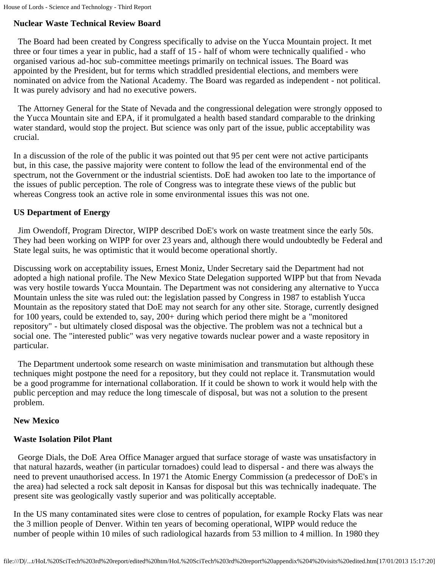## **Nuclear Waste Technical Review Board**

 The Board had been created by Congress specifically to advise on the Yucca Mountain project. It met three or four times a year in public, had a staff of 15 - half of whom were technically qualified - who organised various ad-hoc sub-committee meetings primarily on technical issues. The Board was appointed by the President, but for terms which straddled presidential elections, and members were nominated on advice from the National Academy. The Board was regarded as independent - not political. It was purely advisory and had no executive powers.

 The Attorney General for the State of Nevada and the congressional delegation were strongly opposed to the Yucca Mountain site and EPA, if it promulgated a health based standard comparable to the drinking water standard, would stop the project. But science was only part of the issue, public acceptability was crucial.

In a discussion of the role of the public it was pointed out that 95 per cent were not active participants but, in this case, the passive majority were content to follow the lead of the environmental end of the spectrum, not the Government or the industrial scientists. DoE had awoken too late to the importance of the issues of public perception. The role of Congress was to integrate these views of the public but whereas Congress took an active role in some environmental issues this was not one.

## **US Department of Energy**

 Jim Owendoff, Program Director, WIPP described DoE's work on waste treatment since the early 50s. They had been working on WIPP for over 23 years and, although there would undoubtedly be Federal and State legal suits, he was optimistic that it would become operational shortly.

Discussing work on acceptability issues, Ernest Moniz, Under Secretary said the Department had not adopted a high national profile. The New Mexico State Delegation supported WIPP but that from Nevada was very hostile towards Yucca Mountain. The Department was not considering any alternative to Yucca Mountain unless the site was ruled out: the legislation passed by Congress in 1987 to establish Yucca Mountain as the repository stated that DoE may not search for any other site. Storage, currently designed for 100 years, could be extended to, say, 200+ during which period there might be a "monitored repository" - but ultimately closed disposal was the objective. The problem was not a technical but a social one. The "interested public" was very negative towards nuclear power and a waste repository in particular.

 The Department undertook some research on waste minimisation and transmutation but although these techniques might postpone the need for a repository, but they could not replace it. Transmutation would be a good programme for international collaboration. If it could be shown to work it would help with the public perception and may reduce the long timescale of disposal, but was not a solution to the present problem.

## **New Mexico**

## **Waste Isolation Pilot Plant**

 George Dials, the DoE Area Office Manager argued that surface storage of waste was unsatisfactory in that natural hazards, weather (in particular tornadoes) could lead to dispersal - and there was always the need to prevent unauthorised access. In 1971 the Atomic Energy Commission (a predecessor of DoE's in the area) had selected a rock salt deposit in Kansas for disposal but this was technically inadequate. The present site was geologically vastly superior and was politically acceptable.

In the US many contaminated sites were close to centres of population, for example Rocky Flats was near the 3 million people of Denver. Within ten years of becoming operational, WIPP would reduce the number of people within 10 miles of such radiological hazards from 53 million to 4 million. In 1980 they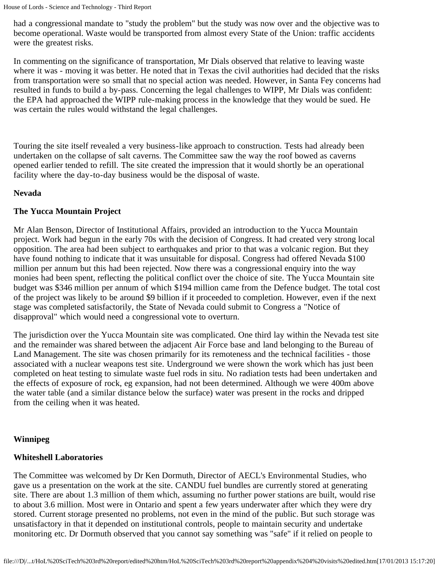had a congressional mandate to "study the problem" but the study was now over and the objective was to become operational. Waste would be transported from almost every State of the Union: traffic accidents were the greatest risks.

In commenting on the significance of transportation, Mr Dials observed that relative to leaving waste where it was - moving it was better. He noted that in Texas the civil authorities had decided that the risks from transportation were so small that no special action was needed. However, in Santa Fey concerns had resulted in funds to build a by-pass. Concerning the legal challenges to WIPP, Mr Dials was confident: the EPA had approached the WIPP rule-making process in the knowledge that they would be sued. He was certain the rules would withstand the legal challenges.

Touring the site itself revealed a very business-like approach to construction. Tests had already been undertaken on the collapse of salt caverns. The Committee saw the way the roof bowed as caverns opened earlier tended to refill. The site created the impression that it would shortly be an operational facility where the day-to-day business would be the disposal of waste.

#### **Nevada**

#### **The Yucca Mountain Project**

Mr Alan Benson, Director of Institutional Affairs, provided an introduction to the Yucca Mountain project. Work had begun in the early 70s with the decision of Congress. It had created very strong local opposition. The area had been subject to earthquakes and prior to that was a volcanic region. But they have found nothing to indicate that it was unsuitable for disposal. Congress had offered Nevada \$100 million per annum but this had been rejected. Now there was a congressional enquiry into the way monies had been spent, reflecting the political conflict over the choice of site. The Yucca Mountain site budget was \$346 million per annum of which \$194 million came from the Defence budget. The total cost of the project was likely to be around \$9 billion if it proceeded to completion. However, even if the next stage was completed satisfactorily, the State of Nevada could submit to Congress a "Notice of disapproval" which would need a congressional vote to overturn.

The jurisdiction over the Yucca Mountain site was complicated. One third lay within the Nevada test site and the remainder was shared between the adjacent Air Force base and land belonging to the Bureau of Land Management. The site was chosen primarily for its remoteness and the technical facilities - those associated with a nuclear weapons test site. Underground we were shown the work which has just been completed on heat testing to simulate waste fuel rods in situ. No radiation tests had been undertaken and the effects of exposure of rock, eg expansion, had not been determined. Although we were 400m above the water table (and a similar distance below the surface) water was present in the rocks and dripped from the ceiling when it was heated.

#### **Winnipeg**

#### **Whiteshell Laboratories**

The Committee was welcomed by Dr Ken Dormuth, Director of AECL's Environmental Studies, who gave us a presentation on the work at the site. CANDU fuel bundles are currently stored at generating site. There are about 1.3 million of them which, assuming no further power stations are built, would rise to about 3.6 million. Most were in Ontario and spent a few years underwater after which they were dry stored. Current storage presented no problems, not even in the mind of the public. But such storage was unsatisfactory in that it depended on institutional controls, people to maintain security and undertake monitoring etc. Dr Dormuth observed that you cannot say something was "safe" if it relied on people to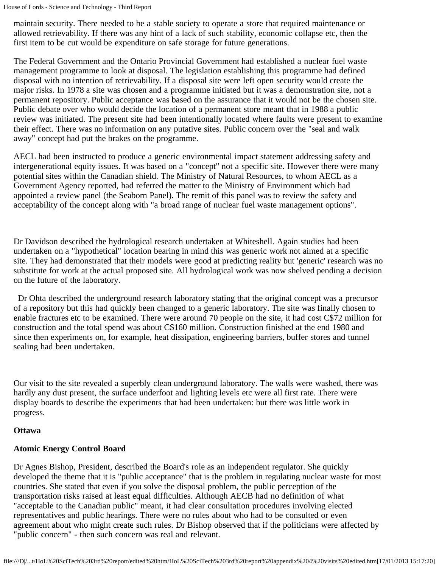maintain security. There needed to be a stable society to operate a store that required maintenance or allowed retrievability. If there was any hint of a lack of such stability, economic collapse etc, then the first item to be cut would be expenditure on safe storage for future generations.

The Federal Government and the Ontario Provincial Government had established a nuclear fuel waste management programme to look at disposal. The legislation establishing this programme had defined disposal with no intention of retrievability. If a disposal site were left open security would create the major risks. In 1978 a site was chosen and a programme initiated but it was a demonstration site, not a permanent repository. Public acceptance was based on the assurance that it would not be the chosen site. Public debate over who would decide the location of a permanent store meant that in 1988 a public review was initiated. The present site had been intentionally located where faults were present to examine their effect. There was no information on any putative sites. Public concern over the "seal and walk away" concept had put the brakes on the programme.

AECL had been instructed to produce a generic environmental impact statement addressing safety and intergenerational equity issues. It was based on a "concept" not a specific site. However there were many potential sites within the Canadian shield. The Ministry of Natural Resources, to whom AECL as a Government Agency reported, had referred the matter to the Ministry of Environment which had appointed a review panel (the Seaborn Panel). The remit of this panel was to review the safety and acceptability of the concept along with "a broad range of nuclear fuel waste management options".

Dr Davidson described the hydrological research undertaken at Whiteshell. Again studies had been undertaken on a "hypothetical" location bearing in mind this was generic work not aimed at a specific site. They had demonstrated that their models were good at predicting reality but 'generic' research was no substitute for work at the actual proposed site. All hydrological work was now shelved pending a decision on the future of the laboratory.

 Dr Ohta described the underground research laboratory stating that the original concept was a precursor of a repository but this had quickly been changed to a generic laboratory. The site was finally chosen to enable fractures etc to be examined. There were around 70 people on the site, it had cost C\$72 million for construction and the total spend was about C\$160 million. Construction finished at the end 1980 and since then experiments on, for example, heat dissipation, engineering barriers, buffer stores and tunnel sealing had been undertaken.

Our visit to the site revealed a superbly clean underground laboratory. The walls were washed, there was hardly any dust present, the surface underfoot and lighting levels etc were all first rate. There were display boards to describe the experiments that had been undertaken: but there was little work in progress.

#### **Ottawa**

## **Atomic Energy Control Board**

Dr Agnes Bishop, President, described the Board's role as an independent regulator. She quickly developed the theme that it is "public acceptance" that is the problem in regulating nuclear waste for most countries. She stated that even if you solve the disposal problem, the public perception of the transportation risks raised at least equal difficulties. Although AECB had no definition of what "acceptable to the Canadian public" meant, it had clear consultation procedures involving elected representatives and public hearings. There were no rules about who had to be consulted or even agreement about who might create such rules. Dr Bishop observed that if the politicians were affected by "public concern" - then such concern was real and relevant.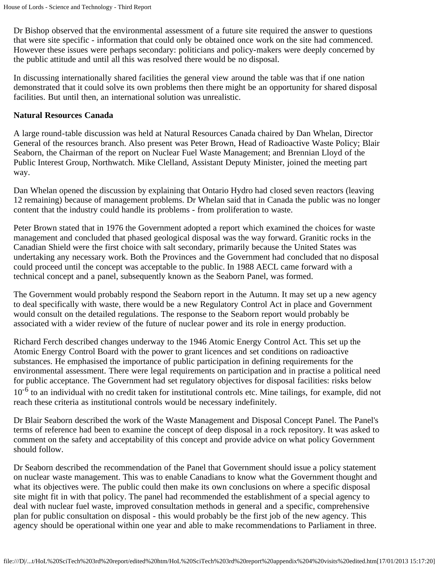Dr Bishop observed that the environmental assessment of a future site required the answer to questions that were site specific - information that could only be obtained once work on the site had commenced. However these issues were perhaps secondary: politicians and policy-makers were deeply concerned by the public attitude and until all this was resolved there would be no disposal.

In discussing internationally shared facilities the general view around the table was that if one nation demonstrated that it could solve its own problems then there might be an opportunity for shared disposal facilities. But until then, an international solution was unrealistic.

#### **Natural Resources Canada**

A large round-table discussion was held at Natural Resources Canada chaired by Dan Whelan, Director General of the resources branch. Also present was Peter Brown, Head of Radioactive Waste Policy; Blair Seaborn, the Chairman of the report on Nuclear Fuel Waste Management; and Brennian Lloyd of the Public Interest Group, Northwatch. Mike Clelland, Assistant Deputy Minister, joined the meeting part way.

Dan Whelan opened the discussion by explaining that Ontario Hydro had closed seven reactors (leaving 12 remaining) because of management problems. Dr Whelan said that in Canada the public was no longer content that the industry could handle its problems - from proliferation to waste.

Peter Brown stated that in 1976 the Government adopted a report which examined the choices for waste management and concluded that phased geological disposal was the way forward. Granitic rocks in the Canadian Shield were the first choice with salt secondary, primarily because the United States was undertaking any necessary work. Both the Provinces and the Government had concluded that no disposal could proceed until the concept was acceptable to the public. In 1988 AECL came forward with a technical concept and a panel, subsequently known as the Seaborn Panel, was formed.

The Government would probably respond the Seaborn report in the Autumn. It may set up a new agency to deal specifically with waste, there would be a new Regulatory Control Act in place and Government would consult on the detailed regulations. The response to the Seaborn report would probably be associated with a wider review of the future of nuclear power and its role in energy production.

Richard Ferch described changes underway to the 1946 Atomic Energy Control Act. This set up the Atomic Energy Control Board with the power to grant licences and set conditions on radioactive substances. He emphasised the importance of public participation in defining requirements for the environmental assessment. There were legal requirements on participation and in practise a political need for public acceptance. The Government had set regulatory objectives for disposal facilities: risks below 10<sup>-6</sup> to an individual with no credit taken for institutional controls etc. Mine tailings, for example, did not reach these criteria as institutional controls would be necessary indefinitely.

Dr Blair Seaborn described the work of the Waste Management and Disposal Concept Panel. The Panel's terms of reference had been to examine the concept of deep disposal in a rock repository. It was asked to comment on the safety and acceptability of this concept and provide advice on what policy Government should follow.

Dr Seaborn described the recommendation of the Panel that Government should issue a policy statement on nuclear waste management. This was to enable Canadians to know what the Government thought and what its objectives were. The public could then make its own conclusions on where a specific disposal site might fit in with that policy. The panel had recommended the establishment of a special agency to deal with nuclear fuel waste, improved consultation methods in general and a specific, comprehensive plan for public consultation on disposal - this would probably be the first job of the new agency. This agency should be operational within one year and able to make recommendations to Parliament in three.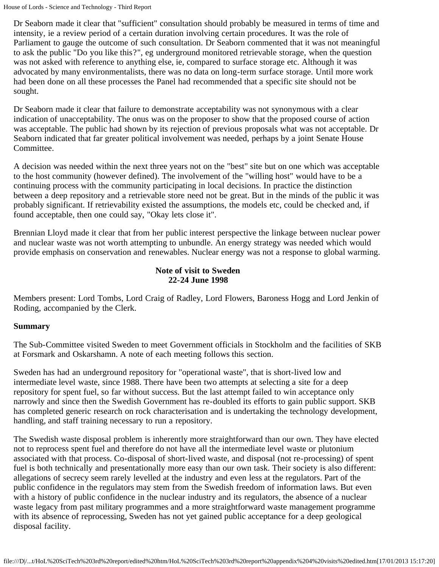Dr Seaborn made it clear that "sufficient" consultation should probably be measured in terms of time and intensity, ie a review period of a certain duration involving certain procedures. It was the role of Parliament to gauge the outcome of such consultation. Dr Seaborn commented that it was not meaningful to ask the public "Do you like this?", eg underground monitored retrievable storage, when the question was not asked with reference to anything else, ie, compared to surface storage etc. Although it was advocated by many environmentalists, there was no data on long-term surface storage. Until more work had been done on all these processes the Panel had recommended that a specific site should not be sought.

Dr Seaborn made it clear that failure to demonstrate acceptability was not synonymous with a clear indication of unacceptability. The onus was on the proposer to show that the proposed course of action was acceptable. The public had shown by its rejection of previous proposals what was not acceptable. Dr Seaborn indicated that far greater political involvement was needed, perhaps by a joint Senate House Committee.

A decision was needed within the next three years not on the "best" site but on one which was acceptable to the host community (however defined). The involvement of the "willing host" would have to be a continuing process with the community participating in local decisions. In practice the distinction between a deep repository and a retrievable store need not be great. But in the minds of the public it was probably significant. If retrievability existed the assumptions, the models etc, could be checked and, if found acceptable, then one could say, "Okay lets close it".

Brennian Lloyd made it clear that from her public interest perspective the linkage between nuclear power and nuclear waste was not worth attempting to unbundle. An energy strategy was needed which would provide emphasis on conservation and renewables. Nuclear energy was not a response to global warming.

#### **Note of visit to Sweden 22-24 June 1998**

Members present: Lord Tombs, Lord Craig of Radley, Lord Flowers, Baroness Hogg and Lord Jenkin of Roding, accompanied by the Clerk.

#### **Summary**

The Sub-Committee visited Sweden to meet Government officials in Stockholm and the facilities of SKB at Forsmark and Oskarshamn. A note of each meeting follows this section.

Sweden has had an underground repository for "operational waste", that is short-lived low and intermediate level waste, since 1988. There have been two attempts at selecting a site for a deep repository for spent fuel, so far without success. But the last attempt failed to win acceptance only narrowly and since then the Swedish Government has re-doubled its efforts to gain public support. SKB has completed generic research on rock characterisation and is undertaking the technology development, handling, and staff training necessary to run a repository.

The Swedish waste disposal problem is inherently more straightforward than our own. They have elected not to reprocess spent fuel and therefore do not have all the intermediate level waste or plutonium associated with that process. Co-disposal of short-lived waste, and disposal (not re-processing) of spent fuel is both technically and presentationally more easy than our own task. Their society is also different: allegations of secrecy seem rarely levelled at the industry and even less at the regulators. Part of the public confidence in the regulators may stem from the Swedish freedom of information laws. But even with a history of public confidence in the nuclear industry and its regulators, the absence of a nuclear waste legacy from past military programmes and a more straightforward waste management programme with its absence of reprocessing, Sweden has not yet gained public acceptance for a deep geological disposal facility.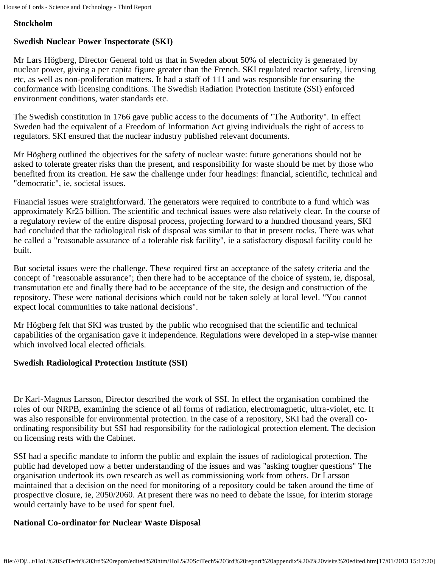### **Stockholm**

## **Swedish Nuclear Power Inspectorate (SKI)**

Mr Lars Högberg, Director General told us that in Sweden about 50% of electricity is generated by nuclear power, giving a per capita figure greater than the French. SKI regulated reactor safety, licensing etc, as well as non-proliferation matters. It had a staff of 111 and was responsible for ensuring the conformance with licensing conditions. The Swedish Radiation Protection Institute (SSI) enforced environment conditions, water standards etc.

The Swedish constitution in 1766 gave public access to the documents of "The Authority". In effect Sweden had the equivalent of a Freedom of Information Act giving individuals the right of access to regulators. SKI ensured that the nuclear industry published relevant documents.

Mr Högberg outlined the objectives for the safety of nuclear waste: future generations should not be asked to tolerate greater risks than the present, and responsibility for waste should be met by those who benefited from its creation. He saw the challenge under four headings: financial, scientific, technical and "democratic", ie, societal issues.

Financial issues were straightforward. The generators were required to contribute to a fund which was approximately Kr25 billion. The scientific and technical issues were also relatively clear. In the course of a regulatory review of the entire disposal process, projecting forward to a hundred thousand years, SKI had concluded that the radiological risk of disposal was similar to that in present rocks. There was what he called a "reasonable assurance of a tolerable risk facility", ie a satisfactory disposal facility could be built.

But societal issues were the challenge. These required first an acceptance of the safety criteria and the concept of "reasonable assurance"; then there had to be acceptance of the choice of system, ie, disposal, transmutation etc and finally there had to be acceptance of the site, the design and construction of the repository. These were national decisions which could not be taken solely at local level. "You cannot expect local communities to take national decisions".

Mr Högberg felt that SKI was trusted by the public who recognised that the scientific and technical capabilities of the organisation gave it independence. Regulations were developed in a step-wise manner which involved local elected officials.

### **Swedish Radiological Protection Institute (SSI)**

Dr Karl-Magnus Larsson, Director described the work of SSI. In effect the organisation combined the roles of our NRPB, examining the science of all forms of radiation, electromagnetic, ultra-violet, etc. It was also responsible for environmental protection. In the case of a repository, SKI had the overall coordinating responsibility but SSI had responsibility for the radiological protection element. The decision on licensing rests with the Cabinet.

SSI had a specific mandate to inform the public and explain the issues of radiological protection. The public had developed now a better understanding of the issues and was "asking tougher questions" The organisation undertook its own research as well as commissioning work from others. Dr Larsson maintained that a decision on the need for monitoring of a repository could be taken around the time of prospective closure, ie, 2050/2060. At present there was no need to debate the issue, for interim storage would certainly have to be used for spent fuel.

### **National Co-ordinator for Nuclear Waste Disposal**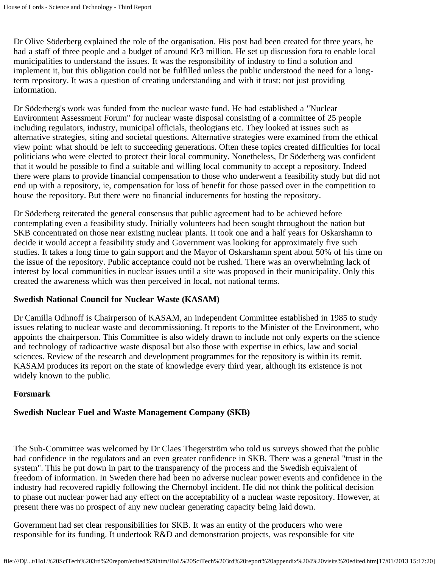Dr Olive Söderberg explained the role of the organisation. His post had been created for three years, he had a staff of three people and a budget of around Kr3 million. He set up discussion fora to enable local municipalities to understand the issues. It was the responsibility of industry to find a solution and implement it, but this obligation could not be fulfilled unless the public understood the need for a longterm repository. It was a question of creating understanding and with it trust: not just providing information.

Dr Söderberg's work was funded from the nuclear waste fund. He had established a "Nuclear Environment Assessment Forum" for nuclear waste disposal consisting of a committee of 25 people including regulators, industry, municipal officials, theologians etc. They looked at issues such as alternative strategies, siting and societal questions. Alternative strategies were examined from the ethical view point: what should be left to succeeding generations. Often these topics created difficulties for local politicians who were elected to protect their local community. Nonetheless, Dr Söderberg was confident that it would be possible to find a suitable and willing local community to accept a repository. Indeed there were plans to provide financial compensation to those who underwent a feasibility study but did not end up with a repository, ie, compensation for loss of benefit for those passed over in the competition to house the repository. But there were no financial inducements for hosting the repository.

Dr Söderberg reiterated the general consensus that public agreement had to be achieved before contemplating even a feasibility study. Initially volunteers had been sought throughout the nation but SKB concentrated on those near existing nuclear plants. It took one and a half years for Oskarshamn to decide it would accept a feasibility study and Government was looking for approximately five such studies. It takes a long time to gain support and the Mayor of Oskarshamn spent about 50% of his time on the issue of the repository. Public acceptance could not be rushed. There was an overwhelming lack of interest by local communities in nuclear issues until a site was proposed in their municipality. Only this created the awareness which was then perceived in local, not national terms.

#### **Swedish National Council for Nuclear Waste (KASAM)**

Dr Camilla Odhnoff is Chairperson of KASAM, an independent Committee established in 1985 to study issues relating to nuclear waste and decommissioning. It reports to the Minister of the Environment, who appoints the chairperson. This Committee is also widely drawn to include not only experts on the science and technology of radioactive waste disposal but also those with expertise in ethics, law and social sciences. Review of the research and development programmes for the repository is within its remit. KASAM produces its report on the state of knowledge every third year, although its existence is not widely known to the public.

#### **Forsmark**

#### **Swedish Nuclear Fuel and Waste Management Company (SKB)**

The Sub-Committee was welcomed by Dr Claes Thegerström who told us surveys showed that the public had confidence in the regulators and an even greater confidence in SKB. There was a general "trust in the system". This he put down in part to the transparency of the process and the Swedish equivalent of freedom of information. In Sweden there had been no adverse nuclear power events and confidence in the industry had recovered rapidly following the Chernobyl incident. He did not think the political decision to phase out nuclear power had any effect on the acceptability of a nuclear waste repository. However, at present there was no prospect of any new nuclear generating capacity being laid down.

Government had set clear responsibilities for SKB. It was an entity of the producers who were responsible for its funding. It undertook R&D and demonstration projects, was responsible for site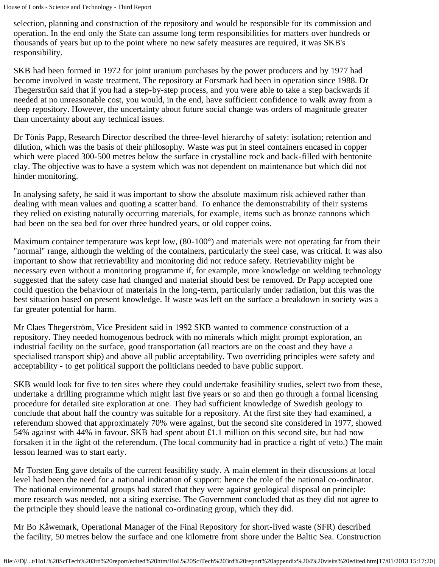selection, planning and construction of the repository and would be responsible for its commission and operation. In the end only the State can assume long term responsibilities for matters over hundreds or thousands of years but up to the point where no new safety measures are required, it was SKB's responsibility.

SKB had been formed in 1972 for joint uranium purchases by the power producers and by 1977 had become involved in waste treatment. The repository at Forsmark had been in operation since 1988. Dr Thegerström said that if you had a step-by-step process, and you were able to take a step backwards if needed at no unreasonable cost, you would, in the end, have sufficient confidence to walk away from a deep repository. However, the uncertainty about future social change was orders of magnitude greater than uncertainty about any technical issues.

Dr Tönis Papp, Research Director described the three-level hierarchy of safety: isolation; retention and dilution, which was the basis of their philosophy. Waste was put in steel containers encased in copper which were placed 300-500 metres below the surface in crystalline rock and back-filled with bentonite clay. The objective was to have a system which was not dependent on maintenance but which did not hinder monitoring.

In analysing safety, he said it was important to show the absolute maximum risk achieved rather than dealing with mean values and quoting a scatter band. To enhance the demonstrability of their systems they relied on existing naturally occurring materials, for example, items such as bronze cannons which had been on the sea bed for over three hundred years, or old copper coins.

Maximum container temperature was kept low,  $(80-100^{\circ})$  and materials were not operating far from their "normal" range, although the welding of the containers, particularly the steel case, was critical. It was also important to show that retrievability and monitoring did not reduce safety. Retrievability might be necessary even without a monitoring programme if, for example, more knowledge on welding technology suggested that the safety case had changed and material should best be removed. Dr Papp accepted one could question the behaviour of materials in the long-term, particularly under radiation, but this was the best situation based on present knowledge. If waste was left on the surface a breakdown in society was a far greater potential for harm.

Mr Claes Thegerström, Vice President said in 1992 SKB wanted to commence construction of a repository. They needed homogenous bedrock with no minerals which might prompt exploration, an industrial facility on the surface, good transportation (all reactors are on the coast and they have a specialised transport ship) and above all public acceptability. Two overriding principles were safety and acceptability - to get political support the politicians needed to have public support.

SKB would look for five to ten sites where they could undertake feasibility studies, select two from these, undertake a drilling programme which might last five years or so and then go through a formal licensing procedure for detailed site exploration at one. They had sufficient knowledge of Swedish geology to conclude that about half the country was suitable for a repository. At the first site they had examined, a referendum showed that approximately 70% were against, but the second site considered in 1977, showed 54% against with 44% in favour. SKB had spent about £1.1 million on this second site, but had now forsaken it in the light of the referendum. (The local community had in practice a right of veto.) The main lesson learned was to start early.

Mr Torsten Eng gave details of the current feasibility study. A main element in their discussions at local level had been the need for a national indication of support: hence the role of the national co-ordinator. The national environmental groups had stated that they were against geological disposal on principle: more research was needed, not a siting exercise. The Government concluded that as they did not agree to the principle they should leave the national co-ordinating group, which they did.

Mr Bo Kåwemark, Operational Manager of the Final Repository for short-lived waste (SFR) described the facility, 50 metres below the surface and one kilometre from shore under the Baltic Sea. Construction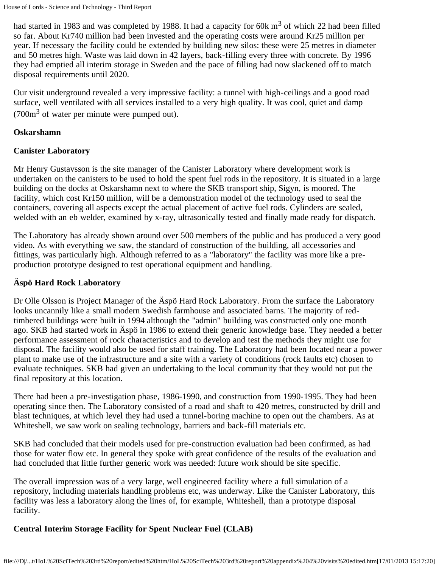had started in 1983 and was completed by 1988. It had a capacity for 60k  $m<sup>3</sup>$  of which 22 had been filled so far. About Kr740 million had been invested and the operating costs were around Kr25 million per year. If necessary the facility could be extended by building new silos: these were 25 metres in diameter and 50 metres high. Waste was laid down in 42 layers, back-filling every three with concrete. By 1996 they had emptied all interim storage in Sweden and the pace of filling had now slackened off to match disposal requirements until 2020.

Our visit underground revealed a very impressive facility: a tunnel with high-ceilings and a good road surface, well ventilated with all services installed to a very high quality. It was cool, quiet and damp  $(700m<sup>3</sup>$  of water per minute were pumped out).

#### **Oskarshamn**

#### **Canister Laboratory**

Mr Henry Gustavsson is the site manager of the Canister Laboratory where development work is undertaken on the canisters to be used to hold the spent fuel rods in the repository. It is situated in a large building on the docks at Oskarshamn next to where the SKB transport ship, Sigyn, is moored. The facility, which cost Kr150 million, will be a demonstration model of the technology used to seal the containers, covering all aspects except the actual placement of active fuel rods. Cylinders are sealed, welded with an eb welder, examined by x-ray, ultrasonically tested and finally made ready for dispatch.

The Laboratory has already shown around over 500 members of the public and has produced a very good video. As with everything we saw, the standard of construction of the building, all accessories and fittings, was particularly high. Although referred to as a "laboratory" the facility was more like a preproduction prototype designed to test operational equipment and handling.

#### **Äspö Hard Rock Laboratory**

Dr Olle Olsson is Project Manager of the Äspö Hard Rock Laboratory. From the surface the Laboratory looks uncannily like a small modern Swedish farmhouse and associated barns. The majority of redtimbered buildings were built in 1994 although the "admin" building was constructed only one month ago. SKB had started work in Äspö in 1986 to extend their generic knowledge base. They needed a better performance assessment of rock characteristics and to develop and test the methods they might use for disposal. The facility would also be used for staff training. The Laboratory had been located near a power plant to make use of the infrastructure and a site with a variety of conditions (rock faults etc) chosen to evaluate techniques. SKB had given an undertaking to the local community that they would not put the final repository at this location.

There had been a pre-investigation phase, 1986-1990, and construction from 1990-1995. They had been operating since then. The Laboratory consisted of a road and shaft to 420 metres, constructed by drill and blast techniques, at which level they had used a tunnel-boring machine to open out the chambers. As at Whiteshell, we saw work on sealing technology, barriers and back-fill materials etc.

SKB had concluded that their models used for pre-construction evaluation had been confirmed, as had those for water flow etc. In general they spoke with great confidence of the results of the evaluation and had concluded that little further generic work was needed: future work should be site specific.

The overall impression was of a very large, well engineered facility where a full simulation of a repository, including materials handling problems etc, was underway. Like the Canister Laboratory, this facility was less a laboratory along the lines of, for example, Whiteshell, than a prototype disposal facility.

#### **Central Interim Storage Facility for Spent Nuclear Fuel (CLAB)**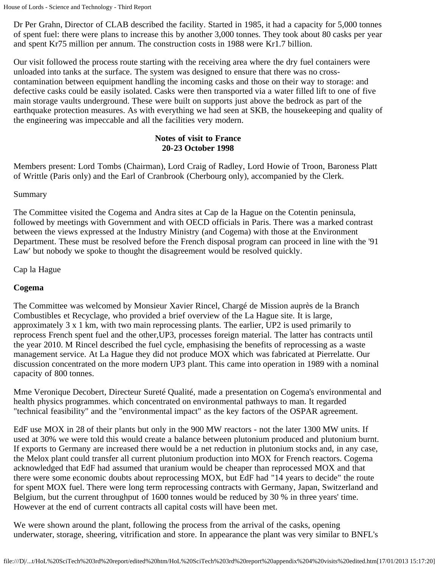Dr Per Grahn, Director of CLAB described the facility. Started in 1985, it had a capacity for 5,000 tonnes of spent fuel: there were plans to increase this by another 3,000 tonnes. They took about 80 casks per year and spent Kr75 million per annum. The construction costs in 1988 were Kr1.7 billion.

Our visit followed the process route starting with the receiving area where the dry fuel containers were unloaded into tanks at the surface. The system was designed to ensure that there was no crosscontamination between equipment handling the incoming casks and those on their way to storage: and defective casks could be easily isolated. Casks were then transported via a water filled lift to one of five main storage vaults underground. These were built on supports just above the bedrock as part of the earthquake protection measures. As with everything we had seen at SKB, the housekeeping and quality of the engineering was impeccable and all the facilities very modern.

### **Notes of visit to France 20-23 October 1998**

Members present: Lord Tombs (Chairman), Lord Craig of Radley, Lord Howie of Troon, Baroness Platt of Writtle (Paris only) and the Earl of Cranbrook (Cherbourg only), accompanied by the Clerk.

#### Summary

The Committee visited the Cogema and Andra sites at Cap de la Hague on the Cotentin peninsula, followed by meetings with Government and with OECD officials in Paris. There was a marked contrast between the views expressed at the Industry Ministry (and Cogema) with those at the Environment Department. These must be resolved before the French disposal program can proceed in line with the '91 Law' but nobody we spoke to thought the disagreement would be resolved quickly.

### Cap la Hague

### **Cogema**

The Committee was welcomed by Monsieur Xavier Rincel, Chargé de Mission auprès de la Branch Combustibles et Recyclage, who provided a brief overview of the La Hague site. It is large, approximately 3 x 1 km, with two main reprocessing plants. The earlier, UP2 is used primarily to reprocess French spent fuel and the other,UP3, processes foreign material. The latter has contracts until the year 2010. M Rincel described the fuel cycle, emphasising the benefits of reprocessing as a waste management service. At La Hague they did not produce MOX which was fabricated at Pierrelatte. Our discussion concentrated on the more modern UP3 plant. This came into operation in 1989 with a nominal capacity of 800 tonnes.

Mme Veronique Decobert, Directeur Sureté Qualité, made a presentation on Cogema's environmental and health physics programmes. which concentrated on environmental pathways to man. It regarded "technical feasibility" and the "environmental impact" as the key factors of the OSPAR agreement.

EdF use MOX in 28 of their plants but only in the 900 MW reactors - not the later 1300 MW units. If used at 30% we were told this would create a balance between plutonium produced and plutonium burnt. If exports to Germany are increased there would be a net reduction in plutonium stocks and, in any case, the Melox plant could transfer all current plutonium production into MOX for French reactors. Cogema acknowledged that EdF had assumed that uranium would be cheaper than reprocessed MOX and that there were some economic doubts about reprocessing MOX, but EdF had "14 years to decide" the route for spent MOX fuel. There were long term reprocessing contracts with Germany, Japan, Switzerland and Belgium, but the current throughput of 1600 tonnes would be reduced by 30 % in three years' time. However at the end of current contracts all capital costs will have been met.

We were shown around the plant, following the process from the arrival of the casks, opening underwater, storage, sheering, vitrification and store. In appearance the plant was very similar to BNFL's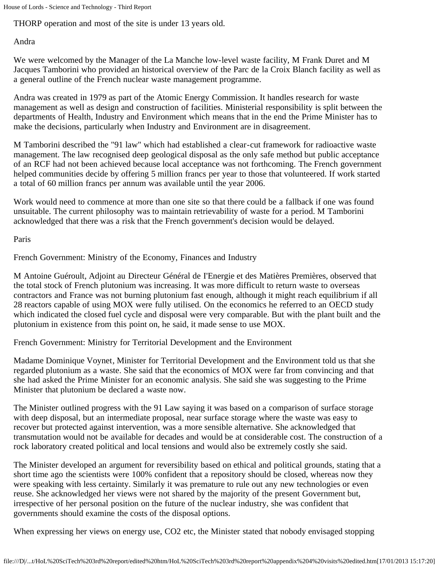THORP operation and most of the site is under 13 years old.

Andra

We were welcomed by the Manager of the La Manche low-level waste facility, M Frank Duret and M Jacques Tamborini who provided an historical overview of the Parc de la Croix Blanch facility as well as a general outline of the French nuclear waste management programme.

Andra was created in 1979 as part of the Atomic Energy Commission. It handles research for waste management as well as design and construction of facilities. Ministerial responsibility is split between the departments of Health, Industry and Environment which means that in the end the Prime Minister has to make the decisions, particularly when Industry and Environment are in disagreement.

M Tamborini described the "91 law" which had established a clear-cut framework for radioactive waste management. The law recognised deep geological disposal as the only safe method but public acceptance of an RCF had not been achieved because local acceptance was not forthcoming. The French government helped communities decide by offering 5 million francs per year to those that volunteered. If work started a total of 60 million francs per annum was available until the year 2006.

Work would need to commence at more than one site so that there could be a fallback if one was found unsuitable. The current philosophy was to maintain retrievability of waste for a period. M Tamborini acknowledged that there was a risk that the French government's decision would be delayed.

Paris

French Government: Ministry of the Economy, Finances and Industry

M Antoine Guéroult, Adjoint au Directeur Général de I'Energie et des Matières Premières, observed that the total stock of French plutonium was increasing. It was more difficult to return waste to overseas contractors and France was not burning plutonium fast enough, although it might reach equilibrium if all 28 reactors capable of using MOX were fully utilised. On the economics he referred to an OECD study which indicated the closed fuel cycle and disposal were very comparable. But with the plant built and the plutonium in existence from this point on, he said, it made sense to use MOX.

French Government: Ministry for Territorial Development and the Environment

Madame Dominique Voynet, Minister for Territorial Development and the Environment told us that she regarded plutonium as a waste. She said that the economics of MOX were far from convincing and that she had asked the Prime Minister for an economic analysis. She said she was suggesting to the Prime Minister that plutonium be declared a waste now.

The Minister outlined progress with the 91 Law saying it was based on a comparison of surface storage with deep disposal, but an intermediate proposal, near surface storage where the waste was easy to recover but protected against intervention, was a more sensible alternative. She acknowledged that transmutation would not be available for decades and would be at considerable cost. The construction of a rock laboratory created political and local tensions and would also be extremely costly she said.

The Minister developed an argument for reversibility based on ethical and political grounds, stating that a short time ago the scientists were 100% confident that a repository should be closed, whereas now they were speaking with less certainty. Similarly it was premature to rule out any new technologies or even reuse. She acknowledged her views were not shared by the majority of the present Government but, irrespective of her personal position on the future of the nuclear industry, she was confident that governments should examine the costs of the disposal options.

When expressing her views on energy use, CO2 etc, the Minister stated that nobody envisaged stopping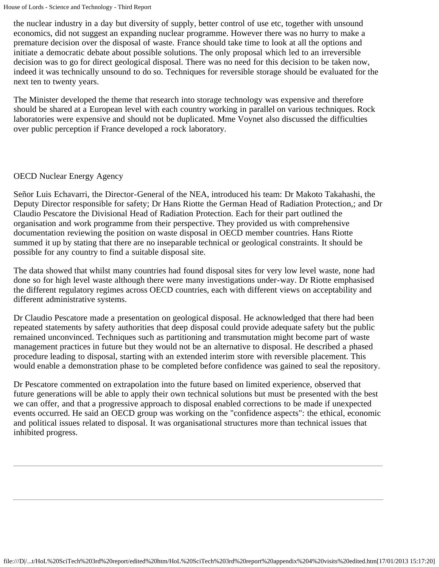the nuclear industry in a day but diversity of supply, better control of use etc, together with unsound economics, did not suggest an expanding nuclear programme. However there was no hurry to make a premature decision over the disposal of waste. France should take time to look at all the options and initiate a democratic debate about possible solutions. The only proposal which led to an irreversible decision was to go for direct geological disposal. There was no need for this decision to be taken now, indeed it was technically unsound to do so. Techniques for reversible storage should be evaluated for the next ten to twenty years.

The Minister developed the theme that research into storage technology was expensive and therefore should be shared at a European level with each country working in parallel on various techniques. Rock laboratories were expensive and should not be duplicated. Mme Voynet also discussed the difficulties over public perception if France developed a rock laboratory.

#### OECD Nuclear Energy Agency

Señor Luis Echavarri, the Director-General of the NEA, introduced his team: Dr Makoto Takahashi, the Deputy Director responsible for safety; Dr Hans Riotte the German Head of Radiation Protection,; and Dr Claudio Pescatore the Divisional Head of Radiation Protection. Each for their part outlined the organisation and work programme from their perspective. They provided us with comprehensive documentation reviewing the position on waste disposal in OECD member countries. Hans Riotte summed it up by stating that there are no inseparable technical or geological constraints. It should be possible for any country to find a suitable disposal site.

The data showed that whilst many countries had found disposal sites for very low level waste, none had done so for high level waste although there were many investigations under-way. Dr Riotte emphasised the different regulatory regimes across OECD countries, each with different views on acceptability and different administrative systems.

Dr Claudio Pescatore made a presentation on geological disposal. He acknowledged that there had been repeated statements by safety authorities that deep disposal could provide adequate safety but the public remained unconvinced. Techniques such as partitioning and transmutation might become part of waste management practices in future but they would not be an alternative to disposal. He described a phased procedure leading to disposal, starting with an extended interim store with reversible placement. This would enable a demonstration phase to be completed before confidence was gained to seal the repository.

Dr Pescatore commented on extrapolation into the future based on limited experience, observed that future generations will be able to apply their own technical solutions but must be presented with the best we can offer, and that a progressive approach to disposal enabled corrections to be made if unexpected events occurred. He said an OECD group was working on the "confidence aspects": the ethical, economic and political issues related to disposal. It was organisational structures more than technical issues that inhibited progress.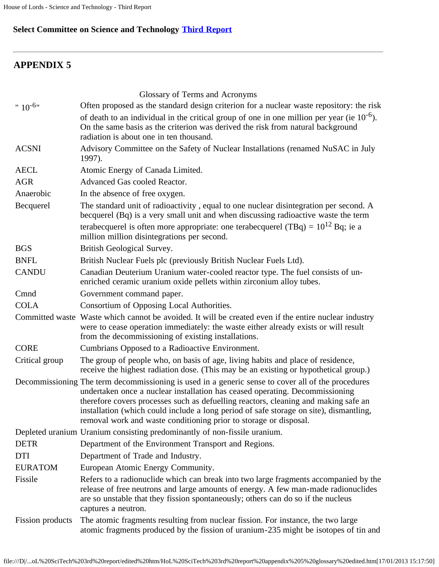# **Select Committee on Science and Technology [Third Report](file:///D|/Home/dks/text/papers%20and%20research/earth%20science/nuclear%20waste%20disposal/government/parliament/HoL%20SciTech%203rd%20report/edited%20htm/4101.htm)**

# **APPENDIX 5**

|                         | Glossary of Terms and Acronyms                                                                                                                                                                                                                                                                                                                                                                                                           |
|-------------------------|------------------------------------------------------------------------------------------------------------------------------------------------------------------------------------------------------------------------------------------------------------------------------------------------------------------------------------------------------------------------------------------------------------------------------------------|
| " $10^{-6}$ "           | Often proposed as the standard design criterion for a nuclear waste repository: the risk                                                                                                                                                                                                                                                                                                                                                 |
|                         | of death to an individual in the critical group of one in one million per year (ie $10^{-6}$ ).<br>On the same basis as the criterion was derived the risk from natural background<br>radiation is about one in ten thousand.                                                                                                                                                                                                            |
| <b>ACSNI</b>            | Advisory Committee on the Safety of Nuclear Installations (renamed NuSAC in July<br>1997).                                                                                                                                                                                                                                                                                                                                               |
| <b>AECL</b>             | Atomic Energy of Canada Limited.                                                                                                                                                                                                                                                                                                                                                                                                         |
| <b>AGR</b>              | Advanced Gas cooled Reactor.                                                                                                                                                                                                                                                                                                                                                                                                             |
| Anaerobic               | In the absence of free oxygen.                                                                                                                                                                                                                                                                                                                                                                                                           |
| Becquerel               | The standard unit of radioactivity, equal to one nuclear disintegration per second. A<br>becquerel (Bq) is a very small unit and when discussing radioactive waste the term                                                                                                                                                                                                                                                              |
|                         | terabecquerel is often more appropriate: one terabecquerel (TBq) = $10^{12}$ Bq; ie a<br>million million disintegrations per second.                                                                                                                                                                                                                                                                                                     |
| <b>BGS</b>              | British Geological Survey.                                                                                                                                                                                                                                                                                                                                                                                                               |
| <b>BNFL</b>             | British Nuclear Fuels plc (previously British Nuclear Fuels Ltd).                                                                                                                                                                                                                                                                                                                                                                        |
| <b>CANDU</b>            | Canadian Deuterium Uranium water-cooled reactor type. The fuel consists of un-<br>enriched ceramic uranium oxide pellets within zirconium alloy tubes.                                                                                                                                                                                                                                                                                   |
| Cmnd                    | Government command paper.                                                                                                                                                                                                                                                                                                                                                                                                                |
| <b>COLA</b>             | Consortium of Opposing Local Authorities.                                                                                                                                                                                                                                                                                                                                                                                                |
|                         | Committed waste Waste which cannot be avoided. It will be created even if the entire nuclear industry<br>were to cease operation immediately: the waste either already exists or will result<br>from the decommissioning of existing installations.                                                                                                                                                                                      |
| <b>CORE</b>             | Cumbrians Opposed to a Radioactive Environment.                                                                                                                                                                                                                                                                                                                                                                                          |
| Critical group          | The group of people who, on basis of age, living habits and place of residence,<br>receive the highest radiation dose. (This may be an existing or hypothetical group.)                                                                                                                                                                                                                                                                  |
|                         | Decommissioning The term decommissioning is used in a generic sense to cover all of the procedures<br>undertaken once a nuclear installation has ceased operating. Decommissioning<br>therefore covers processes such as defuelling reactors, cleaning and making safe an<br>installation (which could include a long period of safe storage on site), dismantling,<br>removal work and waste conditioning prior to storage or disposal. |
|                         | Depleted uranium Uranium consisting predominantly of non-fissile uranium.                                                                                                                                                                                                                                                                                                                                                                |
| <b>DETR</b>             | Department of the Environment Transport and Regions.                                                                                                                                                                                                                                                                                                                                                                                     |
| <b>DTI</b>              | Department of Trade and Industry.                                                                                                                                                                                                                                                                                                                                                                                                        |
| <b>EURATOM</b>          | European Atomic Energy Community.                                                                                                                                                                                                                                                                                                                                                                                                        |
| Fissile                 | Refers to a radionuclide which can break into two large fragments accompanied by the<br>release of free neutrons and large amounts of energy. A few man-made radionuclides<br>are so unstable that they fission spontaneously; others can do so if the nucleus<br>captures a neutron.                                                                                                                                                    |
| <b>Fission</b> products | The atomic fragments resulting from nuclear fission. For instance, the two large<br>atomic fragments produced by the fission of uranium-235 might be isotopes of tin and                                                                                                                                                                                                                                                                 |

file:///D|/...oL%20SciTech%203rd%20report/edited%20htm/HoL%20SciTech%203rd%20report%20appendix%205%20glossary%20edited.htm[17/01/2013 15:17:50]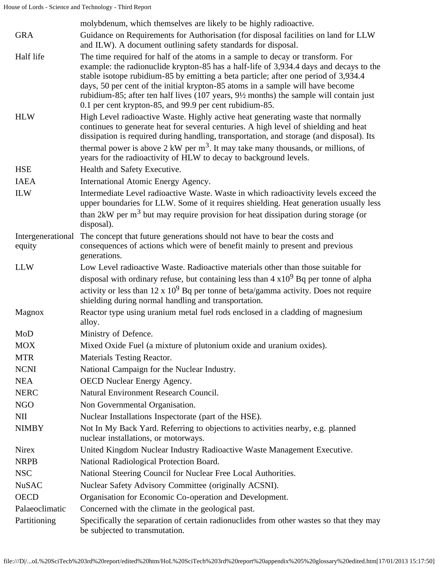|                             | molybdenum, which themselves are likely to be highly radioactive.                                                                                                                                                                                                                                                                                                                                                                                                                                     |
|-----------------------------|-------------------------------------------------------------------------------------------------------------------------------------------------------------------------------------------------------------------------------------------------------------------------------------------------------------------------------------------------------------------------------------------------------------------------------------------------------------------------------------------------------|
| <b>GRA</b>                  | Guidance on Requirements for Authorisation (for disposal facilities on land for LLW<br>and ILW). A document outlining safety standards for disposal.                                                                                                                                                                                                                                                                                                                                                  |
| Half life                   | The time required for half of the atoms in a sample to decay or transform. For<br>example: the radionuclide krypton-85 has a half-life of 3,934.4 days and decays to the<br>stable isotope rubidium-85 by emitting a beta particle; after one period of 3,934.4<br>days, 50 per cent of the initial krypton-85 atoms in a sample will have become<br>rubidium-85; after ten half lives (107 years, 9½ months) the sample will contain just<br>0.1 per cent krypton-85, and 99.9 per cent rubidium-85. |
| <b>HLW</b>                  | High Level radioactive Waste. Highly active heat generating waste that normally<br>continues to generate heat for several centuries. A high level of shielding and heat<br>dissipation is required during handling, transportation, and storage (and disposal). Its<br>thermal power is above $2 \text{ kW per m}^3$ . It may take many thousands, or millions, of<br>years for the radioactivity of HLW to decay to background levels.                                                               |
| <b>HSE</b>                  | Health and Safety Executive.                                                                                                                                                                                                                                                                                                                                                                                                                                                                          |
| <b>IAEA</b>                 | International Atomic Energy Agency.                                                                                                                                                                                                                                                                                                                                                                                                                                                                   |
| <b>ILW</b>                  | Intermediate Level radioactive Waste. Waste in which radioactivity levels exceed the<br>upper boundaries for LLW. Some of it requires shielding. Heat generation usually less<br>than $2kW$ per m <sup>3</sup> but may require provision for heat dissipation during storage (or                                                                                                                                                                                                                      |
|                             | disposal).                                                                                                                                                                                                                                                                                                                                                                                                                                                                                            |
| Intergenerational<br>equity | The concept that future generations should not have to bear the costs and<br>consequences of actions which were of benefit mainly to present and previous<br>generations.                                                                                                                                                                                                                                                                                                                             |
| <b>LLW</b>                  | Low Level radioactive Waste. Radioactive materials other than those suitable for                                                                                                                                                                                                                                                                                                                                                                                                                      |
|                             | disposal with ordinary refuse, but containing less than $4 \times 10^9$ Bq per tonne of alpha                                                                                                                                                                                                                                                                                                                                                                                                         |
|                             | activity or less than $12 \times 10^9$ Bq per tonne of beta/gamma activity. Does not require<br>shielding during normal handling and transportation.                                                                                                                                                                                                                                                                                                                                                  |
| Magnox                      | Reactor type using uranium metal fuel rods enclosed in a cladding of magnesium<br>alloy.                                                                                                                                                                                                                                                                                                                                                                                                              |
| MoD                         | Ministry of Defence.                                                                                                                                                                                                                                                                                                                                                                                                                                                                                  |
| <b>MOX</b>                  | Mixed Oxide Fuel (a mixture of plutonium oxide and uranium oxides).                                                                                                                                                                                                                                                                                                                                                                                                                                   |
| <b>MTR</b>                  | <b>Materials Testing Reactor.</b>                                                                                                                                                                                                                                                                                                                                                                                                                                                                     |
| <b>NCNI</b>                 | National Campaign for the Nuclear Industry.                                                                                                                                                                                                                                                                                                                                                                                                                                                           |
| <b>NEA</b>                  | OECD Nuclear Energy Agency.                                                                                                                                                                                                                                                                                                                                                                                                                                                                           |
| <b>NERC</b>                 | Natural Environment Research Council.                                                                                                                                                                                                                                                                                                                                                                                                                                                                 |
| <b>NGO</b>                  | Non Governmental Organisation.                                                                                                                                                                                                                                                                                                                                                                                                                                                                        |
| NII                         | Nuclear Installations Inspectorate (part of the HSE).                                                                                                                                                                                                                                                                                                                                                                                                                                                 |
| <b>NIMBY</b>                | Not In My Back Yard. Referring to objections to activities nearby, e.g. planned<br>nuclear installations, or motorways.                                                                                                                                                                                                                                                                                                                                                                               |
| <b>Nirex</b>                | United Kingdom Nuclear Industry Radioactive Waste Management Executive.                                                                                                                                                                                                                                                                                                                                                                                                                               |
| <b>NRPB</b>                 | National Radiological Protection Board.                                                                                                                                                                                                                                                                                                                                                                                                                                                               |
| <b>NSC</b>                  | National Steering Council for Nuclear Free Local Authorities.                                                                                                                                                                                                                                                                                                                                                                                                                                         |
| <b>NuSAC</b>                | Nuclear Safety Advisory Committee (originally ACSNI).                                                                                                                                                                                                                                                                                                                                                                                                                                                 |
| <b>OECD</b>                 | Organisation for Economic Co-operation and Development.                                                                                                                                                                                                                                                                                                                                                                                                                                               |
| Palaeoclimatic              | Concerned with the climate in the geological past.                                                                                                                                                                                                                                                                                                                                                                                                                                                    |
| Partitioning                | Specifically the separation of certain radionuclides from other wastes so that they may<br>be subjected to transmutation.                                                                                                                                                                                                                                                                                                                                                                             |